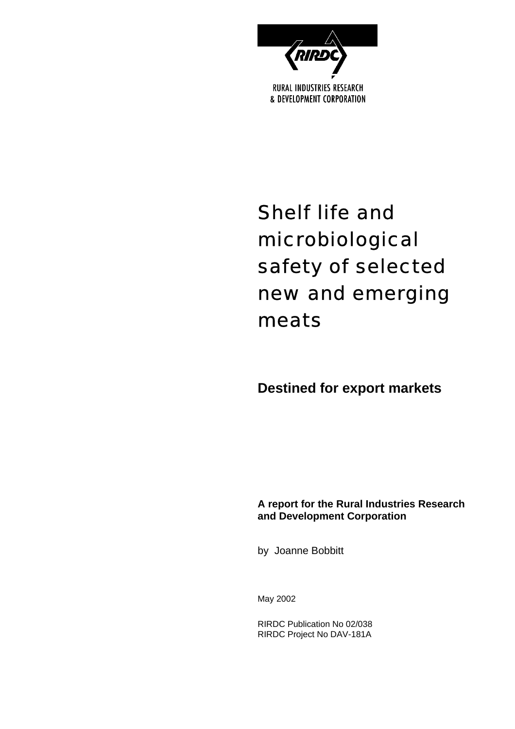

# Shelf life and microbiological safety of selected new and emerging meats

## **Destined for export markets**

### **A report for the Rural Industries Research and Development Corporation**

by Joanne Bobbitt

May 2002

RIRDC Publication No 02/038 RIRDC Project No DAV-181A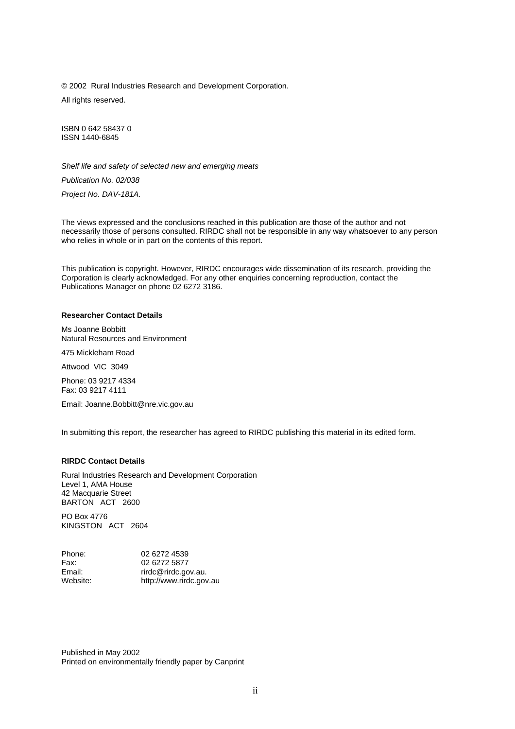© 2002 Rural Industries Research and Development Corporation. All rights reserved.

ISBN 0 642 58437 0 ISSN 1440-6845

*Shelf life and safety of selected new and emerging meats*

*Publication No. 02/038*

*Project No. DAV-181A.*

The views expressed and the conclusions reached in this publication are those of the author and not necessarily those of persons consulted. RIRDC shall not be responsible in any way whatsoever to any person who relies in whole or in part on the contents of this report.

This publication is copyright. However, RIRDC encourages wide dissemination of its research, providing the Corporation is clearly acknowledged. For any other enquiries concerning reproduction, contact the Publications Manager on phone 02 6272 3186.

#### **Researcher Contact Details**

Ms Joanne Bobbitt Natural Resources and Environment

475 Mickleham Road

Attwood VIC 3049

Phone: 03 9217 4334 Fax: 03 9217 4111

Email: Joanne.Bobbitt@nre.vic.gov.au

In submitting this report, the researcher has agreed to RIRDC publishing this material in its edited form.

#### **RIRDC Contact Details**

Rural Industries Research and Development Corporation Level 1, AMA House 42 Macquarie Street BARTON ACT 2600

PO Box 4776 KINGSTON ACT 2604

| Phone:   | 02 6272 4539            |
|----------|-------------------------|
| Fax:     | 02 6272 5877            |
| Email:   | rirdc@rirdc.gov.au.     |
| Website: | http://www.rirdc.gov.au |

Published in May 2002 Printed on environmentally friendly paper by Canprint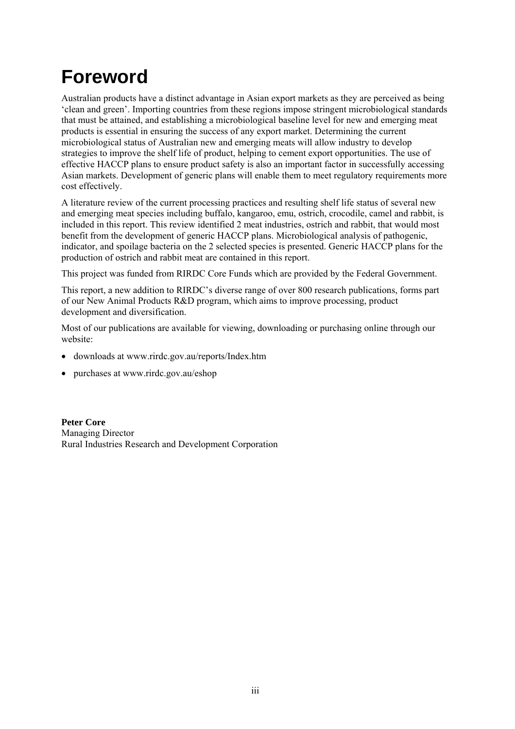## **Foreword**

Australian products have a distinct advantage in Asian export markets as they are perceived as being 'clean and green'. Importing countries from these regions impose stringent microbiological standards that must be attained, and establishing a microbiological baseline level for new and emerging meat products is essential in ensuring the success of any export market. Determining the current microbiological status of Australian new and emerging meats will allow industry to develop strategies to improve the shelf life of product, helping to cement export opportunities. The use of effective HACCP plans to ensure product safety is also an important factor in successfully accessing Asian markets. Development of generic plans will enable them to meet regulatory requirements more cost effectively.

A literature review of the current processing practices and resulting shelf life status of several new and emerging meat species including buffalo, kangaroo, emu, ostrich, crocodile, camel and rabbit, is included in this report. This review identified 2 meat industries, ostrich and rabbit, that would most benefit from the development of generic HACCP plans. Microbiological analysis of pathogenic, indicator, and spoilage bacteria on the 2 selected species is presented. Generic HACCP plans for the production of ostrich and rabbit meat are contained in this report.

This project was funded from RIRDC Core Funds which are provided by the Federal Government.

This report, a new addition to RIRDC's diverse range of over 800 research publications, forms part of our New Animal Products R&D program, which aims to improve processing, product development and diversification.

Most of our publications are available for viewing, downloading or purchasing online through our website:

- downloads at [www.rirdc.gov.au/reports/Index.htm](http://www.rirdc.gov.au/reports/Index.htm)
- purchases at www.rirdc.gov.au/eshop

**Peter Core** Managing Director Rural Industries Research and Development Corporation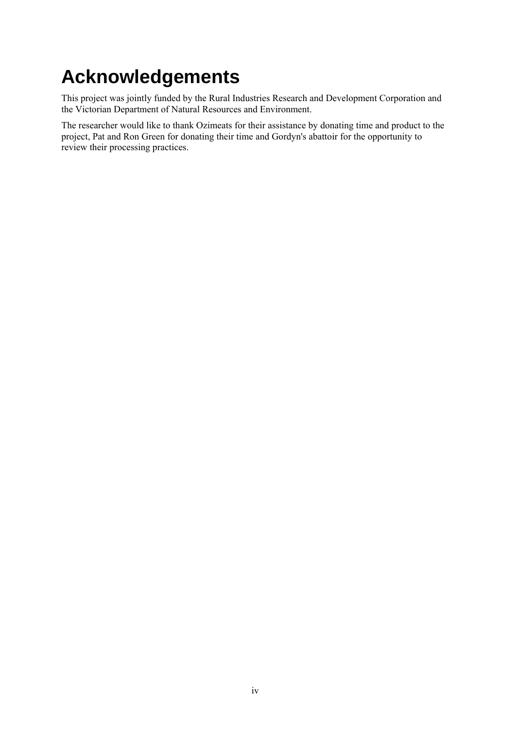# **Acknowledgements**

This project was jointly funded by the Rural Industries Research and Development Corporation and the Victorian Department of Natural Resources and Environment.

The researcher would like to thank Ozimeats for their assistance by donating time and product to the project, Pat and Ron Green for donating their time and Gordyn's abattoir for the opportunity to review their processing practices.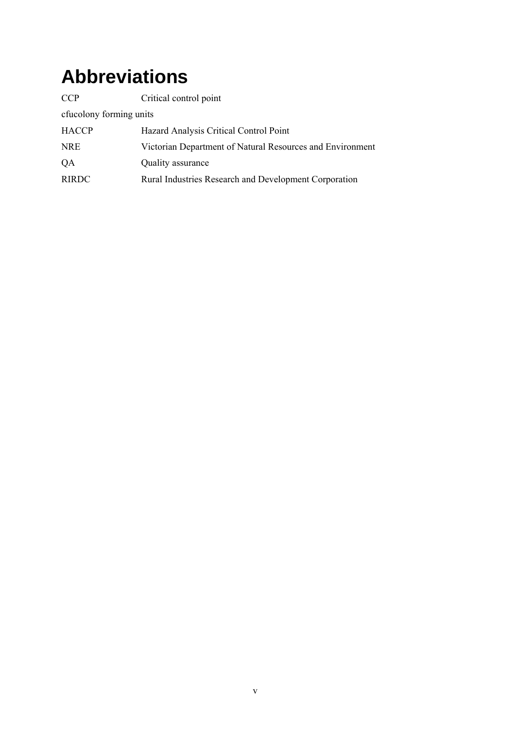## **Abbreviations**

| <b>CCP</b>              | Critical control point                                    |  |  |  |
|-------------------------|-----------------------------------------------------------|--|--|--|
| cfucolony forming units |                                                           |  |  |  |
| <b>HACCP</b>            | Hazard Analysis Critical Control Point                    |  |  |  |
| <b>NRE</b>              | Victorian Department of Natural Resources and Environment |  |  |  |
| QA                      | Quality assurance                                         |  |  |  |
| <b>RIRDC</b>            | Rural Industries Research and Development Corporation     |  |  |  |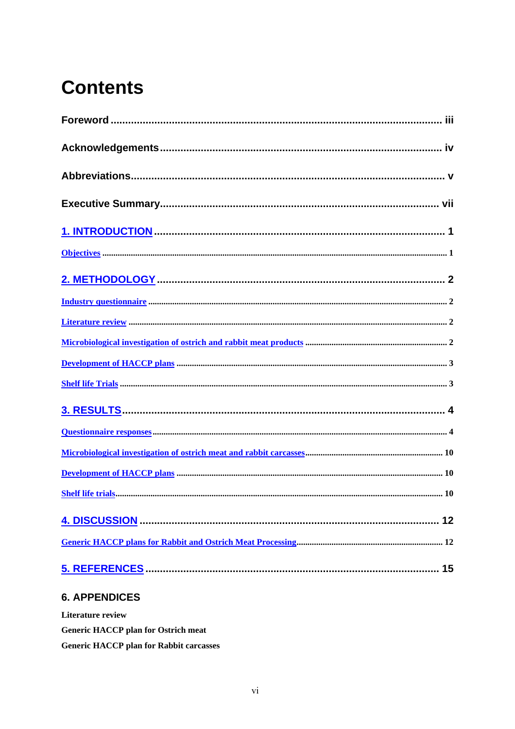# **Contents**

| 12 |
|----|
|    |
| 15 |

### **6. APPENDICES**

Literature review **Generic HACCP plan for Ostrich meat Generic HACCP plan for Rabbit carcasses**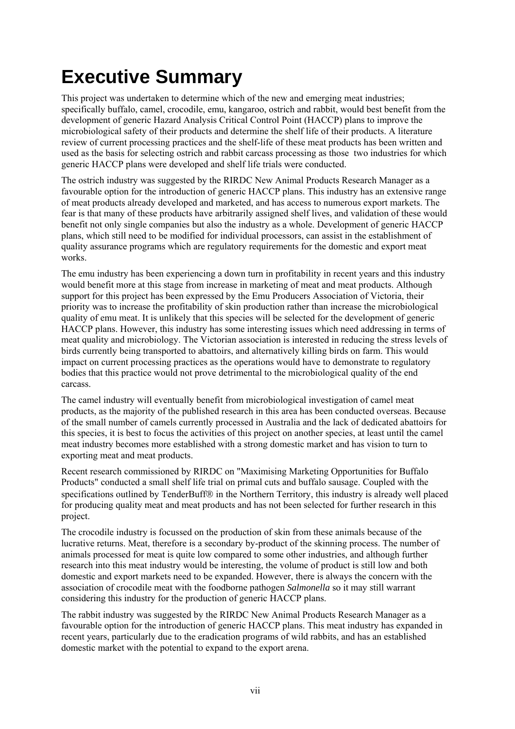# **Executive Summary**

This project was undertaken to determine which of the new and emerging meat industries; specifically buffalo, camel, crocodile, emu, kangaroo, ostrich and rabbit, would best benefit from the development of generic Hazard Analysis Critical Control Point (HACCP) plans to improve the microbiological safety of their products and determine the shelf life of their products. A literature review of current processing practices and the shelf-life of these meat products has been written and used as the basis for selecting ostrich and rabbit carcass processing as those two industries for which generic HACCP plans were developed and shelf life trials were conducted.

The ostrich industry was suggested by the RIRDC New Animal Products Research Manager as a favourable option for the introduction of generic HACCP plans. This industry has an extensive range of meat products already developed and marketed, and has access to numerous export markets. The fear is that many of these products have arbitrarily assigned shelf lives, and validation of these would benefit not only single companies but also the industry as a whole. Development of generic HACCP plans, which still need to be modified for individual processors, can assist in the establishment of quality assurance programs which are regulatory requirements for the domestic and export meat works.

The emu industry has been experiencing a down turn in profitability in recent years and this industry would benefit more at this stage from increase in marketing of meat and meat products. Although support for this project has been expressed by the Emu Producers Association of Victoria, their priority was to increase the profitability of skin production rather than increase the microbiological quality of emu meat. It is unlikely that this species will be selected for the development of generic HACCP plans. However, this industry has some interesting issues which need addressing in terms of meat quality and microbiology. The Victorian association is interested in reducing the stress levels of birds currently being transported to abattoirs, and alternatively killing birds on farm. This would impact on current processing practices as the operations would have to demonstrate to regulatory bodies that this practice would not prove detrimental to the microbiological quality of the end carcass.

The camel industry will eventually benefit from microbiological investigation of camel meat products, as the majority of the published research in this area has been conducted overseas. Because of the small number of camels currently processed in Australia and the lack of dedicated abattoirs for this species, it is best to focus the activities of this project on another species, at least until the camel meat industry becomes more established with a strong domestic market and has vision to turn to exporting meat and meat products.

Recent research commissioned by RIRDC on "Maximising Marketing Opportunities for Buffalo Products" conducted a small shelf life trial on primal cuts and buffalo sausage. Coupled with the specifications outlined by TenderBuff® in the Northern Territory, this industry is already well placed for producing quality meat and meat products and has not been selected for further research in this project.

The crocodile industry is focussed on the production of skin from these animals because of the lucrative returns. Meat, therefore is a secondary by-product of the skinning process. The number of animals processed for meat is quite low compared to some other industries, and although further research into this meat industry would be interesting, the volume of product is still low and both domestic and export markets need to be expanded. However, there is always the concern with the association of crocodile meat with the foodborne pathogen *Salmonella* so it may still warrant considering this industry for the production of generic HACCP plans.

The rabbit industry was suggested by the RIRDC New Animal Products Research Manager as a favourable option for the introduction of generic HACCP plans. This meat industry has expanded in recent years, particularly due to the eradication programs of wild rabbits, and has an established domestic market with the potential to expand to the export arena.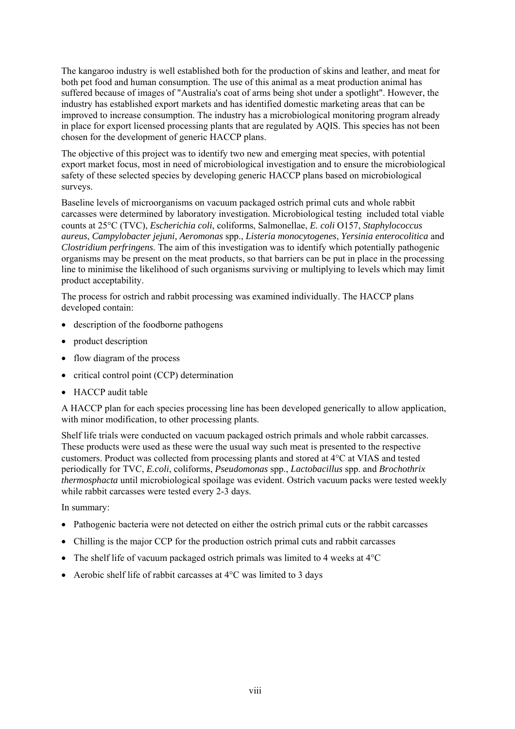The kangaroo industry is well established both for the production of skins and leather, and meat for both pet food and human consumption. The use of this animal as a meat production animal has suffered because of images of "Australia's coat of arms being shot under a spotlight". However, the industry has established export markets and has identified domestic marketing areas that can be improved to increase consumption. The industry has a microbiological monitoring program already in place for export licensed processing plants that are regulated by AQIS. This species has not been chosen for the development of generic HACCP plans.

The objective of this project was to identify two new and emerging meat species, with potential export market focus, most in need of microbiological investigation and to ensure the microbiological safety of these selected species by developing generic HACCP plans based on microbiological surveys.

Baseline levels of microorganisms on vacuum packaged ostrich primal cuts and whole rabbit carcasses were determined by laboratory investigation. Microbiological testing included total viable counts at 25°C (TVC), *Escherichia coli*, coliforms, Salmonellae, *E. coli* O157, *Staphylococcus aureus*, *Campylobacter jejuni, Aeromonas* spp., *Listeria monocytogenes*, *Yersinia enterocolitica* and *Clostridium perfringens*. The aim of this investigation was to identify which potentially pathogenic organisms may be present on the meat products, so that barriers can be put in place in the processing line to minimise the likelihood of such organisms surviving or multiplying to levels which may limit product acceptability.

The process for ostrich and rabbit processing was examined individually. The HACCP plans developed contain:

- description of the foodborne pathogens
- product description
- flow diagram of the process
- critical control point (CCP) determination
- HACCP audit table

A HACCP plan for each species processing line has been developed generically to allow application, with minor modification, to other processing plants.

Shelf life trials were conducted on vacuum packaged ostrich primals and whole rabbit carcasses. These products were used as these were the usual way such meat is presented to the respective customers. Product was collected from processing plants and stored at 4°C at VIAS and tested periodically for TVC, *E.coli*, coliforms, *Pseudomonas* spp., *Lactobacillus* spp. and *Brochothrix thermosphacta* until microbiological spoilage was evident. Ostrich vacuum packs were tested weekly while rabbit carcasses were tested every 2-3 days.

In summary:

- Pathogenic bacteria were not detected on either the ostrich primal cuts or the rabbit carcasses
- Chilling is the major CCP for the production ostrich primal cuts and rabbit carcasses
- The shelf life of vacuum packaged ostrich primals was limited to 4 weeks at  $4^{\circ}C$
- Aerobic shelf life of rabbit carcasses at 4<sup>o</sup>C was limited to 3 days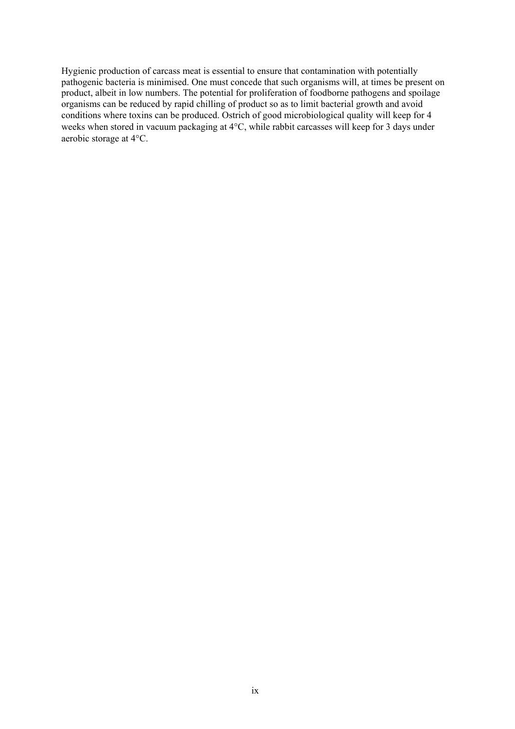Hygienic production of carcass meat is essential to ensure that contamination with potentially pathogenic bacteria is minimised. One must concede that such organisms will, at times be present on product, albeit in low numbers. The potential for proliferation of foodborne pathogens and spoilage organisms can be reduced by rapid chilling of product so as to limit bacterial growth and avoid conditions where toxins can be produced. Ostrich of good microbiological quality will keep for 4 weeks when stored in vacuum packaging at 4°C, while rabbit carcasses will keep for 3 days under aerobic storage at 4°C.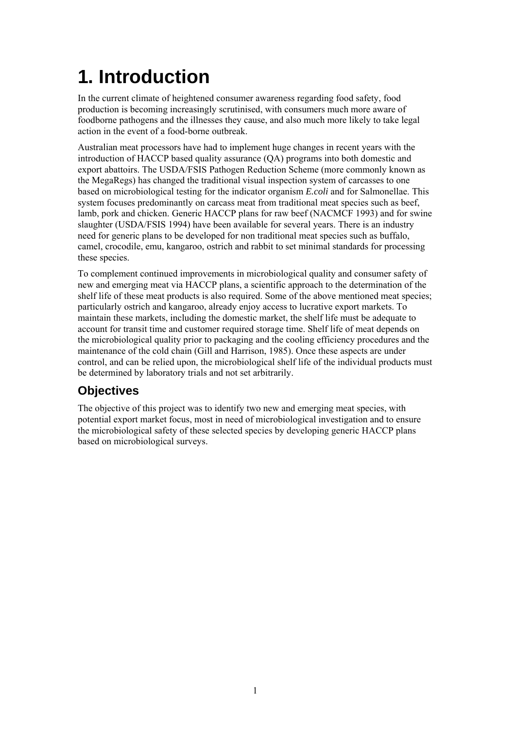# **1. Introduction**

In the current climate of heightened consumer awareness regarding food safety, food production is becoming increasingly scrutinised, with consumers much more aware of foodborne pathogens and the illnesses they cause, and also much more likely to take legal action in the event of a food-borne outbreak.

Australian meat processors have had to implement huge changes in recent years with the introduction of HACCP based quality assurance (QA) programs into both domestic and export abattoirs. The USDA/FSIS Pathogen Reduction Scheme (more commonly known as the MegaRegs) has changed the traditional visual inspection system of carcasses to one based on microbiological testing for the indicator organism *E.coli* and for Salmonellae. This system focuses predominantly on carcass meat from traditional meat species such as beef, lamb, pork and chicken. Generic HACCP plans for raw beef (NACMCF 1993) and for swine slaughter (USDA/FSIS 1994) have been available for several years. There is an industry need for generic plans to be developed for non traditional meat species such as buffalo, camel, crocodile, emu, kangaroo, ostrich and rabbit to set minimal standards for processing these species.

To complement continued improvements in microbiological quality and consumer safety of new and emerging meat via HACCP plans, a scientific approach to the determination of the shelf life of these meat products is also required. Some of the above mentioned meat species; particularly ostrich and kangaroo, already enjoy access to lucrative export markets. To maintain these markets, including the domestic market, the shelf life must be adequate to account for transit time and customer required storage time. Shelf life of meat depends on the microbiological quality prior to packaging and the cooling efficiency procedures and the maintenance of the cold chain (Gill and Harrison, 1985). Once these aspects are under control, and can be relied upon, the microbiological shelf life of the individual products must be determined by laboratory trials and not set arbitrarily.

### **Objectives**

The objective of this project was to identify two new and emerging meat species, with potential export market focus, most in need of microbiological investigation and to ensure the microbiological safety of these selected species by developing generic HACCP plans based on microbiological surveys.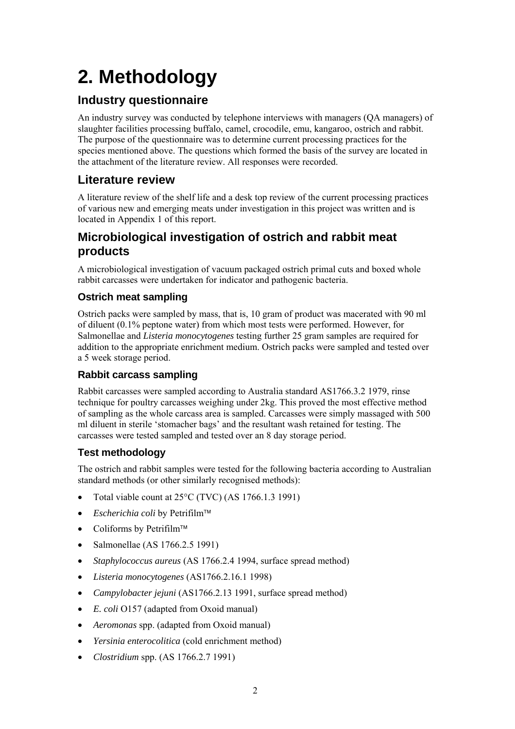# **2. Methodology**

## **Industry questionnaire**

An industry survey was conducted by telephone interviews with managers (QA managers) of slaughter facilities processing buffalo, camel, crocodile, emu, kangaroo, ostrich and rabbit. The purpose of the questionnaire was to determine current processing practices for the species mentioned above. The questions which formed the basis of the survey are located in the attachment of the literature review. All responses were recorded.

### **Literature review**

A literature review of the shelf life and a desk top review of the current processing practices of various new and emerging meats under investigation in this project was written and is located in Appendix 1 of this report.

### **Microbiological investigation of ostrich and rabbit meat products**

A microbiological investigation of vacuum packaged ostrich primal cuts and boxed whole rabbit carcasses were undertaken for indicator and pathogenic bacteria.

### **Ostrich meat sampling**

Ostrich packs were sampled by mass, that is, 10 gram of product was macerated with 90 ml of diluent (0.1% peptone water) from which most tests were performed. However, for Salmonellae and *Listeria monocytogenes* testing further 25 gram samples are required for addition to the appropriate enrichment medium. Ostrich packs were sampled and tested over a 5 week storage period.

### **Rabbit carcass sampling**

Rabbit carcasses were sampled according to Australia standard AS1766.3.2 1979, rinse technique for poultry carcasses weighing under 2kg. This proved the most effective method of sampling as the whole carcass area is sampled. Carcasses were simply massaged with 500 ml diluent in sterile 'stomacher bags' and the resultant wash retained for testing. The carcasses were tested sampled and tested over an 8 day storage period.

### **Test methodology**

The ostrich and rabbit samples were tested for the following bacteria according to Australian standard methods (or other similarly recognised methods):

- Total viable count at 25°C (TVC) (AS 1766.1.3 1991)
- *Escherichia coli* by Petrifilm
- $\bullet$  Coliforms by Petrifilm<sup>™</sup>
- Salmonellae (AS 1766.2.5 1991)
- *Staphylococcus aureus* (AS 1766.2.4 1994, surface spread method)
- *Listeria monocytogenes* (AS1766.2.16.1 1998)
- *Campylobacter jejuni* (AS1766.2.13 1991, surface spread method)
- *E. coli* O157 (adapted from Oxoid manual)
- *Aeromonas* spp. (adapted from Oxoid manual)
- *Yersinia enterocolitica* (cold enrichment method)
- *Clostridium* spp. (AS 1766.2.7 1991)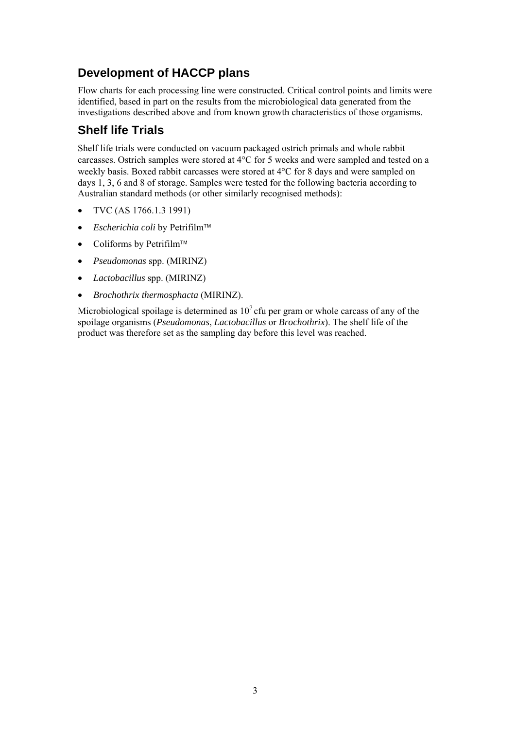## **Development of HACCP plans**

Flow charts for each processing line were constructed. Critical control points and limits were identified, based in part on the results from the microbiological data generated from the investigations described above and from known growth characteristics of those organisms.

### **Shelf life Trials**

Shelf life trials were conducted on vacuum packaged ostrich primals and whole rabbit carcasses. Ostrich samples were stored at 4°C for 5 weeks and were sampled and tested on a weekly basis. Boxed rabbit carcasses were stored at 4°C for 8 days and were sampled on days 1, 3, 6 and 8 of storage. Samples were tested for the following bacteria according to Australian standard methods (or other similarly recognised methods):

- TVC (AS 1766.1.3 1991)
- *Escherichia coli* by Petrifilm
- Coliforms by Petrifilm<sup>™</sup>
- *Pseudomonas* spp. (MIRINZ)
- *Lactobacillus* spp. (MIRINZ)
- *Brochothrix thermosphacta* (MIRINZ).

Microbiological spoilage is determined as  $10<sup>7</sup>$  cfu per gram or whole carcass of any of the spoilage organisms (*Pseudomonas*, *Lactobacillus* or *Brochothrix*). The shelf life of the product was therefore set as the sampling day before this level was reached.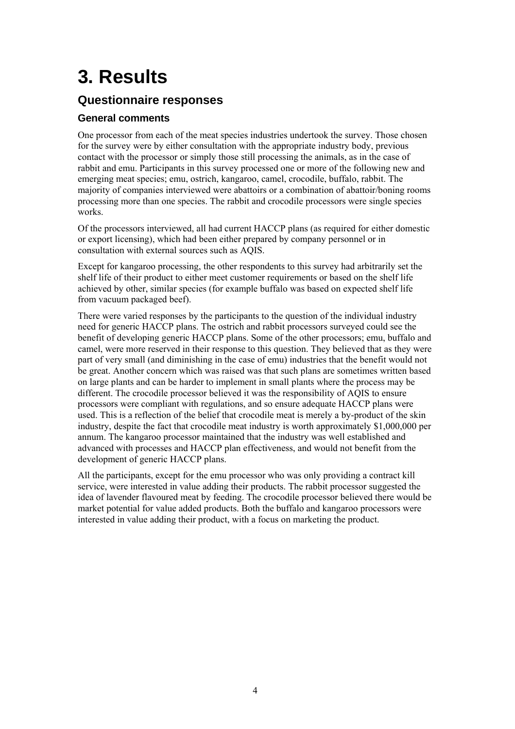# **3. Results**

### **Questionnaire responses**

### **General comments**

One processor from each of the meat species industries undertook the survey. Those chosen for the survey were by either consultation with the appropriate industry body, previous contact with the processor or simply those still processing the animals, as in the case of rabbit and emu. Participants in this survey processed one or more of the following new and emerging meat species; emu, ostrich, kangaroo, camel, crocodile, buffalo, rabbit. The majority of companies interviewed were abattoirs or a combination of abattoir/boning rooms processing more than one species. The rabbit and crocodile processors were single species works.

Of the processors interviewed, all had current HACCP plans (as required for either domestic or export licensing), which had been either prepared by company personnel or in consultation with external sources such as AQIS.

Except for kangaroo processing, the other respondents to this survey had arbitrarily set the shelf life of their product to either meet customer requirements or based on the shelf life achieved by other, similar species (for example buffalo was based on expected shelf life from vacuum packaged beef).

There were varied responses by the participants to the question of the individual industry need for generic HACCP plans. The ostrich and rabbit processors surveyed could see the benefit of developing generic HACCP plans. Some of the other processors; emu, buffalo and camel, were more reserved in their response to this question. They believed that as they were part of very small (and diminishing in the case of emu) industries that the benefit would not be great. Another concern which was raised was that such plans are sometimes written based on large plants and can be harder to implement in small plants where the process may be different. The crocodile processor believed it was the responsibility of AQIS to ensure processors were compliant with regulations, and so ensure adequate HACCP plans were used. This is a reflection of the belief that crocodile meat is merely a by-product of the skin industry, despite the fact that crocodile meat industry is worth approximately \$1,000,000 per annum. The kangaroo processor maintained that the industry was well established and advanced with processes and HACCP plan effectiveness, and would not benefit from the development of generic HACCP plans.

All the participants, except for the emu processor who was only providing a contract kill service, were interested in value adding their products. The rabbit processor suggested the idea of lavender flavoured meat by feeding. The crocodile processor believed there would be market potential for value added products. Both the buffalo and kangaroo processors were interested in value adding their product, with a focus on marketing the product.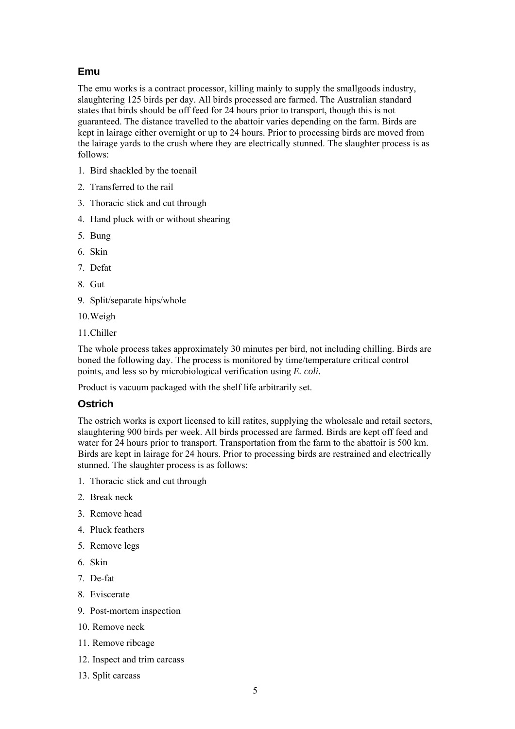#### **Emu**

The emu works is a contract processor, killing mainly to supply the smallgoods industry, slaughtering 125 birds per day. All birds processed are farmed. The Australian standard states that birds should be off feed for 24 hours prior to transport, though this is not guaranteed. The distance travelled to the abattoir varies depending on the farm. Birds are kept in lairage either overnight or up to 24 hours. Prior to processing birds are moved from the lairage yards to the crush where they are electrically stunned. The slaughter process is as follows:

- 1. Bird shackled by the toenail
- 2. Transferred to the rail
- 3. Thoracic stick and cut through
- 4. Hand pluck with or without shearing
- 5. Bung
- 6. Skin
- 7. Defat
- 8. Gut
- 9. Split/separate hips/whole
- 10.Weigh
- 11.Chiller

The whole process takes approximately 30 minutes per bird, not including chilling. Birds are boned the following day. The process is monitored by time/temperature critical control points, and less so by microbiological verification using *E. coli.*

Product is vacuum packaged with the shelf life arbitrarily set.

#### **Ostrich**

The ostrich works is export licensed to kill ratites, supplying the wholesale and retail sectors, slaughtering 900 birds per week. All birds processed are farmed. Birds are kept off feed and water for 24 hours prior to transport. Transportation from the farm to the abattoir is 500 km. Birds are kept in lairage for 24 hours. Prior to processing birds are restrained and electrically stunned. The slaughter process is as follows:

- 1. Thoracic stick and cut through
- 2. Break neck
- 3. Remove head
- 4. Pluck feathers
- 5. Remove legs
- 6. Skin
- 7. De-fat
- 8. Eviscerate
- 9. Post-mortem inspection
- 10. Remove neck
- 11. Remove ribcage
- 12. Inspect and trim carcass
- 13. Split carcass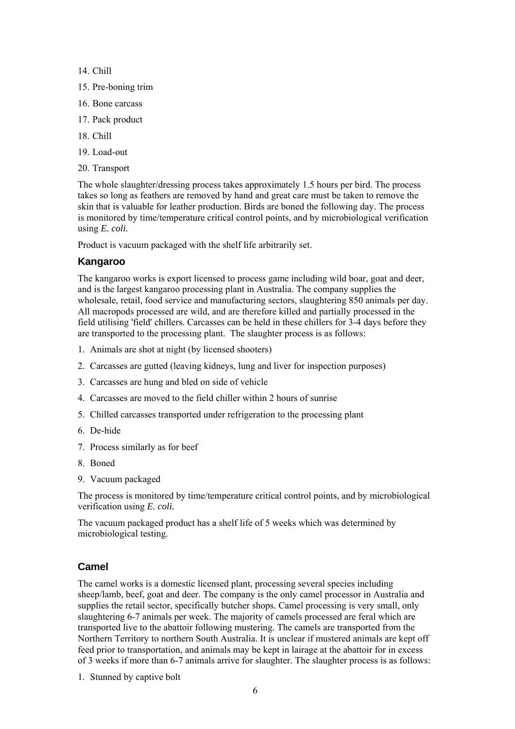- 14. Chill
- 15. Pre-boning trim
- 16. Bone carcass
- 17. Pack product
- 18. Chill
- 19. Load-out
- 20. Transport

The whole slaughter/dressing process takes approximately 1.5 hours per bird. The process takes so long as feathers are removed by hand and great care must be taken to remove the skin that is valuable for leather production. Birds are boned the following day. The process is monitored by time/temperature critical control points, and by microbiological verification using *E. coli.*

Product is vacuum packaged with the shelf life arbitrarily set.

#### **Kangaroo**

The kangaroo works is export licensed to process game including wild boar, goat and deer, and is the largest kangaroo processing plant in Australia. The company supplies the wholesale, retail, food service and manufacturing sectors, slaughtering 850 animals per day. All macropods processed are wild, and are therefore killed and partially processed in the field utilising 'field' chillers. Carcasses can be held in these chillers for 3-4 days before they are transported to the processing plant. The slaughter process is as follows:

- 1. Animals are shot at night (by licensed shooters)
- 2. Carcasses are gutted (leaving kidneys, lung and liver for inspection purposes)
- 3. Carcasses are hung and bled on side of vehicle
- 4. Carcasses are moved to the field chiller within 2 hours of sunrise
- 5. Chilled carcasses transported under refrigeration to the processing plant
- 6. De-hide
- 7. Process similarly as for beef
- 8. Boned
- 9. Vacuum packaged

The process is monitored by time/temperature critical control points, and by microbiological verification using *E. coli.*

The vacuum packaged product has a shelf life of 5 weeks which was determined by microbiological testing.

#### **Camel**

The camel works is a domestic licensed plant, processing several species including sheep/lamb, beef, goat and deer. The company is the only camel processor in Australia and supplies the retail sector, specifically butcher shops. Camel processing is very small, only slaughtering 6-7 animals per week. The majority of camels processed are feral which are transported live to the abattoir following mustering. The camels are transported from the Northern Territory to northern South Australia. It is unclear if mustered animals are kept off feed prior to transportation, and animals may be kept in lairage at the abattoir for in excess of 3 weeks if more than 6-7 animals arrive for slaughter. The slaughter process is as follows:

1. Stunned by captive bolt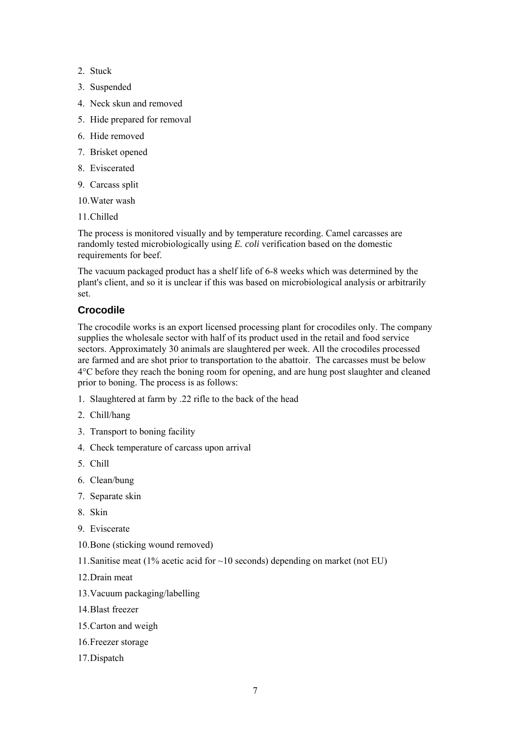- 2. Stuck
- 3. Suspended
- 4. Neck skun and removed
- 5. Hide prepared for removal
- 6. Hide removed
- 7. Brisket opened
- 8. Eviscerated
- 9. Carcass split
- 10.Water wash
- 11.Chilled

The process is monitored visually and by temperature recording. Camel carcasses are randomly tested microbiologically using *E. coli* verification based on the domestic requirements for beef.

The vacuum packaged product has a shelf life of 6-8 weeks which was determined by the plant's client, and so it is unclear if this was based on microbiological analysis or arbitrarily set.

### **Crocodile**

The crocodile works is an export licensed processing plant for crocodiles only. The company supplies the wholesale sector with half of its product used in the retail and food service sectors. Approximately 30 animals are slaughtered per week. All the crocodiles processed are farmed and are shot prior to transportation to the abattoir. The carcasses must be below 4°C before they reach the boning room for opening, and are hung post slaughter and cleaned prior to boning. The process is as follows:

- 1. Slaughtered at farm by .22 rifle to the back of the head
- 2. Chill/hang
- 3. Transport to boning facility
- 4. Check temperature of carcass upon arrival
- 5. Chill
- 6. Clean/bung
- 7. Separate skin
- 8. Skin
- 9. Eviscerate
- 10.Bone (sticking wound removed)
- 11.Sanitise meat (1% acetic acid for ~10 seconds) depending on market (not EU)
- 12.Drain meat
- 13.Vacuum packaging/labelling
- 14.Blast freezer
- 15.Carton and weigh
- 16.Freezer storage
- 17.Dispatch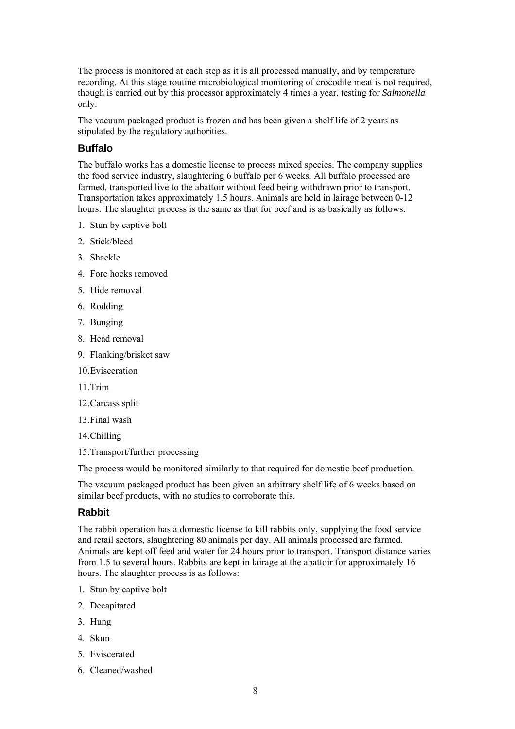The process is monitored at each step as it is all processed manually, and by temperature recording. At this stage routine microbiological monitoring of crocodile meat is not required, though is carried out by this processor approximately 4 times a year, testing for *Salmonella* only.

The vacuum packaged product is frozen and has been given a shelf life of 2 years as stipulated by the regulatory authorities.

#### **Buffalo**

The buffalo works has a domestic license to process mixed species. The company supplies the food service industry, slaughtering 6 buffalo per 6 weeks. All buffalo processed are farmed, transported live to the abattoir without feed being withdrawn prior to transport. Transportation takes approximately 1.5 hours. Animals are held in lairage between 0-12 hours. The slaughter process is the same as that for beef and is as basically as follows:

- 1. Stun by captive bolt
- 2. Stick/bleed
- 3. Shackle
- 4. Fore hocks removed
- 5. Hide removal
- 6. Rodding
- 7. Bunging
- 8. Head removal
- 9. Flanking/brisket saw
- 10.Evisceration
- 11.Trim
- 12.Carcass split
- 13.Final wash
- 14.Chilling
- 15.Transport/further processing

The process would be monitored similarly to that required for domestic beef production.

The vacuum packaged product has been given an arbitrary shelf life of 6 weeks based on similar beef products, with no studies to corroborate this.

#### **Rabbit**

The rabbit operation has a domestic license to kill rabbits only, supplying the food service and retail sectors, slaughtering 80 animals per day. All animals processed are farmed. Animals are kept off feed and water for 24 hours prior to transport. Transport distance varies from 1.5 to several hours. Rabbits are kept in lairage at the abattoir for approximately 16 hours. The slaughter process is as follows:

- 1. Stun by captive bolt
- 2. Decapitated
- 3. Hung
- 4. Skun
- 5. Eviscerated
- 6. Cleaned/washed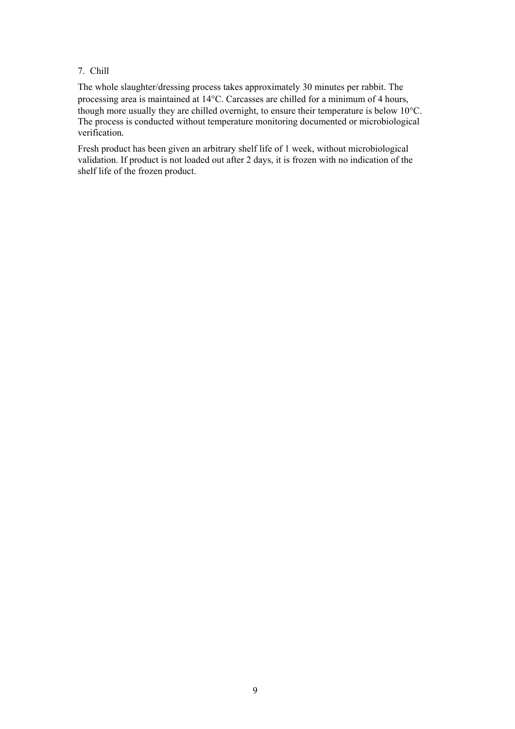#### 7. Chill

The whole slaughter/dressing process takes approximately 30 minutes per rabbit. The processing area is maintained at 14°C. Carcasses are chilled for a minimum of 4 hours, though more usually they are chilled overnight, to ensure their temperature is below 10°C. The process is conducted without temperature monitoring documented or microbiological verification*.*

Fresh product has been given an arbitrary shelf life of 1 week, without microbiological validation. If product is not loaded out after 2 days, it is frozen with no indication of the shelf life of the frozen product.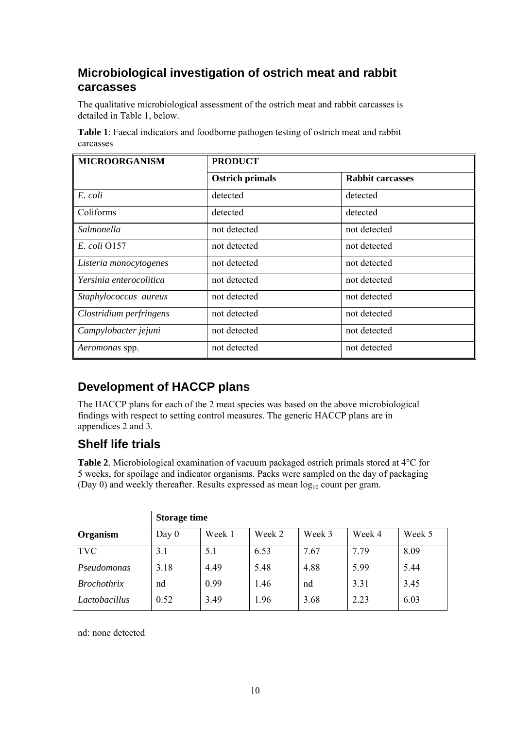### **Microbiological investigation of ostrich meat and rabbit carcasses**

The qualitative microbiological assessment of the ostrich meat and rabbit carcasses is detailed in Table 1, below.

| <b>Table 1:</b> Faecal indicators and foodborne pathogen testing of ostrich meat and rabbit |
|---------------------------------------------------------------------------------------------|
| carcasses                                                                                   |

| <b>MICROORGANISM</b>    | <b>PRODUCT</b>         |                         |  |
|-------------------------|------------------------|-------------------------|--|
|                         | <b>Ostrich primals</b> | <b>Rabbit carcasses</b> |  |
| E. coli                 | detected               | detected                |  |
| Coliforms               | detected               | detected                |  |
| Salmonella              | not detected           | not detected            |  |
| E. coli 0157            | not detected           | not detected            |  |
| Listeria monocytogenes  | not detected           | not detected            |  |
| Yersinia enterocolitica | not detected           | not detected            |  |
| Staphylococcus aureus   | not detected           | not detected            |  |
| Clostridium perfringens | not detected           | not detected            |  |
| Campylobacter jejuni    | not detected           | not detected            |  |
| Aeromonas spp.          | not detected           | not detected            |  |

## **Development of HACCP plans**

The HACCP plans for each of the 2 meat species was based on the above microbiological findings with respect to setting control measures. The generic HACCP plans are in appendices 2 and 3.

## **Shelf life trials**

**Table 2**. Microbiological examination of vacuum packaged ostrich primals stored at 4°C for 5 weeks, for spoilage and indicator organisms. Packs were sampled on the day of packaging (Day 0) and weekly thereafter. Results expressed as mean  $log_{10}$  count per gram.

|                    | <b>Storage time</b> |        |        |        |        |        |
|--------------------|---------------------|--------|--------|--------|--------|--------|
| Organism           | Day $0$             | Week 1 | Week 2 | Week 3 | Week 4 | Week 5 |
| <b>TVC</b>         | 3.1                 | 5.1    | 6.53   | 7.67   | 7.79   | 8.09   |
| Pseudomonas        | 3.18                | 4.49   | 5.48   | 4.88   | 5.99   | 5.44   |
| <i>Brochothrix</i> | nd                  | 0.99   | 1.46   | nd     | 3.31   | 3.45   |
| Lactobacillus      | 0.52                | 3.49   | 1.96   | 3.68   | 2.23   | 6.03   |

nd: none detected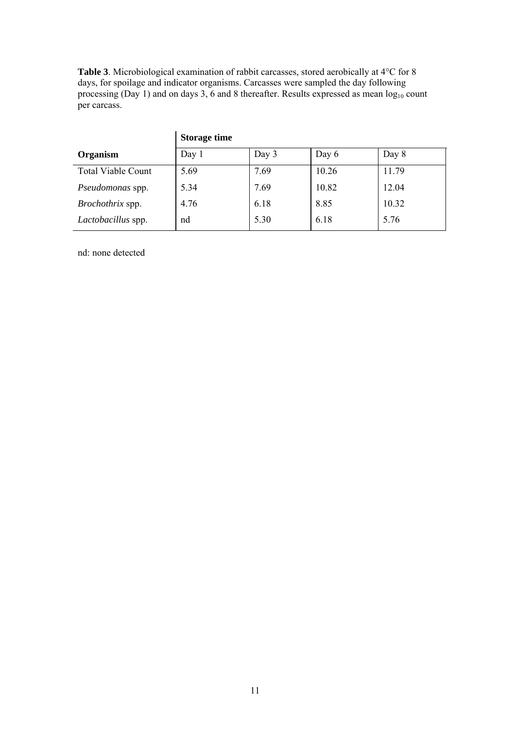**Table 3**. Microbiological examination of rabbit carcasses, stored aerobically at 4°C for 8 days, for spoilage and indicator organisms. Carcasses were sampled the day following processing (Day 1) and on days 3, 6 and 8 thereafter. Results expressed as mean  $log_{10}$  count per carcass.

|                           | <b>Storage time</b> |       |       |       |
|---------------------------|---------------------|-------|-------|-------|
| Organism                  | Day 1               | Day 3 | Day 6 | Day 8 |
| <b>Total Viable Count</b> | 5.69                | 7.69  | 10.26 | 11.79 |
| Pseudomonas spp.          | 5.34                | 7.69  | 10.82 | 12.04 |
| Brochothrix spp.          | 4.76                | 6.18  | 8.85  | 10.32 |
| Lactobacillus spp.        | nd                  | 5.30  | 6.18  | 5.76  |

nd: none detected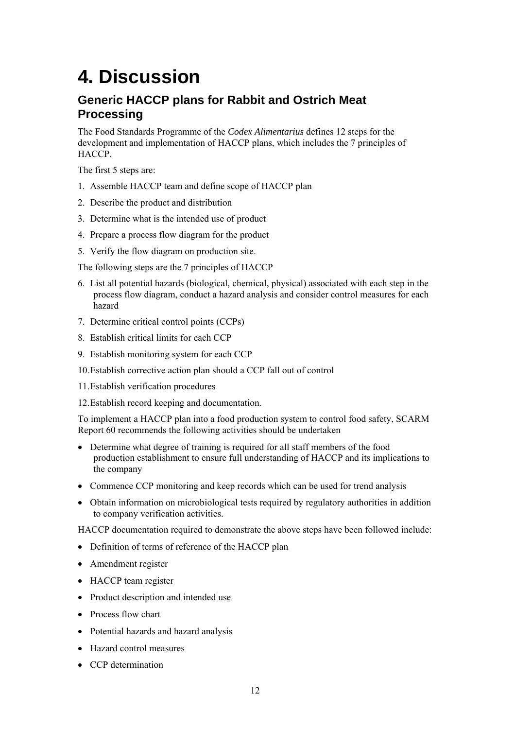# **4. Discussion**

### **Generic HACCP plans for Rabbit and Ostrich Meat Processing**

The Food Standards Programme of the *Codex Alimentarius* defines 12 steps for the development and implementation of HACCP plans, which includes the 7 principles of HACCP.

The first 5 steps are:

- 1. Assemble HACCP team and define scope of HACCP plan
- 2. Describe the product and distribution
- 3. Determine what is the intended use of product
- 4. Prepare a process flow diagram for the product
- 5. Verify the flow diagram on production site.

The following steps are the 7 principles of HACCP

- 6. List all potential hazards (biological, chemical, physical) associated with each step in the process flow diagram, conduct a hazard analysis and consider control measures for each hazard
- 7. Determine critical control points (CCPs)
- 8. Establish critical limits for each CCP
- 9. Establish monitoring system for each CCP
- 10.Establish corrective action plan should a CCP fall out of control
- 11.Establish verification procedures
- 12.Establish record keeping and documentation.

To implement a HACCP plan into a food production system to control food safety, SCARM Report 60 recommends the following activities should be undertaken

- Determine what degree of training is required for all staff members of the food production establishment to ensure full understanding of HACCP and its implications to the company
- Commence CCP monitoring and keep records which can be used for trend analysis
- Obtain information on microbiological tests required by regulatory authorities in addition to company verification activities.

HACCP documentation required to demonstrate the above steps have been followed include:

- Definition of terms of reference of the HACCP plan
- Amendment register
- HACCP team register
- Product description and intended use
- Process flow chart
- Potential hazards and hazard analysis
- Hazard control measures
- CCP determination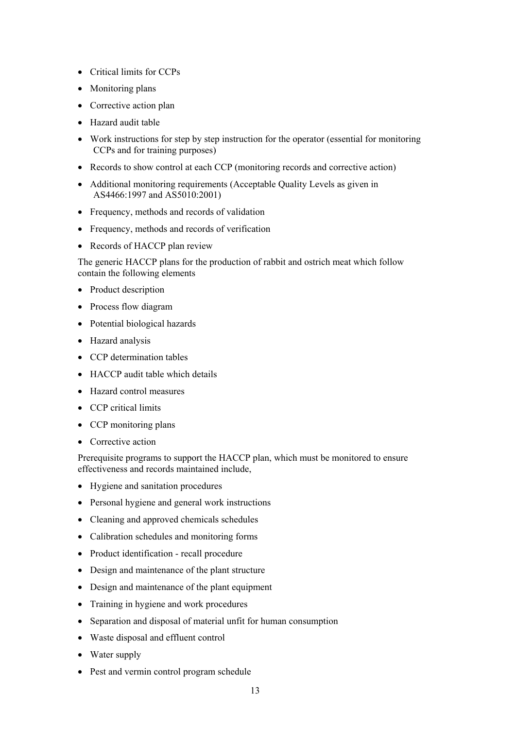- Critical limits for CCPs
- Monitoring plans
- Corrective action plan
- Hazard audit table
- Work instructions for step by step instruction for the operator (essential for monitoring CCPs and for training purposes)
- Records to show control at each CCP (monitoring records and corrective action)
- Additional monitoring requirements (Acceptable Quality Levels as given in AS4466:1997 and AS5010:2001)
- Frequency, methods and records of validation
- Frequency, methods and records of verification
- Records of HACCP plan review

The generic HACCP plans for the production of rabbit and ostrich meat which follow contain the following elements

- Product description
- Process flow diagram
- Potential biological hazards
- Hazard analysis
- CCP determination tables
- HACCP audit table which details
- Hazard control measures
- CCP critical limits
- CCP monitoring plans
- Corrective action

Prerequisite programs to support the HACCP plan, which must be monitored to ensure effectiveness and records maintained include,

- Hygiene and sanitation procedures
- Personal hygiene and general work instructions
- Cleaning and approved chemicals schedules
- Calibration schedules and monitoring forms
- Product identification recall procedure
- Design and maintenance of the plant structure
- Design and maintenance of the plant equipment
- Training in hygiene and work procedures
- Separation and disposal of material unfit for human consumption
- Waste disposal and effluent control
- Water supply
- Pest and vermin control program schedule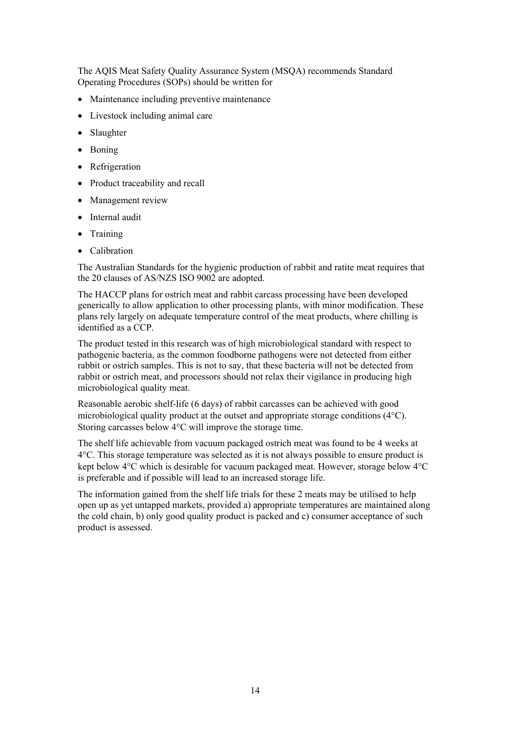The AQIS Meat Safety Quality Assurance System (MSQA) recommends Standard Operating Procedures (SOPs) should be written for

- Maintenance including preventive maintenance
- Livestock including animal care
- Slaughter
- Boning
- Refrigeration
- Product traceability and recall
- Management review
- Internal audit
- Training
- Calibration

The Australian Standards for the hygienic production of rabbit and ratite meat requires that the 20 clauses of AS/NZS ISO 9002 are adopted.

The HACCP plans for ostrich meat and rabbit carcass processing have been developed generically to allow application to other processing plants, with minor modification. These plans rely largely on adequate temperature control of the meat products, where chilling is identified as a CCP.

The product tested in this research was of high microbiological standard with respect to pathogenic bacteria, as the common foodborne pathogens were not detected from either rabbit or ostrich samples. This is not to say, that these bacteria will not be detected from rabbit or ostrich meat, and processors should not relax their vigilance in producing high microbiological quality meat.

Reasonable aerobic shelf-life (6 days) of rabbit carcasses can be achieved with good microbiological quality product at the outset and appropriate storage conditions (4°C). Storing carcasses below 4°C will improve the storage time.

The shelf life achievable from vacuum packaged ostrich meat was found to be 4 weeks at 4°C. This storage temperature was selected as it is not always possible to ensure product is kept below 4°C which is desirable for vacuum packaged meat. However, storage below 4°C is preferable and if possible will lead to an increased storage life.

The information gained from the shelf life trials for these 2 meats may be utilised to help open up as yet untapped markets, provided a) appropriate temperatures are maintained along the cold chain, b) only good quality product is packed and c) consumer acceptance of such product is assessed.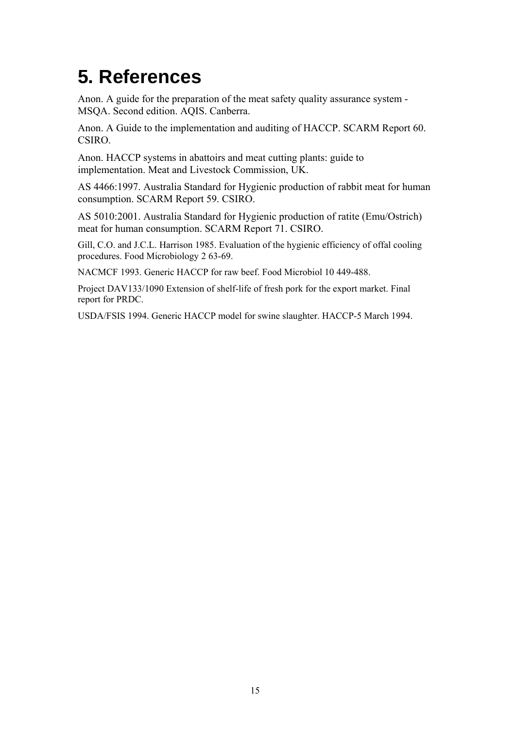## **5. References**

Anon. A guide for the preparation of the meat safety quality assurance system - MSQA. Second edition. AQIS. Canberra.

Anon. A Guide to the implementation and auditing of HACCP. SCARM Report 60. CSIRO.

Anon. HACCP systems in abattoirs and meat cutting plants: guide to implementation. Meat and Livestock Commission, UK.

AS 4466:1997. Australia Standard for Hygienic production of rabbit meat for human consumption. SCARM Report 59. CSIRO.

AS 5010:2001. Australia Standard for Hygienic production of ratite (Emu/Ostrich) meat for human consumption. SCARM Report 71. CSIRO.

Gill, C.O. and J.C.L. Harrison 1985. Evaluation of the hygienic efficiency of offal cooling procedures. Food Microbiology 2 63-69.

NACMCF 1993. Generic HACCP for raw beef. Food Microbiol 10 449-488.

Project DAV133/1090 Extension of shelf-life of fresh pork for the export market. Final report for PRDC.

USDA/FSIS 1994. Generic HACCP model for swine slaughter. HACCP-5 March 1994.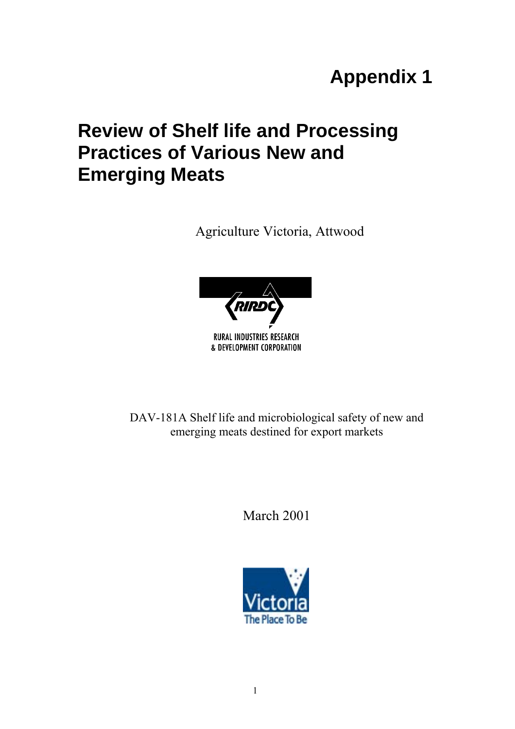# **Appendix 1**

## **Review of Shelf life and Processing Practices of Various New and Emerging Meats**

Agriculture Victoria, Attwood



DAV-181A Shelf life and microbiological safety of new and emerging meats destined for export markets

March 2001

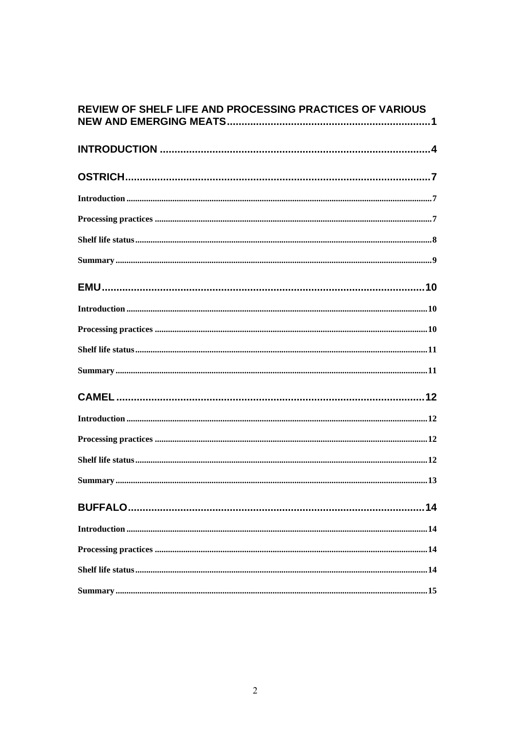| REVIEW OF SHELF LIFE AND PROCESSING PRACTICES OF VARIOUS |
|----------------------------------------------------------|
|                                                          |
|                                                          |
|                                                          |
|                                                          |
|                                                          |
|                                                          |
|                                                          |
|                                                          |
|                                                          |
|                                                          |
|                                                          |
|                                                          |
|                                                          |
|                                                          |
|                                                          |
|                                                          |
|                                                          |
|                                                          |
|                                                          |
|                                                          |
|                                                          |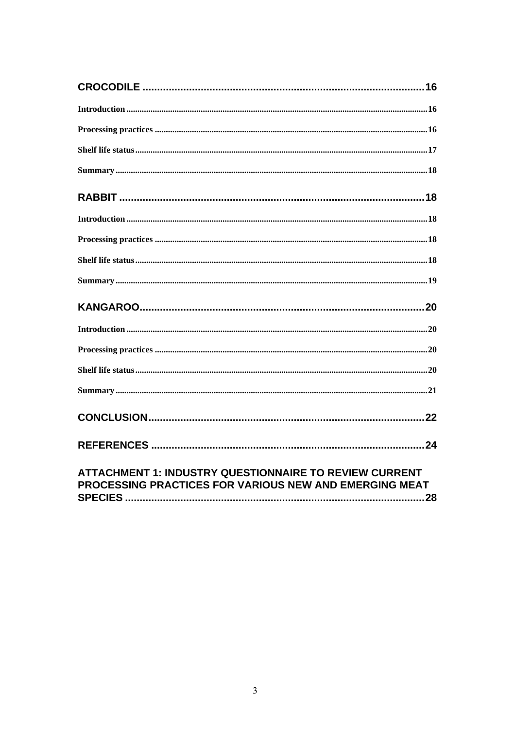| <b>ATTACHMENT 1: INDUSTRY QUESTIONNAIRE TO REVIEW CURRENT</b><br>PROCESSING PRACTICES FOR VARIOUS NEW AND EMERGING MEAT |
|-------------------------------------------------------------------------------------------------------------------------|

| PROCESSING PRACTICES FOR VARIOUS NEW AND EMERGING MEAT |  |
|--------------------------------------------------------|--|
|                                                        |  |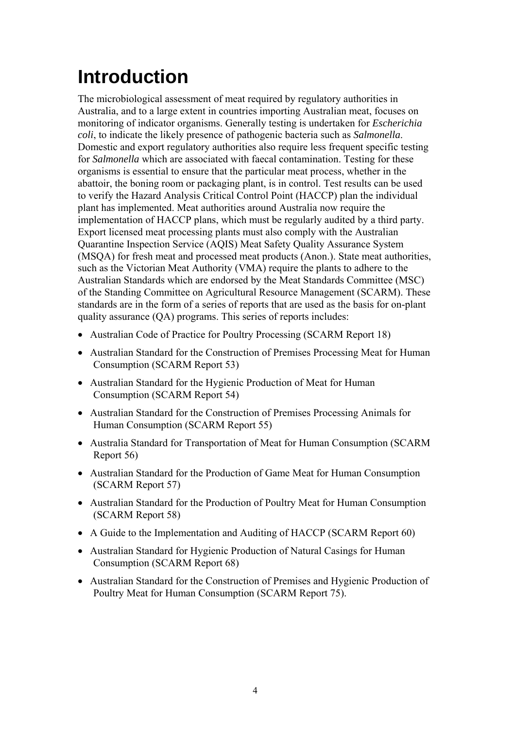# **Introduction**

The microbiological assessment of meat required by regulatory authorities in Australia, and to a large extent in countries importing Australian meat, focuses on monitoring of indicator organisms. Generally testing is undertaken for *Escherichia coli*, to indicate the likely presence of pathogenic bacteria such as *Salmonella*. Domestic and export regulatory authorities also require less frequent specific testing for *Salmonella* which are associated with faecal contamination. Testing for these organisms is essential to ensure that the particular meat process, whether in the abattoir, the boning room or packaging plant, is in control. Test results can be used to verify the Hazard Analysis Critical Control Point (HACCP) plan the individual plant has implemented. Meat authorities around Australia now require the implementation of HACCP plans, which must be regularly audited by a third party. Export licensed meat processing plants must also comply with the Australian Quarantine Inspection Service (AQIS) Meat Safety Quality Assurance System (MSQA) for fresh meat and processed meat products (Anon.). State meat authorities, such as the Victorian Meat Authority (VMA) require the plants to adhere to the Australian Standards which are endorsed by the Meat Standards Committee (MSC) of the Standing Committee on Agricultural Resource Management (SCARM). These standards are in the form of a series of reports that are used as the basis for on-plant quality assurance (QA) programs. This series of reports includes:

- Australian Code of Practice for Poultry Processing (SCARM Report 18)
- Australian Standard for the Construction of Premises Processing Meat for Human Consumption (SCARM Report 53)
- Australian Standard for the Hygienic Production of Meat for Human Consumption (SCARM Report 54)
- Australian Standard for the Construction of Premises Processing Animals for Human Consumption (SCARM Report 55)
- Australia Standard for Transportation of Meat for Human Consumption (SCARM Report 56)
- Australian Standard for the Production of Game Meat for Human Consumption (SCARM Report 57)
- Australian Standard for the Production of Poultry Meat for Human Consumption (SCARM Report 58)
- A Guide to the Implementation and Auditing of HACCP (SCARM Report 60)
- Australian Standard for Hygienic Production of Natural Casings for Human Consumption (SCARM Report 68)
- Australian Standard for the Construction of Premises and Hygienic Production of Poultry Meat for Human Consumption (SCARM Report 75).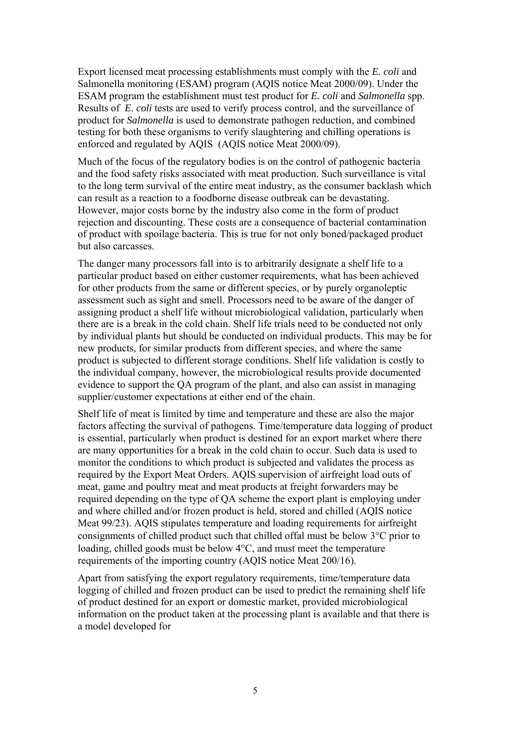Export licensed meat processing establishments must comply with the *E. coli* and Salmonella monitoring (ESAM) program (AQIS notice Meat 2000/09). Under the ESAM program the establishment must test product for *E. coli* and *Salmonella* spp. Results of *E. coli* tests are used to verify process control, and the surveillance of product for *Salmonella* is used to demonstrate pathogen reduction, and combined testing for both these organisms to verify slaughtering and chilling operations is enforced and regulated by AQIS (AQIS notice Meat 2000/09).

Much of the focus of the regulatory bodies is on the control of pathogenic bacteria and the food safety risks associated with meat production. Such surveillance is vital to the long term survival of the entire meat industry, as the consumer backlash which can result as a reaction to a foodborne disease outbreak can be devastating. However, major costs borne by the industry also come in the form of product rejection and discounting. These costs are a consequence of bacterial contamination of product with spoilage bacteria. This is true for not only boned/packaged product but also carcasses.

The danger many processors fall into is to arbitrarily designate a shelf life to a particular product based on either customer requirements, what has been achieved for other products from the same or different species, or by purely organoleptic assessment such as sight and smell. Processors need to be aware of the danger of assigning product a shelf life without microbiological validation, particularly when there are is a break in the cold chain. Shelf life trials need to be conducted not only by individual plants but should be conducted on individual products. This may be for new products, for similar products from different species, and where the same product is subjected to different storage conditions. Shelf life validation is costly to the individual company, however, the microbiological results provide documented evidence to support the QA program of the plant, and also can assist in managing supplier/customer expectations at either end of the chain.

Shelf life of meat is limited by time and temperature and these are also the major factors affecting the survival of pathogens. Time/temperature data logging of product is essential, particularly when product is destined for an export market where there are many opportunities for a break in the cold chain to occur. Such data is used to monitor the conditions to which product is subjected and validates the process as required by the Export Meat Orders. AQIS supervision of airfreight load outs of meat, game and poultry meat and meat products at freight forwarders may be required depending on the type of QA scheme the export plant is employing under and where chilled and/or frozen product is held, stored and chilled (AQIS notice Meat 99/23). AQIS stipulates temperature and loading requirements for airfreight consignments of chilled product such that chilled offal must be below 3°C prior to loading, chilled goods must be below 4°C, and must meet the temperature requirements of the importing country (AQIS notice Meat 200/16).

Apart from satisfying the export regulatory requirements, time/temperature data logging of chilled and frozen product can be used to predict the remaining shelf life of product destined for an export or domestic market, provided microbiological information on the product taken at the processing plant is available and that there is a model developed for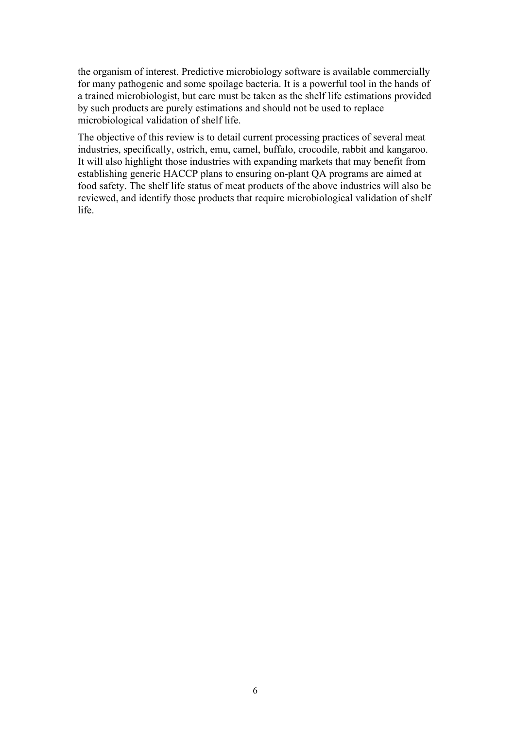the organism of interest. Predictive microbiology software is available commercially for many pathogenic and some spoilage bacteria. It is a powerful tool in the hands of a trained microbiologist, but care must be taken as the shelf life estimations provided by such products are purely estimations and should not be used to replace microbiological validation of shelf life.

The objective of this review is to detail current processing practices of several meat industries, specifically, ostrich, emu, camel, buffalo, crocodile, rabbit and kangaroo. It will also highlight those industries with expanding markets that may benefit from establishing generic HACCP plans to ensuring on-plant QA programs are aimed at food safety. The shelf life status of meat products of the above industries will also be reviewed, and identify those products that require microbiological validation of shelf life.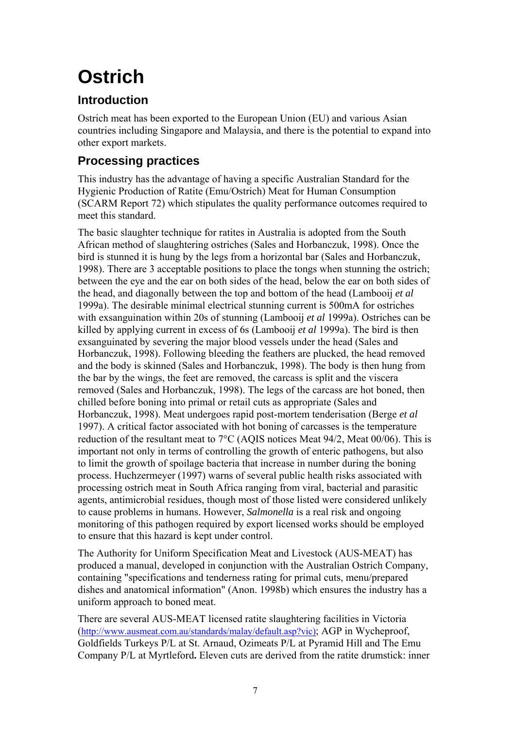# **Ostrich**

## **Introduction**

Ostrich meat has been exported to the European Union (EU) and various Asian countries including Singapore and Malaysia, and there is the potential to expand into other export markets.

## **Processing practices**

This industry has the advantage of having a specific Australian Standard for the Hygienic Production of Ratite (Emu/Ostrich) Meat for Human Consumption (SCARM Report 72) which stipulates the quality performance outcomes required to meet this standard.

The basic slaughter technique for ratites in Australia is adopted from the South African method of slaughtering ostriches (Sales and Horbanczuk, 1998). Once the bird is stunned it is hung by the legs from a horizontal bar (Sales and Horbanczuk, 1998). There are 3 acceptable positions to place the tongs when stunning the ostrich; between the eye and the ear on both sides of the head, below the ear on both sides of the head, and diagonally between the top and bottom of the head (Lambooij *et al* 1999a). The desirable minimal electrical stunning current is 500mA for ostriches with exsanguination within 20s of stunning (Lambooij *et al* 1999a). Ostriches can be killed by applying current in excess of 6s (Lambooij *et al* 1999a). The bird is then exsanguinated by severing the major blood vessels under the head (Sales and Horbanczuk, 1998). Following bleeding the feathers are plucked, the head removed and the body is skinned (Sales and Horbanczuk, 1998). The body is then hung from the bar by the wings, the feet are removed, the carcass is split and the viscera removed (Sales and Horbanczuk, 1998). The legs of the carcass are hot boned, then chilled before boning into primal or retail cuts as appropriate (Sales and Horbanczuk, 1998). Meat undergoes rapid post-mortem tenderisation (Berge *et al* 1997). A critical factor associated with hot boning of carcasses is the temperature reduction of the resultant meat to 7°C (AQIS notices Meat 94/2, Meat 00/06). This is important not only in terms of controlling the growth of enteric pathogens, but also to limit the growth of spoilage bacteria that increase in number during the boning process. Huchzermeyer (1997) warns of several public health risks associated with processing ostrich meat in South Africa ranging from viral, bacterial and parasitic agents, antimicrobial residues, though most of those listed were considered unlikely to cause problems in humans. However, *Salmonella* is a real risk and ongoing monitoring of this pathogen required by export licensed works should be employed to ensure that this hazard is kept under control.

The Authority for Uniform Specification Meat and Livestock (AUS-MEAT) has produced a manual, developed in conjunction with the Australian Ostrich Company, containing "specifications and tenderness rating for primal cuts, menu/prepared dishes and anatomical information" (Anon. 1998b) which ensures the industry has a uniform approach to boned meat.

There are several AUS-MEAT licensed ratite slaughtering facilities in Victoria ([http://www.ausmeat.com.au/standards/malay/default.asp?vic\);](http://www.ausmeat.com.au/standards/malay/default.asp?vic)) AGP in Wycheproof, Goldfields Turkeys P/L at St. Arnaud, Ozimeats P/L at Pyramid Hill and The Emu Company P/L at Myrtleford**.** Eleven cuts are derived from the ratite drumstick: inner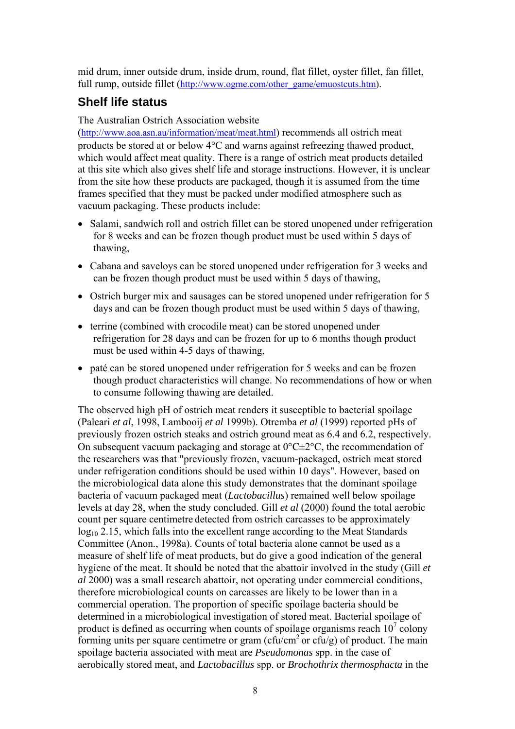mid drum, inner outside drum, inside drum, round, flat fillet, oyster fillet, fan fillet, full rump, outside fillet [\(http://www.ogme.com/other\\_game/emuostcuts.htm\)](http://www.aoa.asn.au/information/meat/meat.html).

### **Shelf life status**

#### The Australian Ostrich Association website

([http://www.aoa.asn.au/information/meat/meat.html\)](http://www.aoa.asn.au/information/meat/meat.html) recommends all ostrich meat products be stored at or below 4°C and warns against refreezing thawed product, which would affect meat quality. There is a range of ostrich meat products detailed at this site which also gives shelf life and storage instructions. However, it is unclear from the site how these products are packaged, though it is assumed from the time frames specified that they must be packed under modified atmosphere such as vacuum packaging. These products include:

- Salami, sandwich roll and ostrich fillet can be stored unopened under refrigeration for 8 weeks and can be frozen though product must be used within 5 days of thawing,
- Cabana and saveloys can be stored unopened under refrigeration for 3 weeks and can be frozen though product must be used within 5 days of thawing,
- Ostrich burger mix and sausages can be stored unopened under refrigeration for 5 days and can be frozen though product must be used within 5 days of thawing,
- terrine (combined with crocodile meat) can be stored unopened under refrigeration for 28 days and can be frozen for up to 6 months though product must be used within 4-5 days of thawing,
- paté can be stored unopened under refrigeration for 5 weeks and can be frozen though product characteristics will change. No recommendations of how or when to consume following thawing are detailed.

The observed high pH of ostrich meat renders it susceptible to bacterial spoilage (Paleari *et al*, 1998, Lambooij *et al* 1999b). Otremba *et al* (1999) reported pHs of previously frozen ostrich steaks and ostrich ground meat as 6.4 and 6.2, respectively. On subsequent vacuum packaging and storage at  $0^{\circ}C \pm 2^{\circ}C$ , the recommendation of the researchers was that "previously frozen, vacuum-packaged, ostrich meat stored under refrigeration conditions should be used within 10 days". However, based on the microbiological data alone this study demonstrates that the dominant spoilage bacteria of vacuum packaged meat (*Lactobacillus*) remained well below spoilage levels at day 28, when the study concluded. Gill *et al* (2000) found the total aerobic count per square centimetre detected from ostrich carcasses to be approximately log<sub>10</sub> 2.15, which falls into the excellent range according to the Meat Standards Committee (Anon., 1998a). Counts of total bacteria alone cannot be used as a measure of shelf life of meat products, but do give a good indication of the general hygiene of the meat. It should be noted that the abattoir involved in the study (Gill *et al* 2000) was a small research abattoir, not operating under commercial conditions, therefore microbiological counts on carcasses are likely to be lower than in a commercial operation. The proportion of specific spoilage bacteria should be determined in a microbiological investigation of stored meat. Bacterial spoilage of product is defined as occurring when counts of spoilage organisms reach  $10^7$  colony forming units per square centimetre or gram ( $c$ fu/cm<sup>2</sup> or  $c$ fu/g) of product. The main spoilage bacteria associated with meat are *Pseudomonas* spp. in the case of aerobically stored meat, and *Lactobacillus* spp. or *Brochothrix thermosphacta* in the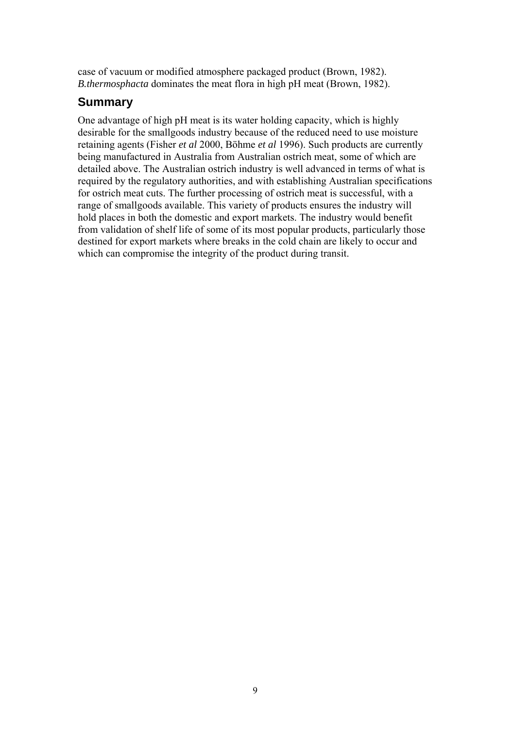case of vacuum or modified atmosphere packaged product (Brown, 1982). *B.thermosphacta* dominates the meat flora in high pH meat (Brown, 1982).

### **Summary**

One advantage of high pH meat is its water holding capacity, which is highly desirable for the smallgoods industry because of the reduced need to use moisture retaining agents (Fisher *et al* 2000, Böhme *et al* 1996). Such products are currently being manufactured in Australia from Australian ostrich meat, some of which are detailed above. The Australian ostrich industry is well advanced in terms of what is required by the regulatory authorities, and with establishing Australian specifications for ostrich meat cuts. The further processing of ostrich meat is successful, with a range of smallgoods available. This variety of products ensures the industry will hold places in both the domestic and export markets. The industry would benefit from validation of shelf life of some of its most popular products, particularly those destined for export markets where breaks in the cold chain are likely to occur and which can compromise the integrity of the product during transit.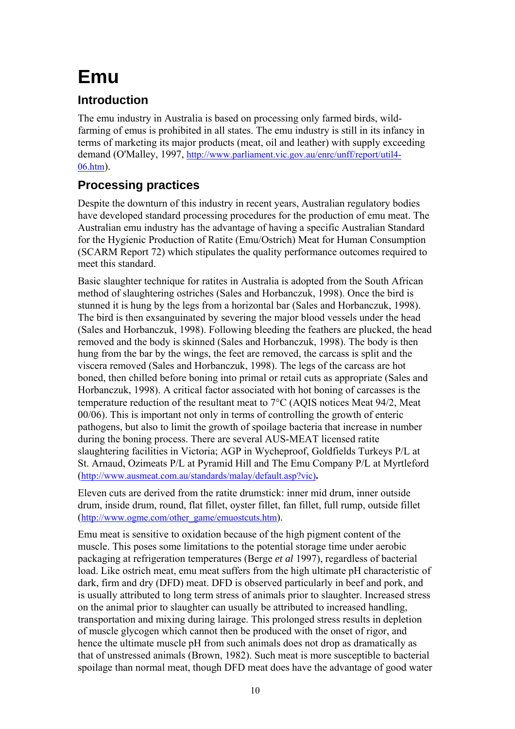# **Emu**

## **Introduction**

The emu industry in Australia is based on processing only farmed birds, wildfarming of emus is prohibited in all states. The emu industry is still in its infancy in terms of marketing its major products (meat, oil and leather) with supply exceeding demand (O'Malley, 1997, [http://www.parliament.vic.gov.au/enrc/unff/report/util4-](http://www.parliament.vic.gov.au/enrc/unff/report/util4-06.htm) [06.htm\)](http://www.parliament.vic.gov.au/enrc/unff/report/util4-06.htm).

## **Processing practices**

Despite the downturn of this industry in recent years, Australian regulatory bodies have developed standard processing procedures for the production of emu meat. The Australian emu industry has the advantage of having a specific Australian Standard for the Hygienic Production of Ratite (Emu/Ostrich) Meat for Human Consumption (SCARM Report 72) which stipulates the quality performance outcomes required to meet this standard.

Basic slaughter technique for ratites in Australia is adopted from the South African method of slaughtering ostriches (Sales and Horbanczuk, 1998). Once the bird is stunned it is hung by the legs from a horizontal bar (Sales and Horbanczuk, 1998). The bird is then exsanguinated by severing the major blood vessels under the head (Sales and Horbanczuk, 1998). Following bleeding the feathers are plucked, the head removed and the body is skinned (Sales and Horbanczuk, 1998). The body is then hung from the bar by the wings, the feet are removed, the carcass is split and the viscera removed (Sales and Horbanczuk, 1998). The legs of the carcass are hot boned, then chilled before boning into primal or retail cuts as appropriate (Sales and Horbanczuk, 1998). A critical factor associated with hot boning of carcasses is the temperature reduction of the resultant meat to 7°C (AQIS notices Meat 94/2, Meat 00/06). This is important not only in terms of controlling the growth of enteric pathogens, but also to limit the growth of spoilage bacteria that increase in number during the boning process. There are several AUS-MEAT licensed ratite slaughtering facilities in Victoria; AGP in Wycheproof, Goldfields Turkeys P/L at St. Arnaud, Ozimeats P/L at Pyramid Hill and The Emu Company P/L at Myrtleford ([http://www.ausmeat.com.au/standards/malay/default.asp?vic\)](http://www.ausmeat.com.au/standards/malay/default.asp?vic))**.**

Eleven cuts are derived from the ratite drumstick: inner mid drum, inner outside drum, inside drum, round, flat fillet, oyster fillet, fan fillet, full rump, outside fillet ([http://www.ogme.com/other\\_game/emuostcuts.htm\)](http://www.aoa.asn.au/information/meat/meat.html).

Emu meat is sensitive to oxidation because of the high pigment content of the muscle. This poses some limitations to the potential storage time under aerobic packaging at refrigeration temperatures (Berge *et al* 1997), regardless of bacterial load. Like ostrich meat, emu meat suffers from the high ultimate pH characteristic of dark, firm and dry (DFD) meat. DFD is observed particularly in beef and pork, and is usually attributed to long term stress of animals prior to slaughter. Increased stress on the animal prior to slaughter can usually be attributed to increased handling, transportation and mixing during lairage. This prolonged stress results in depletion of muscle glycogen which cannot then be produced with the onset of rigor, and hence the ultimate muscle pH from such animals does not drop as dramatically as that of unstressed animals (Brown, 1982). Such meat is more susceptible to bacterial spoilage than normal meat, though DFD meat does have the advantage of good water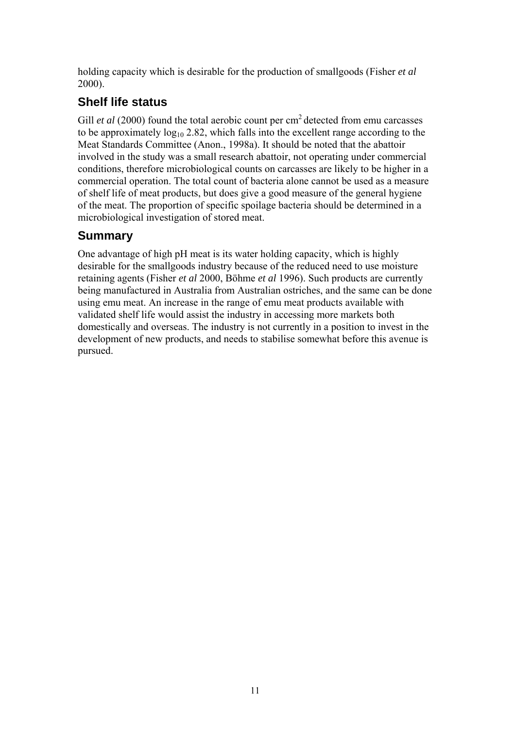holding capacity which is desirable for the production of smallgoods (Fisher *et al* 2000).

## **Shelf life status**

Gill *et al* (2000) found the total aerobic count per cm<sup>2</sup> detected from emu carcasses to be approximately  $log_{10} 2.82$ , which falls into the excellent range according to the Meat Standards Committee (Anon., 1998a). It should be noted that the abattoir involved in the study was a small research abattoir, not operating under commercial conditions, therefore microbiological counts on carcasses are likely to be higher in a commercial operation. The total count of bacteria alone cannot be used as a measure of shelf life of meat products, but does give a good measure of the general hygiene of the meat. The proportion of specific spoilage bacteria should be determined in a microbiological investigation of stored meat.

## **Summary**

One advantage of high pH meat is its water holding capacity, which is highly desirable for the smallgoods industry because of the reduced need to use moisture retaining agents (Fisher *et al* 2000, Böhme *et al* 1996). Such products are currently being manufactured in Australia from Australian ostriches, and the same can be done using emu meat. An increase in the range of emu meat products available with validated shelf life would assist the industry in accessing more markets both domestically and overseas. The industry is not currently in a position to invest in the development of new products, and needs to stabilise somewhat before this avenue is pursued.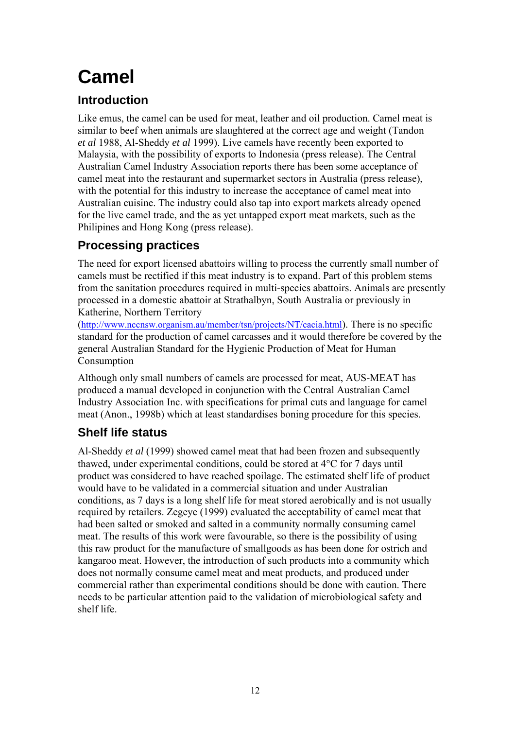# **Camel**

## **Introduction**

Like emus, the camel can be used for meat, leather and oil production. Camel meat is similar to beef when animals are slaughtered at the correct age and weight (Tandon *et al* 1988, Al-Sheddy *et al* 1999). Live camels have recently been exported to Malaysia, with the possibility of exports to Indonesia (press release). The Central Australian Camel Industry Association reports there has been some acceptance of camel meat into the restaurant and supermarket sectors in Australia (press release), with the potential for this industry to increase the acceptance of camel meat into Australian cuisine. The industry could also tap into export markets already opened for the live camel trade, and the as yet untapped export meat markets, such as the Philipines and Hong Kong (press release).

## **Processing practices**

The need for export licensed abattoirs willing to process the currently small number of camels must be rectified if this meat industry is to expand. Part of this problem stems from the sanitation procedures required in multi-species abattoirs. Animals are presently processed in a domestic abattoir at Strathalbyn, South Australia or previously in Katherine, Northern Territory

([http://www.nccnsw.organism.au/member/tsn/projects/NT/cacia.html\)](http://www.nccnsw.organism.au/member/tsn/projects/NT/cacia.html). There is no specific standard for the production of camel carcasses and it would therefore be covered by the general Australian Standard for the Hygienic Production of Meat for Human Consumption

Although only small numbers of camels are processed for meat, AUS-MEAT has produced a manual developed in conjunction with the Central Australian Camel Industry Association Inc. with specifications for primal cuts and language for camel meat (Anon., 1998b) which at least standardises boning procedure for this species.

## **Shelf life status**

Al-Sheddy *et al* (1999) showed camel meat that had been frozen and subsequently thawed, under experimental conditions, could be stored at 4°C for 7 days until product was considered to have reached spoilage. The estimated shelf life of product would have to be validated in a commercial situation and under Australian conditions, as 7 days is a long shelf life for meat stored aerobically and is not usually required by retailers. Zegeye (1999) evaluated the acceptability of camel meat that had been salted or smoked and salted in a community normally consuming camel meat. The results of this work were favourable, so there is the possibility of using this raw product for the manufacture of smallgoods as has been done for ostrich and kangaroo meat. However, the introduction of such products into a community which does not normally consume camel meat and meat products, and produced under commercial rather than experimental conditions should be done with caution. There needs to be particular attention paid to the validation of microbiological safety and shelf life.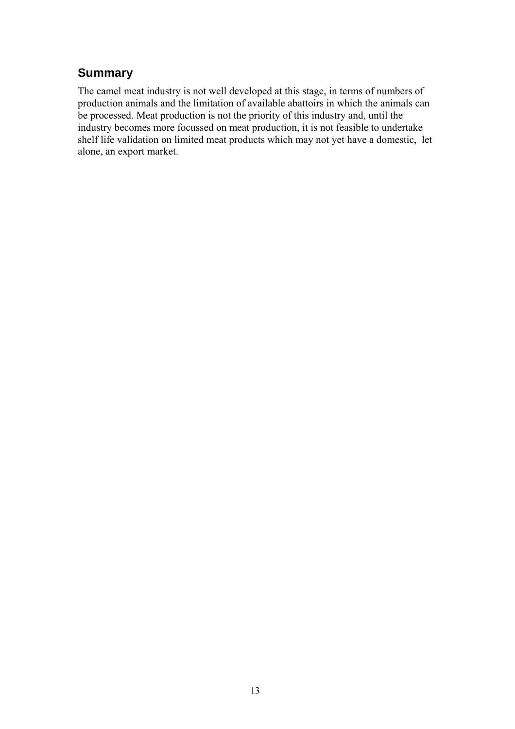## **Summary**

The camel meat industry is not well developed at this stage, in terms of numbers of production animals and the limitation of available abattoirs in which the animals can be processed. Meat production is not the priority of this industry and, until the industry becomes more focussed on meat production, it is not feasible to undertake shelf life validation on limited meat products which may not yet have a domestic, let alone, an export market.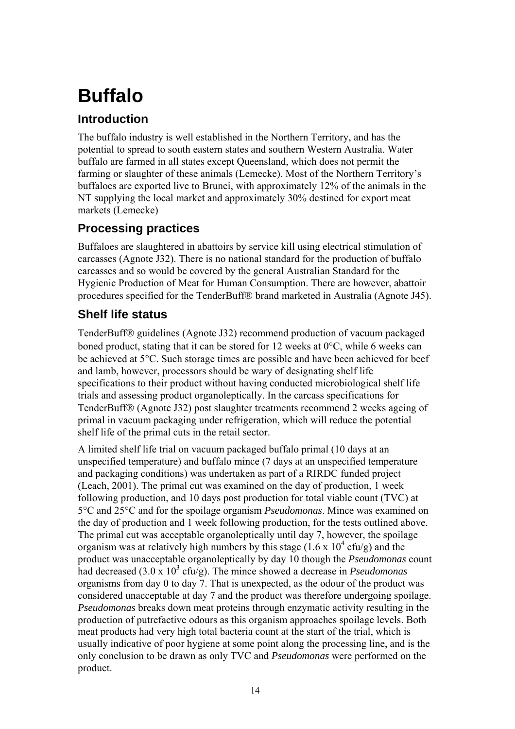# **Buffalo**

## **Introduction**

The buffalo industry is well established in the Northern Territory, and has the potential to spread to south eastern states and southern Western Australia. Water buffalo are farmed in all states except Queensland, which does not permit the farming or slaughter of these animals (Lemecke). Most of the Northern Territory's buffaloes are exported live to Brunei, with approximately 12% of the animals in the NT supplying the local market and approximately 30% destined for export meat markets (Lemecke)

## **Processing practices**

Buffaloes are slaughtered in abattoirs by service kill using electrical stimulation of carcasses (Agnote J32). There is no national standard for the production of buffalo carcasses and so would be covered by the general Australian Standard for the Hygienic Production of Meat for Human Consumption. There are however, abattoir procedures specified for the TenderBuff® brand marketed in Australia (Agnote J45).

## **Shelf life status**

TenderBuff<sup>®</sup> guidelines (Agnote J32) recommend production of vacuum packaged boned product, stating that it can be stored for 12 weeks at 0°C, while 6 weeks can be achieved at 5°C. Such storage times are possible and have been achieved for beef and lamb, however, processors should be wary of designating shelf life specifications to their product without having conducted microbiological shelf life trials and assessing product organoleptically. In the carcass specifications for TenderBuff® (Agnote J32) post slaughter treatments recommend 2 weeks ageing of primal in vacuum packaging under refrigeration, which will reduce the potential shelf life of the primal cuts in the retail sector.

A limited shelf life trial on vacuum packaged buffalo primal (10 days at an unspecified temperature) and buffalo mince (7 days at an unspecified temperature and packaging conditions) was undertaken as part of a RIRDC funded project (Leach, 2001). The primal cut was examined on the day of production, 1 week following production, and 10 days post production for total viable count (TVC) at 5°C and 25°C and for the spoilage organism *Pseudomonas*. Mince was examined on the day of production and 1 week following production, for the tests outlined above. The primal cut was acceptable organoleptically until day 7, however, the spoilage organism was at relatively high numbers by this stage  $(1.6 \times 10^4 \text{ cfty/g})$  and the product was unacceptable organoleptically by day 10 though the *Pseudomonas* count had decreased (3.0 x 10<sup>3</sup> cfu/g). The mince showed a decrease in *Pseudomonas* organisms from day 0 to day 7. That is unexpected, as the odour of the product was considered unacceptable at day 7 and the product was therefore undergoing spoilage. *Pseudomonas* breaks down meat proteins through enzymatic activity resulting in the production of putrefactive odours as this organism approaches spoilage levels. Both meat products had very high total bacteria count at the start of the trial, which is usually indicative of poor hygiene at some point along the processing line, and is the only conclusion to be drawn as only TVC and *Pseudomonas* were performed on the product.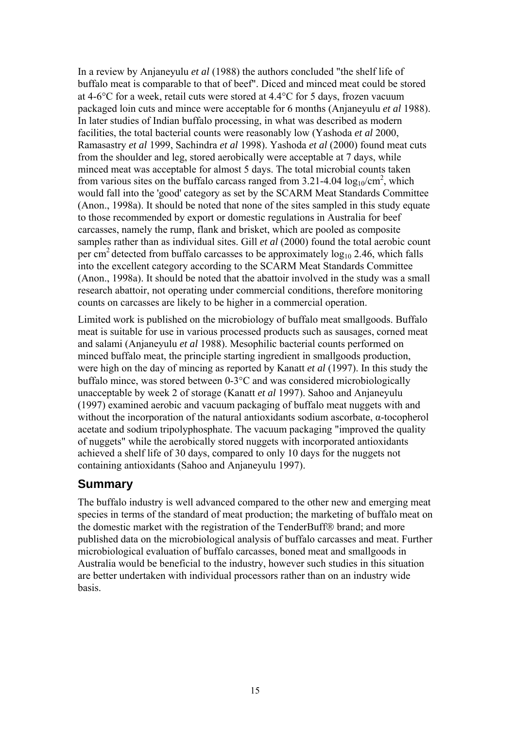In a review by Anjaneyulu *et al* (1988) the authors concluded "the shelf life of buffalo meat is comparable to that of beef". Diced and minced meat could be stored at 4-6°C for a week, retail cuts were stored at 4.4°C for 5 days, frozen vacuum packaged loin cuts and mince were acceptable for 6 months (Anjaneyulu *et al* 1988). In later studies of Indian buffalo processing, in what was described as modern facilities, the total bacterial counts were reasonably low (Yashoda *et al* 2000, Ramasastry *et al* 1999, Sachindra *et al* 1998). Yashoda *et al* (2000) found meat cuts from the shoulder and leg, stored aerobically were acceptable at 7 days, while minced meat was acceptable for almost 5 days. The total microbial counts taken from various sites on the buffalo carcass ranged from  $3.21$ -4.04  $\log_{10}/\text{cm}^2$ , which would fall into the 'good' category as set by the SCARM Meat Standards Committee (Anon., 1998a). It should be noted that none of the sites sampled in this study equate to those recommended by export or domestic regulations in Australia for beef carcasses, namely the rump, flank and brisket, which are pooled as composite samples rather than as individual sites. Gill *et al* (2000) found the total aerobic count per cm<sup>2</sup> detected from buffalo carcasses to be approximately  $log_{10} 2.46$ , which falls into the excellent category according to the SCARM Meat Standards Committee (Anon., 1998a). It should be noted that the abattoir involved in the study was a small research abattoir, not operating under commercial conditions, therefore monitoring counts on carcasses are likely to be higher in a commercial operation.

Limited work is published on the microbiology of buffalo meat smallgoods. Buffalo meat is suitable for use in various processed products such as sausages, corned meat and salami (Anjaneyulu *et al* 1988). Mesophilic bacterial counts performed on minced buffalo meat, the principle starting ingredient in smallgoods production, were high on the day of mincing as reported by Kanatt *et al* (1997). In this study the buffalo mince, was stored between 0-3°C and was considered microbiologically unacceptable by week 2 of storage (Kanatt *et al* 1997). Sahoo and Anjaneyulu (1997) examined aerobic and vacuum packaging of buffalo meat nuggets with and without the incorporation of the natural antioxidants sodium ascorbate, α-tocopherol acetate and sodium tripolyphosphate. The vacuum packaging "improved the quality of nuggets" while the aerobically stored nuggets with incorporated antioxidants achieved a shelf life of 30 days, compared to only 10 days for the nuggets not containing antioxidants (Sahoo and Anjaneyulu 1997).

## **Summary**

The buffalo industry is well advanced compared to the other new and emerging meat species in terms of the standard of meat production; the marketing of buffalo meat on the domestic market with the registration of the TenderBuff® brand; and more published data on the microbiological analysis of buffalo carcasses and meat. Further microbiological evaluation of buffalo carcasses, boned meat and smallgoods in Australia would be beneficial to the industry, however such studies in this situation are better undertaken with individual processors rather than on an industry wide basis.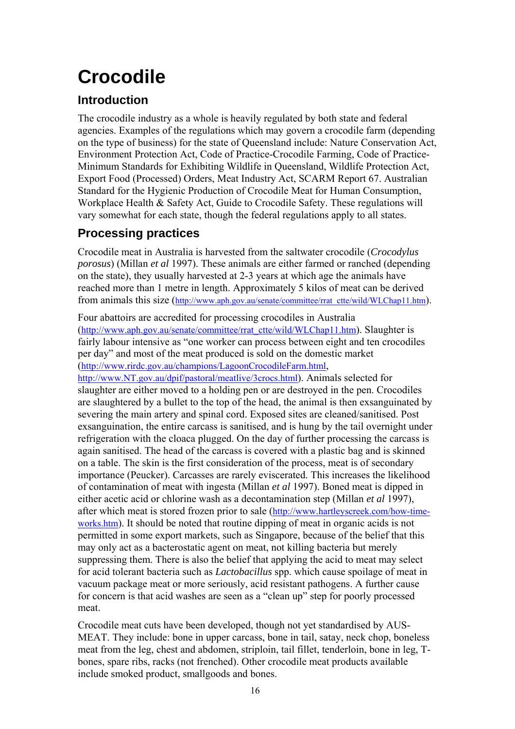# **Crocodile**

## **Introduction**

The crocodile industry as a whole is heavily regulated by both state and federal agencies. Examples of the regulations which may govern a crocodile farm (depending on the type of business) for the state of Queensland include: Nature Conservation Act, Environment Protection Act, Code of Practice-Crocodile Farming, Code of Practice-Minimum Standards for Exhibiting Wildlife in Queensland, Wildlife Protection Act, Export Food (Processed) Orders, Meat Industry Act, SCARM Report 67. Australian Standard for the Hygienic Production of Crocodile Meat for Human Consumption, Workplace Health & Safety Act, Guide to Crocodile Safety. These regulations will vary somewhat for each state, though the federal regulations apply to all states.

## **Processing practices**

Crocodile meat in Australia is harvested from the saltwater crocodile (*Crocodylus porosus*) (Millan *et al* 1997). These animals are either farmed or ranched (depending on the state), they usually harvested at 2-3 years at which age the animals have reached more than 1 metre in length. Approximately 5 kilos of meat can be derived from animals this size [\(http://www.aph.gov.au/senate/committee/rrat\\_ctte/wild/WLChap11.htm\)](http://www.aph.gov.au/senate/committee/rrat_ctte/wild/WLChap11.htm).

Four abattoirs are accredited for processing crocodiles in Australia ([http://www.aph.gov.au/senate/committee/rrat\\_ctte/wild/WLChap11.htm\)](http://www.aph.gov.au/senate/committee/rrat_ctte/wild/WLChap11.htm). Slaughter is fairly labour intensive as "one worker can process between eight and ten crocodiles per day" and most of the meat produced is sold on the domestic market ([http://www.rirdc.gov.au/champions/LagoonCrocodileFarm.html,](http://www.rirdc.gov.au/champions/LagoonCrocodileFarm.html)

[http://www.NT.gov.au/dpif/pastoral/meatlive/3crocs.html\)](http://www.nt.gov.au/dpif/pastoral/meatlive/3crocs.html). Animals selected for slaughter are either moved to a holding pen or are destroyed in the pen. Crocodiles are slaughtered by a bullet to the top of the head, the animal is then exsanguinated by severing the main artery and spinal cord. Exposed sites are cleaned/sanitised. Post exsanguination, the entire carcass is sanitised, and is hung by the tail overnight under refrigeration with the cloaca plugged. On the day of further processing the carcass is again sanitised. The head of the carcass is covered with a plastic bag and is skinned on a table. The skin is the first consideration of the process, meat is of secondary importance (Peucker). Carcasses are rarely eviscerated. This increases the likelihood of contamination of meat with ingesta (Millan *et al* 1997). Boned meat is dipped in either acetic acid or chlorine wash as a decontamination step (Millan *et al* 1997), after which meat is stored frozen prior to sale [\(http://www.hartleyscreek.com/how-time](http://www.hartleyscreek.com/how-time-works.htm)[works.htm\)](http://www.hartleyscreek.com/how-time-works.htm). It should be noted that routine dipping of meat in organic acids is not permitted in some export markets, such as Singapore, because of the belief that this may only act as a bacterostatic agent on meat, not killing bacteria but merely suppressing them. There is also the belief that applying the acid to meat may select for acid tolerant bacteria such as *Lactobacillus* spp. which cause spoilage of meat in vacuum package meat or more seriously, acid resistant pathogens. A further cause for concern is that acid washes are seen as a "clean up" step for poorly processed meat.

Crocodile meat cuts have been developed, though not yet standardised by AUS-MEAT. They include: bone in upper carcass, bone in tail, satay, neck chop, boneless meat from the leg, chest and abdomen, striploin, tail fillet, tenderloin, bone in leg, Tbones, spare ribs, racks (not frenched). Other crocodile meat products available include smoked product, smallgoods and bones.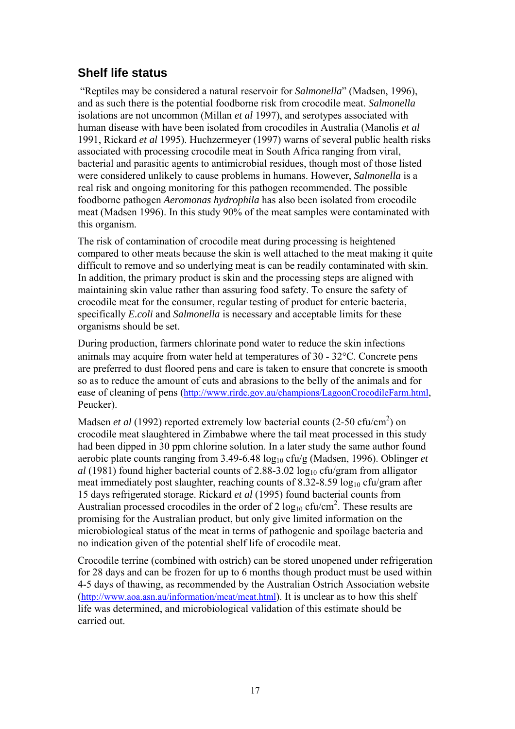## **Shelf life status**

"Reptiles may be considered a natural reservoir for *Salmonella*" (Madsen, 1996), and as such there is the potential foodborne risk from crocodile meat. *Salmonella* isolations are not uncommon (Millan *et al* 1997), and serotypes associated with human disease with have been isolated from crocodiles in Australia (Manolis *et al* 1991, Rickard *et al* 1995). Huchzermeyer (1997) warns of several public health risks associated with processing crocodile meat in South Africa ranging from viral, bacterial and parasitic agents to antimicrobial residues, though most of those listed were considered unlikely to cause problems in humans. However, *Salmonella* is a real risk and ongoing monitoring for this pathogen recommended. The possible foodborne pathogen *Aeromonas hydrophila* has also been isolated from crocodile meat (Madsen 1996). In this study 90% of the meat samples were contaminated with this organism.

The risk of contamination of crocodile meat during processing is heightened compared to other meats because the skin is well attached to the meat making it quite difficult to remove and so underlying meat is can be readily contaminated with skin. In addition, the primary product is skin and the processing steps are aligned with maintaining skin value rather than assuring food safety. To ensure the safety of crocodile meat for the consumer, regular testing of product for enteric bacteria, specifically *E.coli* and *Salmonella* is necessary and acceptable limits for these organisms should be set.

During production, farmers chlorinate pond water to reduce the skin infections animals may acquire from water held at temperatures of 30 - 32°C. Concrete pens are preferred to dust floored pens and care is taken to ensure that concrete is smooth so as to reduce the amount of cuts and abrasions to the belly of the animals and for ease of cleaning of pens [\(http://www.rirdc.gov.au/champions/LagoonCrocodileFarm.html,](http://www.rirdc.gov.au/champions/LagoonCrocodileFarm.html) Peucker).

Madsen *et al* (1992) reported extremely low bacterial counts (2-50 cfu/cm<sup>2</sup>) on crocodile meat slaughtered in Zimbabwe where the tail meat processed in this study had been dipped in 30 ppm chlorine solution. In a later study the same author found aerobic plate counts ranging from 3.49-6.48  $log_{10}$  cfu/g (Madsen, 1996). Oblinger *et al* (1981) found higher bacterial counts of 2.88-3.02 log10 cfu/gram from alligator meat immediately post slaughter, reaching counts of  $8.32 - 8.59 \log_{10} c \frac{f u}{\gamma}$  ram after 15 days refrigerated storage. Rickard *et al* (1995) found bacterial counts from Australian processed crocodiles in the order of  $2 \log_{10} \frac{\text{ctu/cm}^2}{\text{cm}^2}$ . These results are promising for the Australian product, but only give limited information on the microbiological status of the meat in terms of pathogenic and spoilage bacteria and no indication given of the potential shelf life of crocodile meat.

Crocodile terrine (combined with ostrich) can be stored unopened under refrigeration for 28 days and can be frozen for up to 6 months though product must be used within 4-5 days of thawing, as recommended by the Australian Ostrich Association website ([http://www.aoa.asn.au/information/meat/meat.html\)](http://www.aoa.asn.au/information/meat/meat.html). It is unclear as to how this shelf life was determined, and microbiological validation of this estimate should be carried out.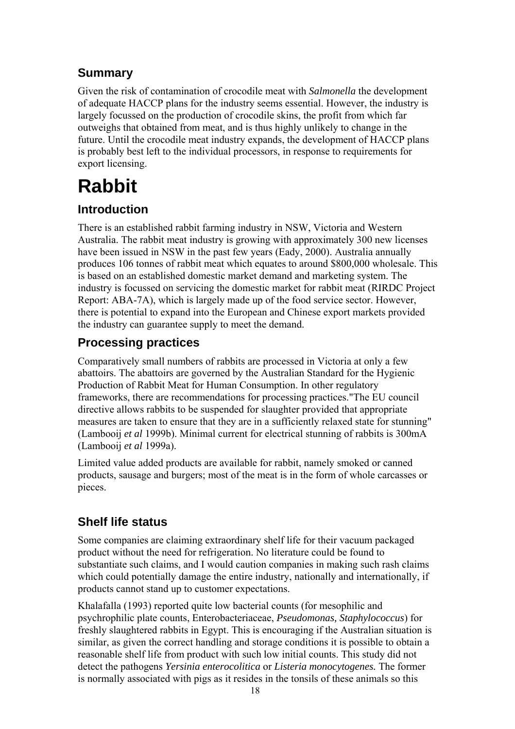## **Summary**

Given the risk of contamination of crocodile meat with *Salmonella* the development of adequate HACCP plans for the industry seems essential. However, the industry is largely focussed on the production of crocodile skins, the profit from which far outweighs that obtained from meat, and is thus highly unlikely to change in the future. Until the crocodile meat industry expands, the development of HACCP plans is probably best left to the individual processors, in response to requirements for export licensing.

## **Rabbit**

## **Introduction**

There is an established rabbit farming industry in NSW, Victoria and Western Australia. The rabbit meat industry is growing with approximately 300 new licenses have been issued in NSW in the past few years (Eady, 2000). Australia annually produces 106 tonnes of rabbit meat which equates to around \$800,000 wholesale. This is based on an established domestic market demand and marketing system. The industry is focussed on servicing the domestic market for rabbit meat (RIRDC Project Report: ABA-7A), which is largely made up of the food service sector. However, there is potential to expand into the European and Chinese export markets provided the industry can guarantee supply to meet the demand.

## **Processing practices**

Comparatively small numbers of rabbits are processed in Victoria at only a few abattoirs. The abattoirs are governed by the Australian Standard for the Hygienic Production of Rabbit Meat for Human Consumption. In other regulatory frameworks, there are recommendations for processing practices."The EU council directive allows rabbits to be suspended for slaughter provided that appropriate measures are taken to ensure that they are in a sufficiently relaxed state for stunning" (Lambooij *et al* 1999b). Minimal current for electrical stunning of rabbits is 300mA (Lambooij *et al* 1999a).

Limited value added products are available for rabbit, namely smoked or canned products, sausage and burgers; most of the meat is in the form of whole carcasses or pieces.

## **Shelf life status**

Some companies are claiming extraordinary shelf life for their vacuum packaged product without the need for refrigeration. No literature could be found to substantiate such claims, and I would caution companies in making such rash claims which could potentially damage the entire industry, nationally and internationally, if products cannot stand up to customer expectations.

Khalafalla (1993) reported quite low bacterial counts (for mesophilic and psychrophilic plate counts, Enterobacteriaceae, *Pseudomonas, Staphylococcus*) for freshly slaughtered rabbits in Egypt. This is encouraging if the Australian situation is similar, as given the correct handling and storage conditions it is possible to obtain a reasonable shelf life from product with such low initial counts. This study did not detect the pathogens *Yersinia enterocolitica* or *Listeria monocytogenes.* The former is normally associated with pigs as it resides in the tonsils of these animals so this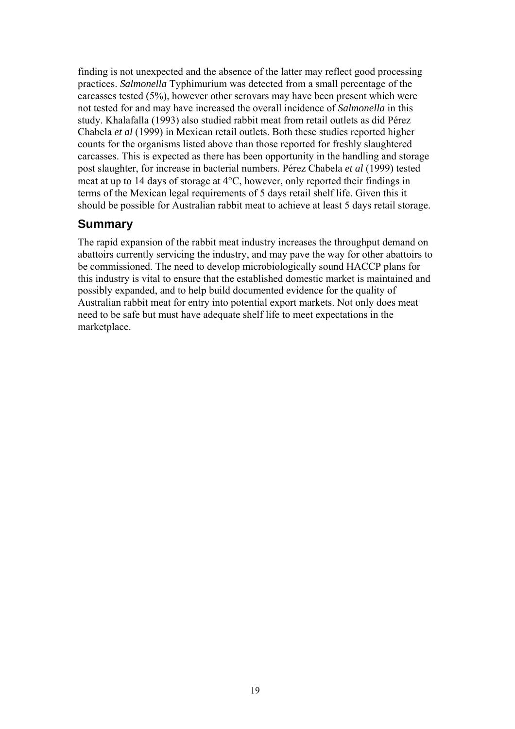finding is not unexpected and the absence of the latter may reflect good processing practices. *Salmonella* Typhimurium was detected from a small percentage of the carcasses tested (5%), however other serovars may have been present which were not tested for and may have increased the overall incidence of *Salmonella* in this study. Khalafalla (1993) also studied rabbit meat from retail outlets as did Pérez Chabela *et al* (1999) in Mexican retail outlets. Both these studies reported higher counts for the organisms listed above than those reported for freshly slaughtered carcasses. This is expected as there has been opportunity in the handling and storage post slaughter, for increase in bacterial numbers. Pérez Chabela *et al* (1999) tested meat at up to 14 days of storage at 4°C, however, only reported their findings in terms of the Mexican legal requirements of 5 days retail shelf life. Given this it should be possible for Australian rabbit meat to achieve at least 5 days retail storage.

## **Summary**

The rapid expansion of the rabbit meat industry increases the throughput demand on abattoirs currently servicing the industry, and may pave the way for other abattoirs to be commissioned. The need to develop microbiologically sound HACCP plans for this industry is vital to ensure that the established domestic market is maintained and possibly expanded, and to help build documented evidence for the quality of Australian rabbit meat for entry into potential export markets. Not only does meat need to be safe but must have adequate shelf life to meet expectations in the marketplace.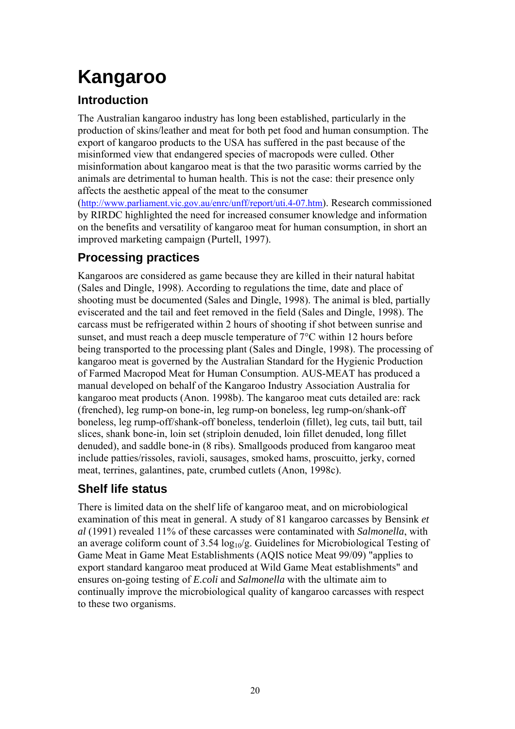# **Kangaroo**

## **Introduction**

The Australian kangaroo industry has long been established, particularly in the production of skins/leather and meat for both pet food and human consumption. The export of kangaroo products to the USA has suffered in the past because of the misinformed view that endangered species of macropods were culled. Other misinformation about kangaroo meat is that the two parasitic worms carried by the animals are detrimental to human health. This is not the case: their presence only affects the aesthetic appeal of the meat to the consumer

([http://www.parliament.vic.gov.au/enrc/unff/report/uti.4-07.htm\)](http://www.parliament.vic.gov.au/enrc/unff/report/uti.4-07.htm). Research commissioned by RIRDC highlighted the need for increased consumer knowledge and information on the benefits and versatility of kangaroo meat for human consumption, in short an improved marketing campaign (Purtell, 1997).

## **Processing practices**

Kangaroos are considered as game because they are killed in their natural habitat (Sales and Dingle, 1998). According to regulations the time, date and place of shooting must be documented (Sales and Dingle, 1998). The animal is bled, partially eviscerated and the tail and feet removed in the field (Sales and Dingle, 1998). The carcass must be refrigerated within 2 hours of shooting if shot between sunrise and sunset, and must reach a deep muscle temperature of 7°C within 12 hours before being transported to the processing plant (Sales and Dingle, 1998). The processing of kangaroo meat is governed by the Australian Standard for the Hygienic Production of Farmed Macropod Meat for Human Consumption. AUS-MEAT has produced a manual developed on behalf of the Kangaroo Industry Association Australia for kangaroo meat products (Anon. 1998b). The kangaroo meat cuts detailed are: rack (frenched), leg rump-on bone-in, leg rump-on boneless, leg rump-on/shank-off boneless, leg rump-off/shank-off boneless, tenderloin (fillet), leg cuts, tail butt, tail slices, shank bone-in, loin set (striploin denuded, loin fillet denuded, long fillet denuded), and saddle bone-in (8 ribs). Smallgoods produced from kangaroo meat include patties/rissoles, ravioli, sausages, smoked hams, proscuitto, jerky, corned meat, terrines, galantines, pate, crumbed cutlets (Anon, 1998c).

## **Shelf life status**

There is limited data on the shelf life of kangaroo meat, and on microbiological examination of this meat in general. A study of 81 kangaroo carcasses by Bensink *et al* (1991) revealed 11% of these carcasses were contaminated with *Salmonella*, with an average coliform count of  $3.54 \log_{10}/g$ . Guidelines for Microbiological Testing of Game Meat in Game Meat Establishments (AQIS notice Meat 99/09) "applies to export standard kangaroo meat produced at Wild Game Meat establishments" and ensures on-going testing of *E.coli* and *Salmonella* with the ultimate aim to continually improve the microbiological quality of kangaroo carcasses with respect to these two organisms.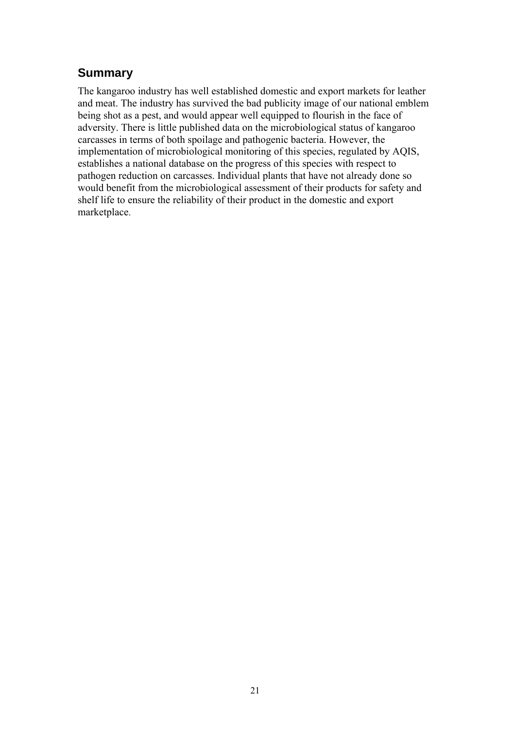## **Summary**

The kangaroo industry has well established domestic and export markets for leather and meat. The industry has survived the bad publicity image of our national emblem being shot as a pest, and would appear well equipped to flourish in the face of adversity. There is little published data on the microbiological status of kangaroo carcasses in terms of both spoilage and pathogenic bacteria. However, the implementation of microbiological monitoring of this species, regulated by AQIS, establishes a national database on the progress of this species with respect to pathogen reduction on carcasses. Individual plants that have not already done so would benefit from the microbiological assessment of their products for safety and shelf life to ensure the reliability of their product in the domestic and export marketplace.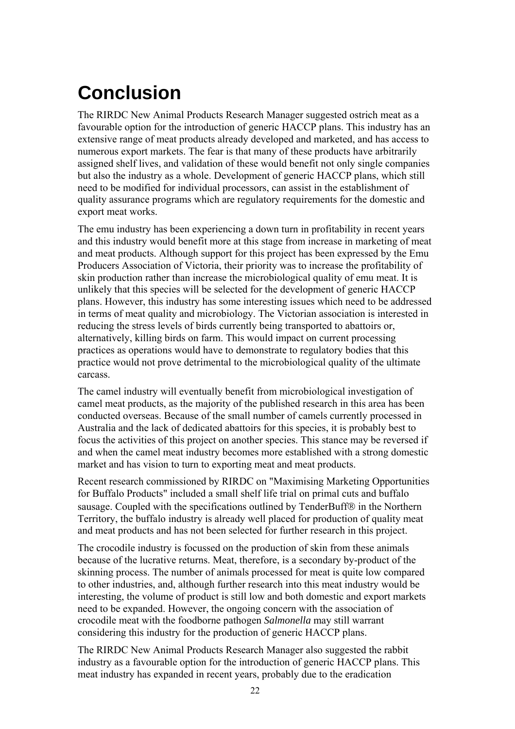# **Conclusion**

The RIRDC New Animal Products Research Manager suggested ostrich meat as a favourable option for the introduction of generic HACCP plans. This industry has an extensive range of meat products already developed and marketed, and has access to numerous export markets. The fear is that many of these products have arbitrarily assigned shelf lives, and validation of these would benefit not only single companies but also the industry as a whole. Development of generic HACCP plans, which still need to be modified for individual processors, can assist in the establishment of quality assurance programs which are regulatory requirements for the domestic and export meat works.

The emu industry has been experiencing a down turn in profitability in recent years and this industry would benefit more at this stage from increase in marketing of meat and meat products. Although support for this project has been expressed by the Emu Producers Association of Victoria, their priority was to increase the profitability of skin production rather than increase the microbiological quality of emu meat. It is unlikely that this species will be selected for the development of generic HACCP plans. However, this industry has some interesting issues which need to be addressed in terms of meat quality and microbiology. The Victorian association is interested in reducing the stress levels of birds currently being transported to abattoirs or, alternatively, killing birds on farm. This would impact on current processing practices as operations would have to demonstrate to regulatory bodies that this practice would not prove detrimental to the microbiological quality of the ultimate carcass.

The camel industry will eventually benefit from microbiological investigation of camel meat products, as the majority of the published research in this area has been conducted overseas. Because of the small number of camels currently processed in Australia and the lack of dedicated abattoirs for this species, it is probably best to focus the activities of this project on another species. This stance may be reversed if and when the camel meat industry becomes more established with a strong domestic market and has vision to turn to exporting meat and meat products.

Recent research commissioned by RIRDC on "Maximising Marketing Opportunities for Buffalo Products" included a small shelf life trial on primal cuts and buffalo sausage. Coupled with the specifications outlined by TenderBuff® in the Northern Territory, the buffalo industry is already well placed for production of quality meat and meat products and has not been selected for further research in this project.

The crocodile industry is focussed on the production of skin from these animals because of the lucrative returns. Meat, therefore, is a secondary by-product of the skinning process. The number of animals processed for meat is quite low compared to other industries, and, although further research into this meat industry would be interesting, the volume of product is still low and both domestic and export markets need to be expanded. However, the ongoing concern with the association of crocodile meat with the foodborne pathogen *Salmonella* may still warrant considering this industry for the production of generic HACCP plans.

The RIRDC New Animal Products Research Manager also suggested the rabbit industry as a favourable option for the introduction of generic HACCP plans. This meat industry has expanded in recent years, probably due to the eradication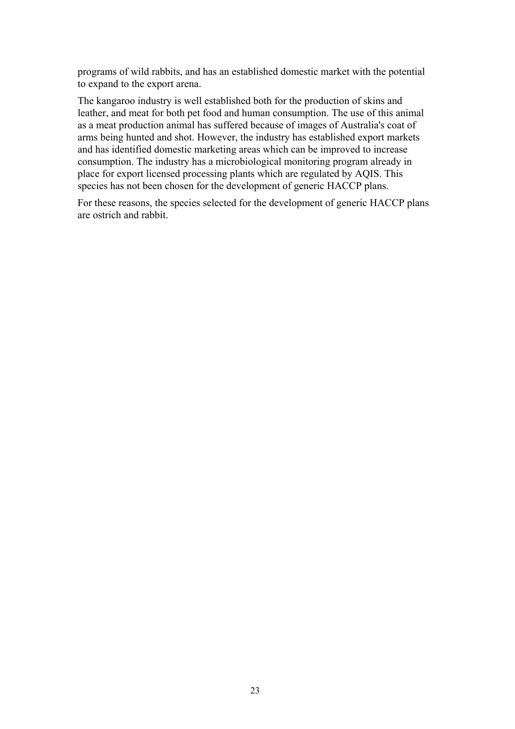programs of wild rabbits, and has an established domestic market with the potential to expand to the export arena.

The kangaroo industry is well established both for the production of skins and leather, and meat for both pet food and human consumption. The use of this animal as a meat production animal has suffered because of images of Australia's coat of arms being hunted and shot. However, the industry has established export markets and has identified domestic marketing areas which can be improved to increase consumption. The industry has a microbiological monitoring program already in place for export licensed processing plants which are regulated by AQIS. This species has not been chosen for the development of generic HACCP plans.

For these reasons, the species selected for the development of generic HACCP plans are ostrich and rabbit.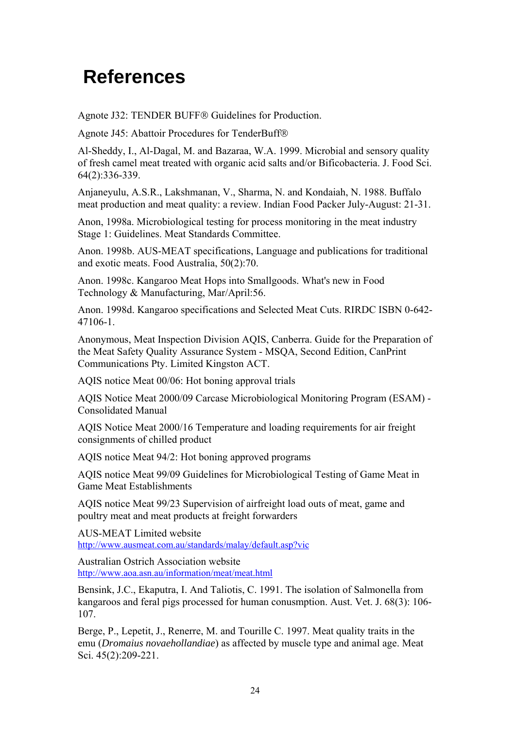## **References**

Agnote J32: TENDER BUFF<sup>®</sup> Guidelines for Production.

Agnote J45: Abattoir Procedures for TenderBuff®

Al-Sheddy, I., Al-Dagal, M. and Bazaraa, W.A. 1999. Microbial and sensory quality of fresh camel meat treated with organic acid salts and/or Bificobacteria. J. Food Sci. 64(2):336-339.

Anjaneyulu, A.S.R., Lakshmanan, V., Sharma, N. and Kondaiah, N. 1988. Buffalo meat production and meat quality: a review. Indian Food Packer July-August: 21-31.

Anon, 1998a. Microbiological testing for process monitoring in the meat industry Stage 1: Guidelines. Meat Standards Committee.

Anon. 1998b. AUS-MEAT specifications, Language and publications for traditional and exotic meats. Food Australia, 50(2):70.

Anon. 1998c. Kangaroo Meat Hops into Smallgoods. What's new in Food Technology & Manufacturing, Mar/April:56.

Anon. 1998d. Kangaroo specifications and Selected Meat Cuts. RIRDC ISBN 0-642- 47106-1.

Anonymous, Meat Inspection Division AQIS, Canberra. Guide for the Preparation of the Meat Safety Quality Assurance System - MSQA, Second Edition, CanPrint Communications Pty. Limited Kingston ACT.

AQIS notice Meat 00/06: Hot boning approval trials

AQIS Notice Meat 2000/09 Carcase Microbiological Monitoring Program (ESAM) - Consolidated Manual

AQIS Notice Meat 2000/16 Temperature and loading requirements for air freight consignments of chilled product

AQIS notice Meat 94/2: Hot boning approved programs

AQIS notice Meat 99/09 Guidelines for Microbiological Testing of Game Meat in Game Meat Establishments

AQIS notice Meat 99/23 Supervision of airfreight load outs of meat, game and poultry meat and meat products at freight forwarders

AUS-MEAT Limited website <http://www.ausmeat.com.au/standards/malay/default.asp?vic>

Australian Ostrich Association website <http://www.aoa.asn.au/information/meat/meat.html>

Bensink, J.C., Ekaputra, I. And Taliotis, C. 1991. The isolation of Salmonella from kangaroos and feral pigs processed for human conusmption. Aust. Vet. J. 68(3): 106- 107.

Berge, P., Lepetit, J., Renerre, M. and Tourille C. 1997. Meat quality traits in the emu (*Dromaius novaehollandiae*) as affected by muscle type and animal age. Meat Sci. 45(2):209-221.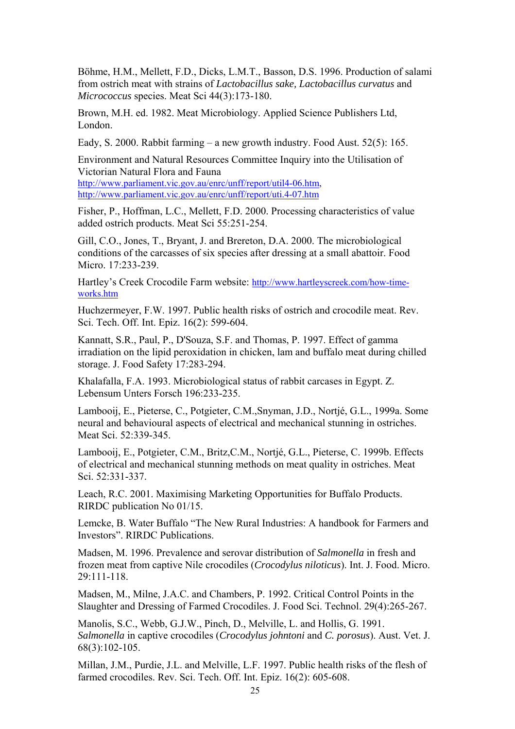Böhme, H.M., Mellett, F.D., Dicks, L.M.T., Basson, D.S. 1996. Production of salami from ostrich meat with strains of *Lactobacillus sake, Lactobacillus curvatus* and *Micrococcus* species. Meat Sci 44(3):173-180.

Brown, M.H. ed. 1982. Meat Microbiology. Applied Science Publishers Ltd, London.

Eady, S. 2000. Rabbit farming – a new growth industry. Food Aust. 52(5): 165.

Environment and Natural Resources Committee Inquiry into the Utilisation of Victorian Natural Flora and Fauna [http://www.parliament.vic.gov.au/enrc/unff/report/util4-06.htm,](http://www.parliament.vic.gov.au/enrc/unff/report/util4-06.htm) <http://www.parliament.vic.gov.au/enrc/unff/report/uti.4-07.htm>

Fisher, P., Hoffman, L.C., Mellett, F.D. 2000. Processing characteristics of value added ostrich products. Meat Sci 55:251-254.

Gill, C.O., Jones, T., Bryant, J. and Brereton, D.A. 2000. The microbiological conditions of the carcasses of six species after dressing at a small abattoir. Food Micro. 17:233-239.

Hartley's Creek Crocodile Farm website: [http://www.hartleyscreek.com/how-time](http://www.hartleyscreek.com/how-time-works.htm)[works.htm](http://www.hartleyscreek.com/how-time-works.htm)

Huchzermeyer, F.W. 1997. Public health risks of ostrich and crocodile meat. Rev. Sci. Tech. Off. Int. Epiz. 16(2): 599-604.

Kannatt, S.R., Paul, P., D'Souza, S.F. and Thomas, P. 1997. Effect of gamma irradiation on the lipid peroxidation in chicken, lam and buffalo meat during chilled storage. J. Food Safety 17:283-294.

Khalafalla, F.A. 1993. Microbiological status of rabbit carcases in Egypt. Z. Lebensum Unters Forsch 196:233-235.

Lambooij, E., Pieterse, C., Potgieter, C.M.,Snyman, J.D., Nortjé, G.L., 1999a. Some neural and behavioural aspects of electrical and mechanical stunning in ostriches. Meat Sci. 52:339-345.

Lambooij, E., Potgieter, C.M., Britz,C.M., Nortjé, G.L., Pieterse, C. 1999b. Effects of electrical and mechanical stunning methods on meat quality in ostriches. Meat Sci. 52:331-337.

Leach, R.C. 2001. Maximising Marketing Opportunities for Buffalo Products. RIRDC publication No 01/15.

Lemcke, B. Water Buffalo "The New Rural Industries: A handbook for Farmers and Investors". RIRDC Publications.

Madsen, M. 1996. Prevalence and serovar distribution of *Salmonella* in fresh and frozen meat from captive Nile crocodiles (*Crocodylus niloticus*). Int. J. Food. Micro. 29:111-118.

Madsen, M., Milne, J.A.C. and Chambers, P. 1992. Critical Control Points in the Slaughter and Dressing of Farmed Crocodiles. J. Food Sci. Technol. 29(4):265-267.

Manolis, S.C., Webb, G.J.W., Pinch, D., Melville, L. and Hollis, G. 1991. *Salmonella* in captive crocodiles (*Crocodylus johntoni* and *C. porosus*). Aust. Vet. J. 68(3):102-105.

Millan, J.M., Purdie, J.L. and Melville, L.F. 1997. Public health risks of the flesh of farmed crocodiles. Rev. Sci. Tech. Off. Int. Epiz. 16(2): 605-608.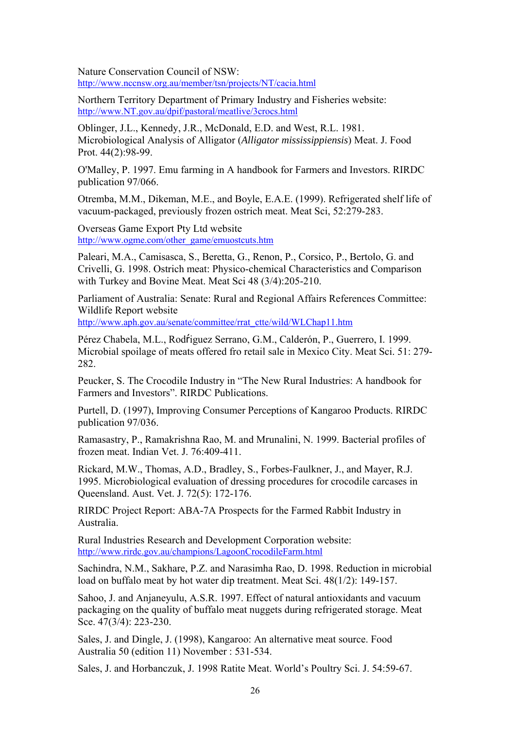Nature Conservation Council of NSW: [http://www.nccnsw.org.au/member/tsn/projects/NT/cacia.html](http://www.nccnsw.organism.au/member/tsn/projects/NT/cacia.html)

Northern Territory Department of Primary Industry and Fisheries website: [http://www.NT.gov.au/dpif/pastoral/meatlive/3crocs.html](http://www.nt.gov.au/dpif/pastoral/meatlive/3crocs.html)

Oblinger, J.L., Kennedy, J.R., McDonald, E.D. and West, R.L. 1981. Microbiological Analysis of Alligator (*Alligator mississippiensis*) Meat. J. Food Prot. 44(2):98-99.

O'Malley, P. 1997. Emu farming in A handbook for Farmers and Investors. RIRDC publication 97/066.

Otremba, M.M., Dikeman, M.E., and Boyle, E.A.E. (1999). Refrigerated shelf life of vacuum-packaged, previously frozen ostrich meat. Meat Sci, 52:279-283.

Overseas Game Export Pty Ltd website [http://www.ogme.com/other\\_game/emuostcuts.htm](http://www.aoa.asn.au/information/meat/meat.html)

Paleari, M.A., Camisasca, S., Beretta, G., Renon, P., Corsico, P., Bertolo, G. and Crivelli, G. 1998. Ostrich meat: Physico-chemical Characteristics and Comparison with Turkey and Bovine Meat. Meat Sci 48 (3/4):205-210.

Parliament of Australia: Senate: Rural and Regional Affairs References Committee: Wildlife Report website

[http://www.aph.gov.au/senate/committee/rrat\\_ctte/wild/WLChap11.htm](http://www.aph.gov.au/senate/committee/rrat_ctte/wild/WLChap11.htm)

Pérez Chabela, M.L., Rodŕiguez Serrano, G.M., Calderón, P., Guerrero, I. 1999. Microbial spoilage of meats offered fro retail sale in Mexico City. Meat Sci. 51: 279- 282.

Peucker, S. The Crocodile Industry in "The New Rural Industries: A handbook for Farmers and Investors". RIRDC Publications.

Purtell, D. (1997), Improving Consumer Perceptions of Kangaroo Products. RIRDC publication 97/036.

Ramasastry, P., Ramakrishna Rao, M. and Mrunalini, N. 1999. Bacterial profiles of frozen meat. Indian Vet. J. 76:409-411.

Rickard, M.W., Thomas, A.D., Bradley, S., Forbes-Faulkner, J., and Mayer, R.J. 1995. Microbiological evaluation of dressing procedures for crocodile carcases in Queensland. Aust. Vet. J. 72(5): 172-176.

RIRDC Project Report: ABA-7A Prospects for the Farmed Rabbit Industry in Australia.

Rural Industries Research and Development Corporation website: <http://www.rirdc.gov.au/champions/LagoonCrocodileFarm.html>

Sachindra, N.M., Sakhare, P.Z. and Narasimha Rao, D. 1998. Reduction in microbial load on buffalo meat by hot water dip treatment. Meat Sci. 48(1/2): 149-157.

Sahoo, J. and Anjaneyulu, A.S.R. 1997. Effect of natural antioxidants and vacuum packaging on the quality of buffalo meat nuggets during refrigerated storage. Meat Sce. 47(3/4): 223-230.

Sales, J. and Dingle, J. (1998), Kangaroo: An alternative meat source. Food Australia 50 (edition 11) November : 531-534.

Sales, J. and Horbanczuk, J. 1998 Ratite Meat. World's Poultry Sci. J. 54:59-67.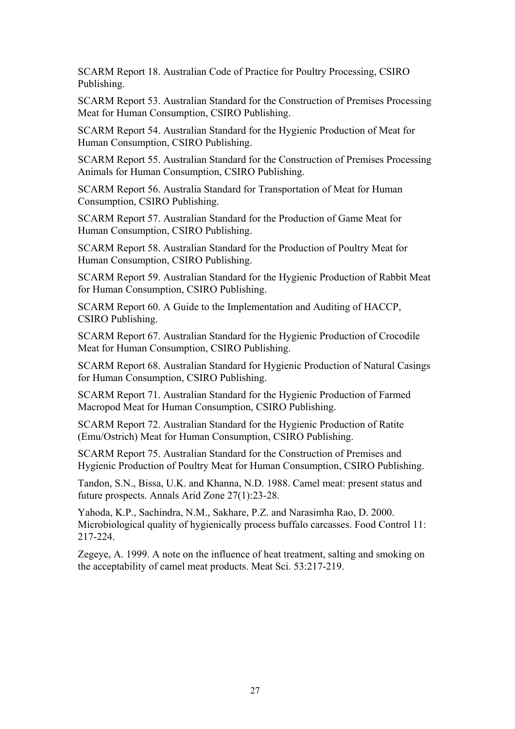SCARM Report 18. Australian Code of Practice for Poultry Processing, CSIRO Publishing.

SCARM Report 53. Australian Standard for the Construction of Premises Processing Meat for Human Consumption, CSIRO Publishing.

SCARM Report 54. Australian Standard for the Hygienic Production of Meat for Human Consumption, CSIRO Publishing.

SCARM Report 55. Australian Standard for the Construction of Premises Processing Animals for Human Consumption, CSIRO Publishing.

SCARM Report 56. Australia Standard for Transportation of Meat for Human Consumption, CSIRO Publishing.

SCARM Report 57. Australian Standard for the Production of Game Meat for Human Consumption, CSIRO Publishing.

SCARM Report 58. Australian Standard for the Production of Poultry Meat for Human Consumption, CSIRO Publishing.

SCARM Report 59. Australian Standard for the Hygienic Production of Rabbit Meat for Human Consumption, CSIRO Publishing.

SCARM Report 60. A Guide to the Implementation and Auditing of HACCP, CSIRO Publishing.

SCARM Report 67. Australian Standard for the Hygienic Production of Crocodile Meat for Human Consumption, CSIRO Publishing.

SCARM Report 68. Australian Standard for Hygienic Production of Natural Casings for Human Consumption, CSIRO Publishing.

SCARM Report 71. Australian Standard for the Hygienic Production of Farmed Macropod Meat for Human Consumption, CSIRO Publishing.

SCARM Report 72. Australian Standard for the Hygienic Production of Ratite (Emu/Ostrich) Meat for Human Consumption, CSIRO Publishing.

SCARM Report 75. Australian Standard for the Construction of Premises and Hygienic Production of Poultry Meat for Human Consumption, CSIRO Publishing.

Tandon, S.N., Bissa, U.K. and Khanna, N.D. 1988. Camel meat: present status and future prospects. Annals Arid Zone 27(1):23-28.

Yahoda, K.P., Sachindra, N.M., Sakhare, P.Z. and Narasimha Rao, D. 2000. Microbiological quality of hygienically process buffalo carcasses. Food Control 11: 217-224.

Zegeye, A. 1999. A note on the influence of heat treatment, salting and smoking on the acceptability of camel meat products. Meat Sci. 53:217-219.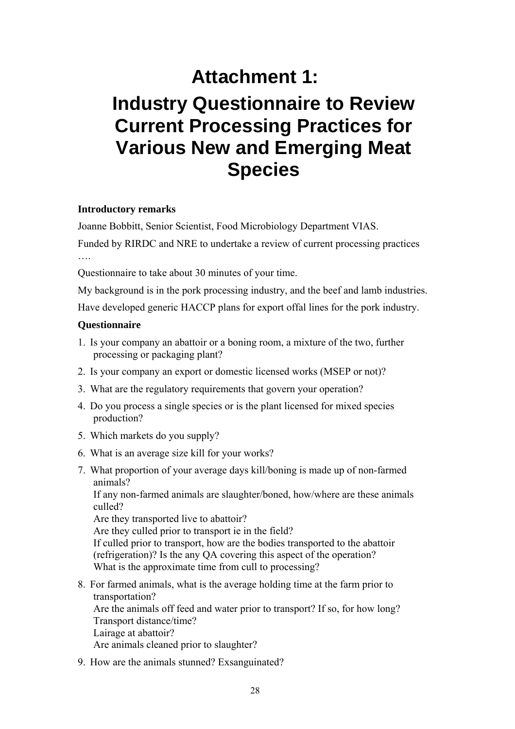## **Attachment 1:**

## **Industry Questionnaire to Review Current Processing Practices for Various New and Emerging Meat Species**

#### **Introductory remarks**

Joanne Bobbitt, Senior Scientist, Food Microbiology Department VIAS.

Funded by RIRDC and NRE to undertake a review of current processing practices

Questionnaire to take about 30 minutes of your time.

My background is in the pork processing industry, and the beef and lamb industries.

Have developed generic HACCP plans for export offal lines for the pork industry.

#### **Questionnaire**

- 1. Is your company an abattoir or a boning room, a mixture of the two, further processing or packaging plant?
- 2. Is your company an export or domestic licensed works (MSEP or not)?
- 3. What are the regulatory requirements that govern your operation?
- 4. Do you process a single species or is the plant licensed for mixed species production?
- 5. Which markets do you supply?
- 6. What is an average size kill for your works?
- 7. What proportion of your average days kill/boning is made up of non-farmed animals?

If any non-farmed animals are slaughter/boned, how/where are these animals culled?

Are they transported live to abattoir?

Are they culled prior to transport ie in the field?

If culled prior to transport, how are the bodies transported to the abattoir (refrigeration)? Is the any QA covering this aspect of the operation? What is the approximate time from cull to processing?

- 8. For farmed animals, what is the average holding time at the farm prior to transportation? Are the animals off feed and water prior to transport? If so, for how long? Transport distance/time? Lairage at abattoir? Are animals cleaned prior to slaughter?
- 9. How are the animals stunned? Exsanguinated?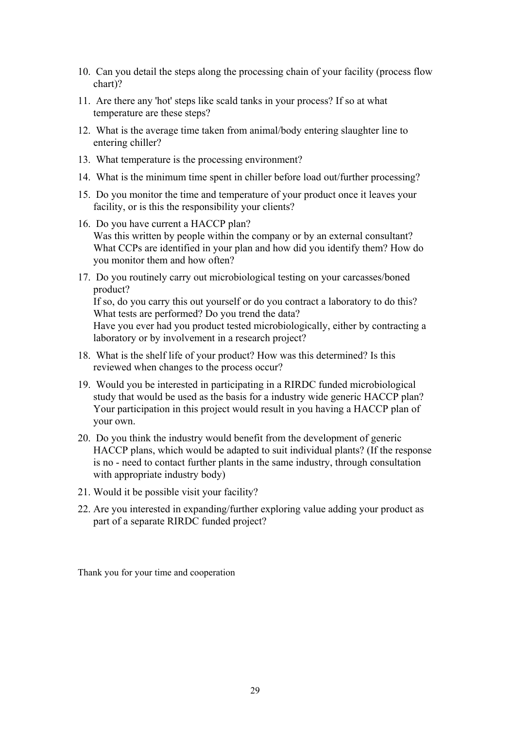- 10. Can you detail the steps along the processing chain of your facility (process flow chart)?
- 11. Are there any 'hot' steps like scald tanks in your process? If so at what temperature are these steps?
- 12. What is the average time taken from animal/body entering slaughter line to entering chiller?
- 13. What temperature is the processing environment?
- 14. What is the minimum time spent in chiller before load out/further processing?
- 15. Do you monitor the time and temperature of your product once it leaves your facility, or is this the responsibility your clients?
- 16. Do you have current a HACCP plan? Was this written by people within the company or by an external consultant? What CCPs are identified in your plan and how did you identify them? How do you monitor them and how often?
- 17. Do you routinely carry out microbiological testing on your carcasses/boned product?

If so, do you carry this out yourself or do you contract a laboratory to do this? What tests are performed? Do you trend the data? Have you ever had you product tested microbiologically, either by contracting a

laboratory or by involvement in a research project?

- 18. What is the shelf life of your product? How was this determined? Is this reviewed when changes to the process occur?
- 19. Would you be interested in participating in a RIRDC funded microbiological study that would be used as the basis for a industry wide generic HACCP plan? Your participation in this project would result in you having a HACCP plan of your own.
- 20. Do you think the industry would benefit from the development of generic HACCP plans, which would be adapted to suit individual plants? (If the response is no - need to contact further plants in the same industry, through consultation with appropriate industry body)
- 21. Would it be possible visit your facility?
- 22. Are you interested in expanding/further exploring value adding your product as part of a separate RIRDC funded project?

Thank you for your time and cooperation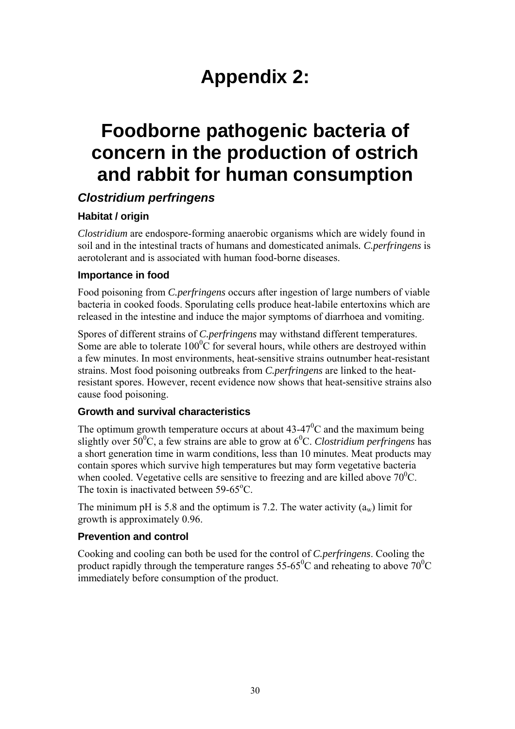## **Appendix 2:**

## **Foodborne pathogenic bacteria of concern in the production of ostrich and rabbit for human consumption**

## *Clostridium perfringens*

#### **Habitat / origin**

*Clostridium* are endospore-forming anaerobic organisms which are widely found in soil and in the intestinal tracts of humans and domesticated animals*. C.perfringens* is aerotolerant and is associated with human food-borne diseases.

#### **Importance in food**

Food poisoning from *C.perfringens* occurs after ingestion of large numbers of viable bacteria in cooked foods. Sporulating cells produce heat-labile entertoxins which are released in the intestine and induce the major symptoms of diarrhoea and vomiting.

Spores of different strains of *C.perfringens* may withstand different temperatures. Some are able to tolerate  $100^{\circ}$ C for several hours, while others are destroyed within a few minutes. In most environments, heat-sensitive strains outnumber heat-resistant strains. Most food poisoning outbreaks from *C.perfringens* are linked to the heatresistant spores. However, recent evidence now shows that heat-sensitive strains also cause food poisoning.

#### **Growth and survival characteristics**

The optimum growth temperature occurs at about  $43-47^{\circ}$ C and the maximum being slightly over 50<sup>°</sup>C, a few strains are able to grow at 6<sup>°</sup>C. *Clostridium perfringens* has a short generation time in warm conditions, less than 10 minutes. Meat products may contain spores which survive high temperatures but may form vegetative bacteria when cooled. Vegetative cells are sensitive to freezing and are killed above  $70^{\circ}$ C. The toxin is inactivated between 59-65°C.

The minimum pH is 5.8 and the optimum is 7.2. The water activity  $(a_w)$  limit for growth is approximately 0.96.

#### **Prevention and control**

Cooking and cooling can both be used for the control of *C.perfringens*. Cooling the product rapidly through the temperature ranges 55-65<sup>0</sup>C and reheating to above 70<sup>0</sup>C immediately before consumption of the product.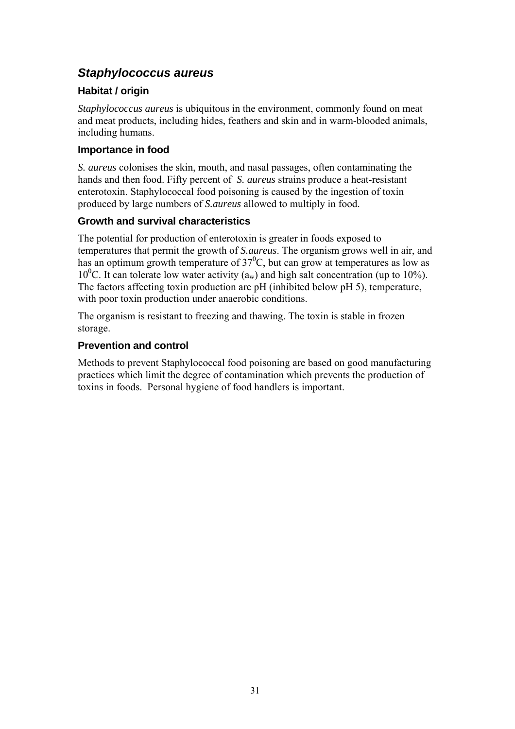## *Staphylococcus aureus*

#### **Habitat / origin**

*Staphylococcus aureus* is ubiquitous in the environment, commonly found on meat and meat products, including hides, feathers and skin and in warm-blooded animals, including humans.

#### **Importance in food**

*S. aureus* colonises the skin, mouth, and nasal passages, often contaminating the hands and then food. Fifty percent of *S. aureus* strains produce a heat-resistant enterotoxin. Staphylococcal food poisoning is caused by the ingestion of toxin produced by large numbers of *S.aureus* allowed to multiply in food.

#### **Growth and survival characteristics**

The potential for production of enterotoxin is greater in foods exposed to temperatures that permit the growth of *S.aureus*. The organism grows well in air, and has an optimum growth temperature of  $37^{\circ}$ C, but can grow at temperatures as low as 10<sup>0</sup>C. It can tolerate low water activity ( $a_w$ ) and high salt concentration (up to 10%). The factors affecting toxin production are pH (inhibited below pH 5), temperature, with poor toxin production under anaerobic conditions.

The organism is resistant to freezing and thawing. The toxin is stable in frozen storage.

#### **Prevention and control**

Methods to prevent Staphylococcal food poisoning are based on good manufacturing practices which limit the degree of contamination which prevents the production of toxins in foods. Personal hygiene of food handlers is important.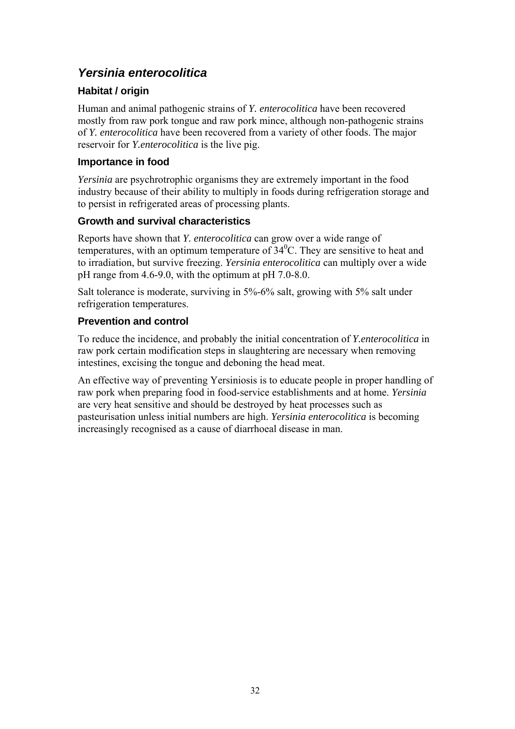## *Yersinia enterocolitica*

### **Habitat / origin**

Human and animal pathogenic strains of *Y. enterocolitica* have been recovered mostly from raw pork tongue and raw pork mince, although non-pathogenic strains of *Y. enterocolitica* have been recovered from a variety of other foods. The major reservoir for *Y.enterocolitica* is the live pig.

#### **Importance in food**

*Yersinia* are psychrotrophic organisms they are extremely important in the food industry because of their ability to multiply in foods during refrigeration storage and to persist in refrigerated areas of processing plants.

#### **Growth and survival characteristics**

Reports have shown that *Y. enterocolitica* can grow over a wide range of temperatures, with an optimum temperature of  $34^{\circ}$ C. They are sensitive to heat and to irradiation, but survive freezing. *Yersinia enterocolitica* can multiply over a wide pH range from 4.6-9.0, with the optimum at pH 7.0-8.0.

Salt tolerance is moderate, surviving in 5%-6% salt, growing with 5% salt under refrigeration temperatures.

### **Prevention and control**

To reduce the incidence, and probably the initial concentration of *Y.enterocolitica* in raw pork certain modification steps in slaughtering are necessary when removing intestines, excising the tongue and deboning the head meat.

An effective way of preventing Yersiniosis is to educate people in proper handling of raw pork when preparing food in food-service establishments and at home. *Yersinia* are very heat sensitive and should be destroyed by heat processes such as pasteurisation unless initial numbers are high. *Yersinia enterocolitica* is becoming increasingly recognised as a cause of diarrhoeal disease in man.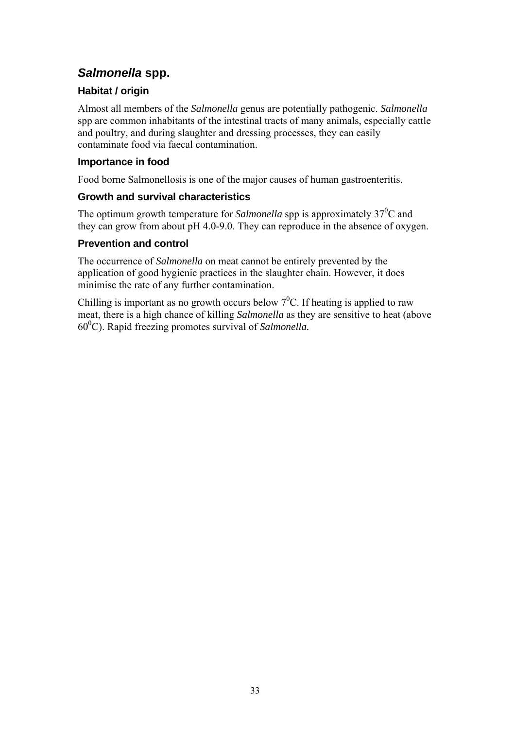## *Salmonella* **spp.**

## **Habitat / origin**

Almost all members of the *Salmonella* genus are potentially pathogenic. *Salmonella* spp are common inhabitants of the intestinal tracts of many animals, especially cattle and poultry, and during slaughter and dressing processes, they can easily contaminate food via faecal contamination.

## **Importance in food**

Food borne Salmonellosis is one of the major causes of human gastroenteritis.

### **Growth and survival characteristics**

The optimum growth temperature for *Salmonella* spp is approximately  $37^{\circ}$ C and they can grow from about pH 4.0-9.0. They can reproduce in the absence of oxygen.

## **Prevention and control**

The occurrence of *Salmonella* on meat cannot be entirely prevented by the application of good hygienic practices in the slaughter chain. However, it does minimise the rate of any further contamination.

Chilling is important as no growth occurs below  $7^0C$ . If heating is applied to raw meat, there is a high chance of killing *Salmonella* as they are sensitive to heat (above 600 C). Rapid freezing promotes survival of *Salmonella.*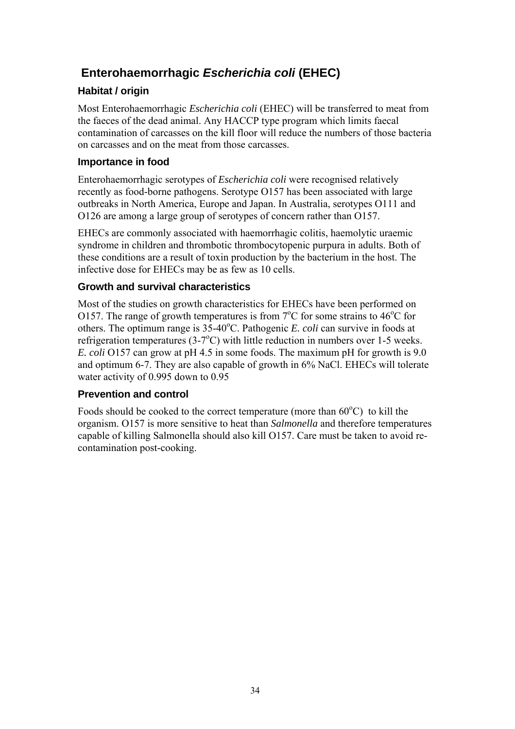## **Enterohaemorrhagic** *Escherichia coli* **(EHEC)**

### **Habitat / origin**

Most Enterohaemorrhagic *Escherichia coli* (EHEC) will be transferred to meat from the faeces of the dead animal. Any HACCP type program which limits faecal contamination of carcasses on the kill floor will reduce the numbers of those bacteria on carcasses and on the meat from those carcasses.

#### **Importance in food**

Enterohaemorrhagic serotypes of *Escherichia coli* were recognised relatively recently as food-borne pathogens. Serotype O157 has been associated with large outbreaks in North America, Europe and Japan. In Australia, serotypes O111 and O126 are among a large group of serotypes of concern rather than O157.

EHECs are commonly associated with haemorrhagic colitis, haemolytic uraemic syndrome in children and thrombotic thrombocytopenic purpura in adults. Both of these conditions are a result of toxin production by the bacterium in the host. The infective dose for EHECs may be as few as 10 cells.

### **Growth and survival characteristics**

Most of the studies on growth characteristics for EHECs have been performed on O157. The range of growth temperatures is from  $7^{\circ}$ C for some strains to 46<sup>o</sup>C for others. The optimum range is 35-40°C. Pathogenic *E. coli* can survive in foods at refrigeration temperatures  $(3\text{-}7\text{°C})$  with little reduction in numbers over 1-5 weeks. *E. coli* O157 can grow at pH 4.5 in some foods. The maximum pH for growth is 9.0 and optimum 6-7. They are also capable of growth in 6% NaCl. EHECs will tolerate water activity of 0.995 down to 0.95

#### **Prevention and control**

Foods should be cooked to the correct temperature (more than  $60^{\circ}$ C) to kill the organism. O157 is more sensitive to heat than *Salmonella* and therefore temperatures capable of killing Salmonella should also kill O157. Care must be taken to avoid recontamination post-cooking.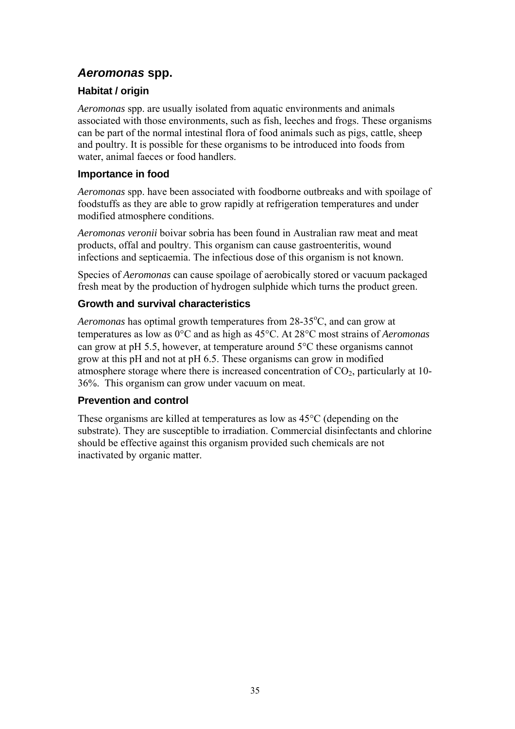## *Aeromonas* **spp.**

### **Habitat / origin**

*Aeromonas* spp. are usually isolated from aquatic environments and animals associated with those environments, such as fish, leeches and frogs. These organisms can be part of the normal intestinal flora of food animals such as pigs, cattle, sheep and poultry. It is possible for these organisms to be introduced into foods from water, animal faeces or food handlers.

#### **Importance in food**

*Aeromonas* spp. have been associated with foodborne outbreaks and with spoilage of foodstuffs as they are able to grow rapidly at refrigeration temperatures and under modified atmosphere conditions.

*Aeromonas veronii* boivar sobria has been found in Australian raw meat and meat products, offal and poultry. This organism can cause gastroenteritis, wound infections and septicaemia. The infectious dose of this organism is not known.

Species of *Aeromonas* can cause spoilage of aerobically stored or vacuum packaged fresh meat by the production of hydrogen sulphide which turns the product green.

#### **Growth and survival characteristics**

Aeromonas has optimal growth temperatures from 28-35<sup>o</sup>C, and can grow at temperatures as low as 0°C and as high as 45°C. At 28°C most strains of *Aeromonas* can grow at pH 5.5, however, at temperature around 5°C these organisms cannot grow at this pH and not at pH 6.5. These organisms can grow in modified atmosphere storage where there is increased concentration of  $CO<sub>2</sub>$ , particularly at 10-36%. This organism can grow under vacuum on meat.

#### **Prevention and control**

These organisms are killed at temperatures as low as 45°C (depending on the substrate). They are susceptible to irradiation. Commercial disinfectants and chlorine should be effective against this organism provided such chemicals are not inactivated by organic matter.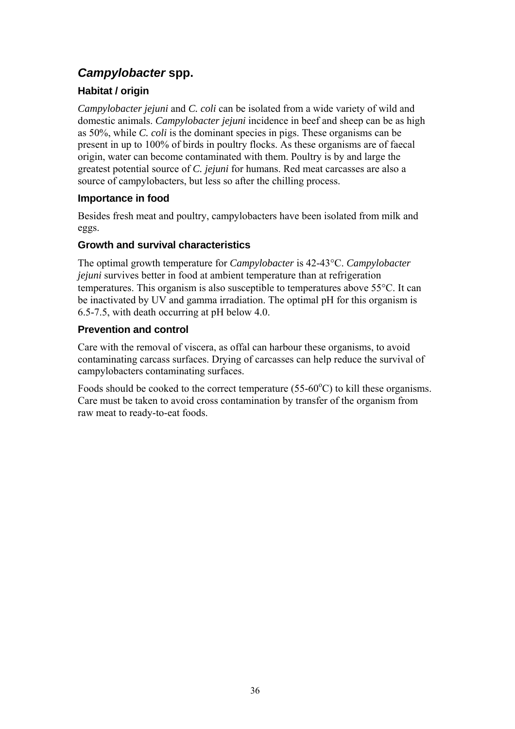## *Campylobacter* **spp.**

## **Habitat / origin**

*Campylobacter jejuni* and *C. coli* can be isolated from a wide variety of wild and domestic animals. *Campylobacter jejuni* incidence in beef and sheep can be as high as 50%, while *C. coli* is the dominant species in pigs. These organisms can be present in up to 100% of birds in poultry flocks. As these organisms are of faecal origin, water can become contaminated with them. Poultry is by and large the greatest potential source of *C. jejuni* for humans. Red meat carcasses are also a source of campylobacters, but less so after the chilling process.

### **Importance in food**

Besides fresh meat and poultry, campylobacters have been isolated from milk and eggs.

### **Growth and survival characteristics**

The optimal growth temperature for *Campylobacter* is 42-43°C. *Campylobacter jejuni* survives better in food at ambient temperature than at refrigeration temperatures. This organism is also susceptible to temperatures above 55°C. It can be inactivated by UV and gamma irradiation. The optimal pH for this organism is 6.5-7.5, with death occurring at pH below 4.0.

### **Prevention and control**

Care with the removal of viscera, as offal can harbour these organisms, to avoid contaminating carcass surfaces. Drying of carcasses can help reduce the survival of campylobacters contaminating surfaces.

Foods should be cooked to the correct temperature  $(55-60^{\circ}C)$  to kill these organisms. Care must be taken to avoid cross contamination by transfer of the organism from raw meat to ready-to-eat foods.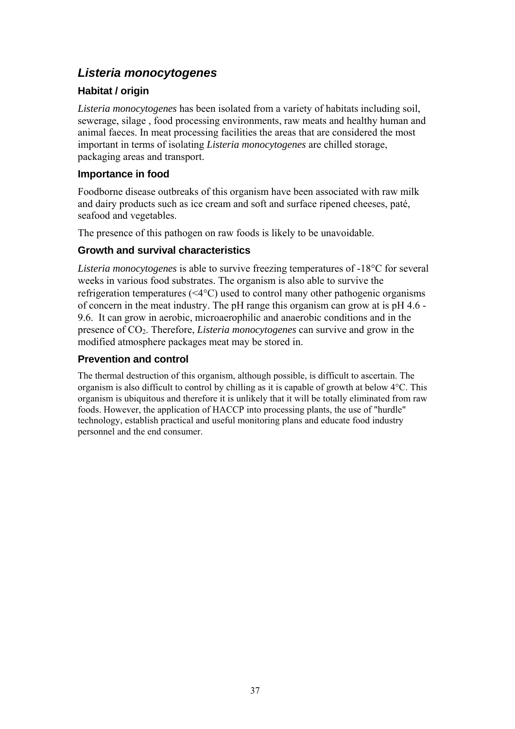## *Listeria monocytogenes*

#### **Habitat / origin**

*Listeria monocytogenes* has been isolated from a variety of habitats including soil, sewerage, silage , food processing environments, raw meats and healthy human and animal faeces. In meat processing facilities the areas that are considered the most important in terms of isolating *Listeria monocytogenes* are chilled storage, packaging areas and transport.

#### **Importance in food**

Foodborne disease outbreaks of this organism have been associated with raw milk and dairy products such as ice cream and soft and surface ripened cheeses, paté, seafood and vegetables.

The presence of this pathogen on raw foods is likely to be unavoidable.

#### **Growth and survival characteristics**

*Listeria monocytogenes* is able to survive freezing temperatures of -18°C for several weeks in various food substrates. The organism is also able to survive the refrigeration temperatures (<4°C) used to control many other pathogenic organisms of concern in the meat industry. The pH range this organism can grow at is pH 4.6 - 9.6. It can grow in aerobic, microaerophilic and anaerobic conditions and in the presence of CO2. Therefore, *Listeria monocytogenes* can survive and grow in the modified atmosphere packages meat may be stored in.

#### **Prevention and control**

The thermal destruction of this organism, although possible, is difficult to ascertain. The organism is also difficult to control by chilling as it is capable of growth at below 4°C. This organism is ubiquitous and therefore it is unlikely that it will be totally eliminated from raw foods. However, the application of HACCP into processing plants, the use of "hurdle" technology, establish practical and useful monitoring plans and educate food industry personnel and the end consumer.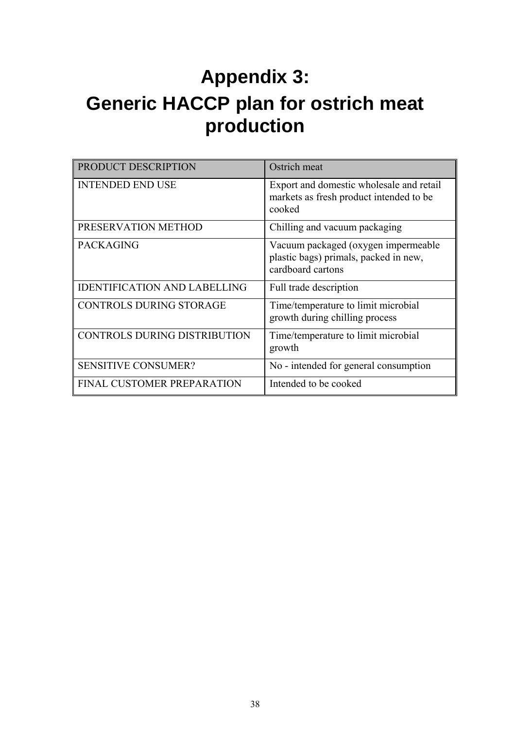# **Appendix 3: Generic HACCP plan for ostrich meat production**

| <b>PRODUCT DESCRIPTION</b>          | Ostrich meat                                                                                      |
|-------------------------------------|---------------------------------------------------------------------------------------------------|
| <b>INTENDED END USE</b>             | Export and domestic wholesale and retail<br>markets as fresh product intended to be<br>cooked     |
| PRESERVATION METHOD                 | Chilling and vacuum packaging                                                                     |
| <b>PACKAGING</b>                    | Vacuum packaged (oxygen impermeable<br>plastic bags) primals, packed in new,<br>cardboard cartons |
| <b>IDENTIFICATION AND LABELLING</b> | Full trade description                                                                            |
| <b>CONTROLS DURING STORAGE</b>      | Time/temperature to limit microbial<br>growth during chilling process                             |
| CONTROLS DURING DISTRIBUTION        | Time/temperature to limit microbial<br>growth                                                     |
| SENSITIVE CONSUMER?                 | No - intended for general consumption                                                             |
| FINAL CUSTOMER PREPARATION          | Intended to be cooked                                                                             |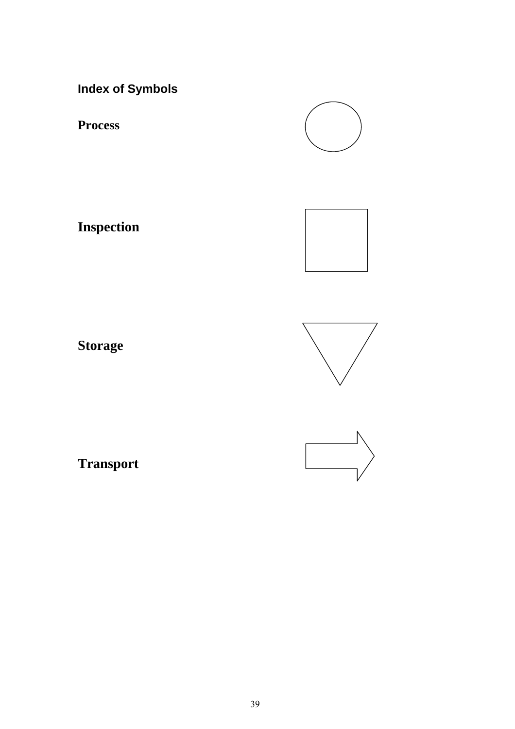**Index of Symbols**

**Process**

**Inspection**



**Storage**





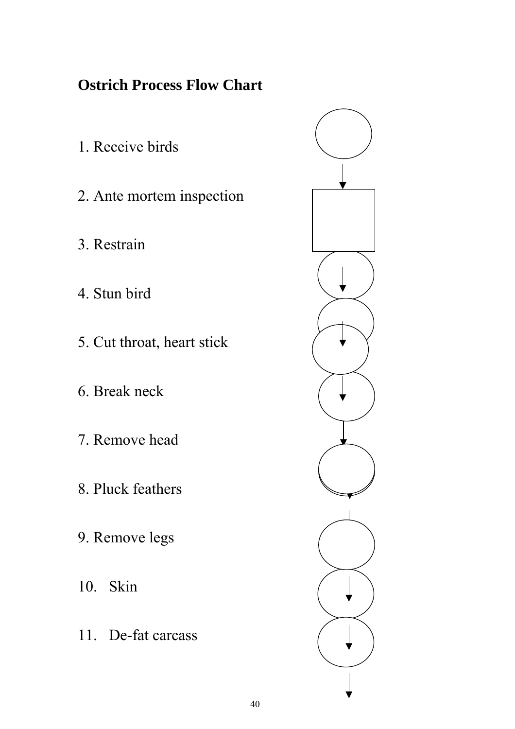## **Ostrich Process Flow Chart**

- 1. Receive birds
- 2. Ante mortem inspection
- 3. Restrain
- 4. Stun bird
- 5. Cut throat, heart stick
- 6. Break neck
- 7. Remove head
- 8. Pluck feathers
- 9. Remove legs
- 10. Skin
- 11. De-fat carcass

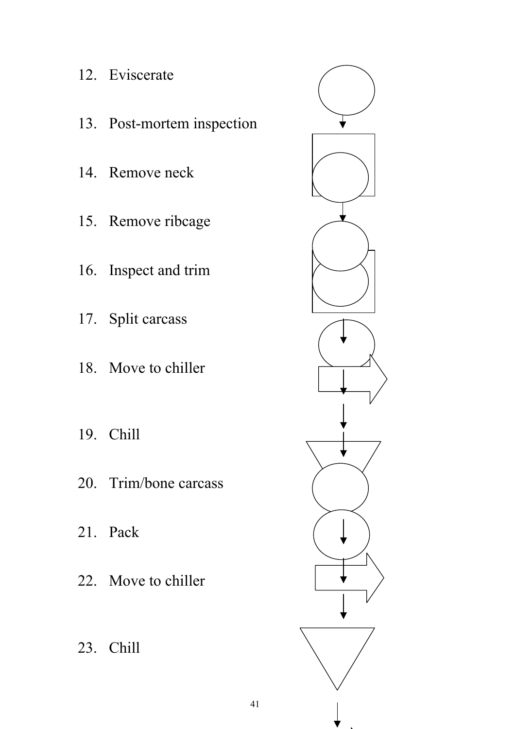- 12. Eviscerate
- 13. Post-mortem inspection
- 14. Remove neck
- 15. Remove ribcage
- 16. Inspect and trim
- 17. Split carcass
- 18. Move to chiller
- 19. Chill
- 20. Trim/bone carcass
- 21. Pack
- 22. Move to chiller
- 23. Chill

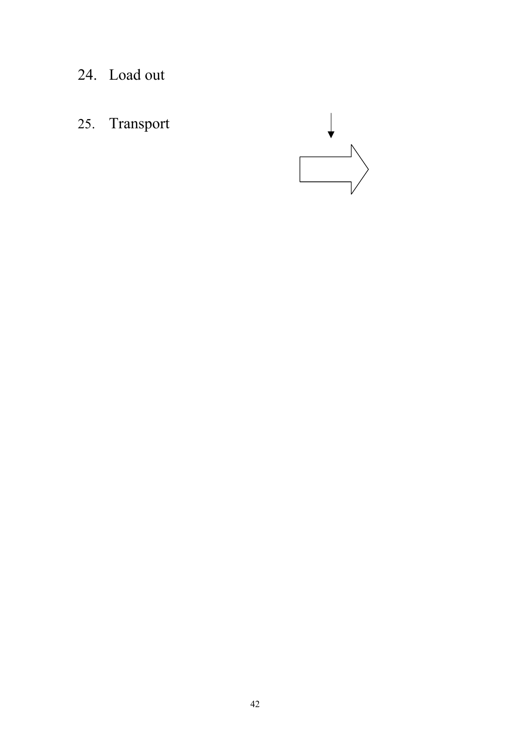- 24. Load out
- 25. Transport

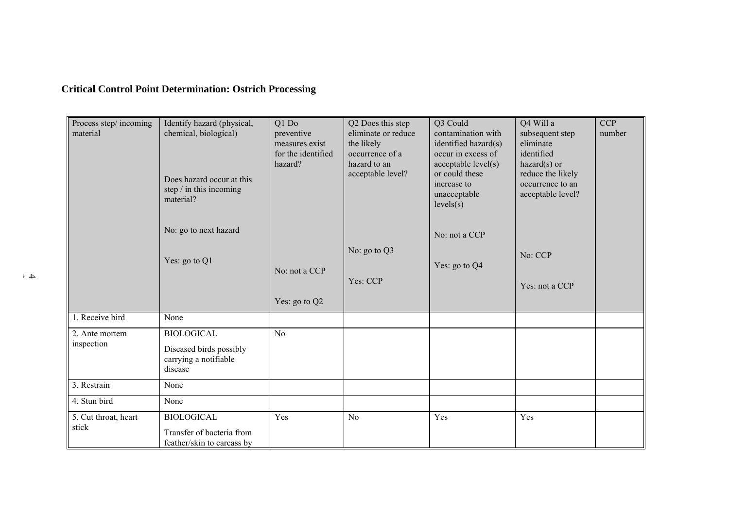## **Critical Control Point Determination: Ostrich Processing**

| Process step/incoming<br>material | Identify hazard (physical,<br>chemical, biological)<br>Does hazard occur at this<br>step $/$ in this incoming<br>material? | Q1 Do<br>preventive<br>measures exist<br>for the identified<br>hazard? | Q2 Does this step<br>eliminate or reduce<br>the likely<br>occurrence of a<br>hazard to an<br>acceptable level? | Q3 Could<br>contamination with<br>identified hazard(s)<br>occur in excess of<br>acceptable level(s)<br>or could these<br>increase to<br>unacceptable<br>levels(s) | Q4 Will a<br>subsequent step<br>eliminate<br>identified<br>$hazard(s)$ or<br>reduce the likely<br>occurrence to an<br>acceptable level? | <b>CCP</b><br>number |
|-----------------------------------|----------------------------------------------------------------------------------------------------------------------------|------------------------------------------------------------------------|----------------------------------------------------------------------------------------------------------------|-------------------------------------------------------------------------------------------------------------------------------------------------------------------|-----------------------------------------------------------------------------------------------------------------------------------------|----------------------|
|                                   | No: go to next hazard                                                                                                      |                                                                        |                                                                                                                | No: not a CCP                                                                                                                                                     |                                                                                                                                         |                      |
|                                   | Yes: go to Q1                                                                                                              | No: not a CCP                                                          | No: go to $Q3$<br>Yes: CCP                                                                                     | Yes: go to Q4                                                                                                                                                     | No: CCP<br>Yes: not a CCP                                                                                                               |                      |
|                                   |                                                                                                                            | Yes: go to Q2                                                          |                                                                                                                |                                                                                                                                                                   |                                                                                                                                         |                      |
| 1. Receive bird                   | None                                                                                                                       |                                                                        |                                                                                                                |                                                                                                                                                                   |                                                                                                                                         |                      |
| 2. Ante mortem<br>inspection      | <b>BIOLOGICAL</b><br>Diseased birds possibly<br>carrying a notifiable<br>disease                                           | N <sub>o</sub>                                                         |                                                                                                                |                                                                                                                                                                   |                                                                                                                                         |                      |
| 3. Restrain                       | None                                                                                                                       |                                                                        |                                                                                                                |                                                                                                                                                                   |                                                                                                                                         |                      |
| 4. Stun bird                      | None                                                                                                                       |                                                                        |                                                                                                                |                                                                                                                                                                   |                                                                                                                                         |                      |
| 5. Cut throat, heart<br>stick     | <b>BIOLOGICAL</b><br>Transfer of bacteria from<br>feather/skin to carcass by                                               | Yes                                                                    | No                                                                                                             | Yes                                                                                                                                                               | Yes                                                                                                                                     |                      |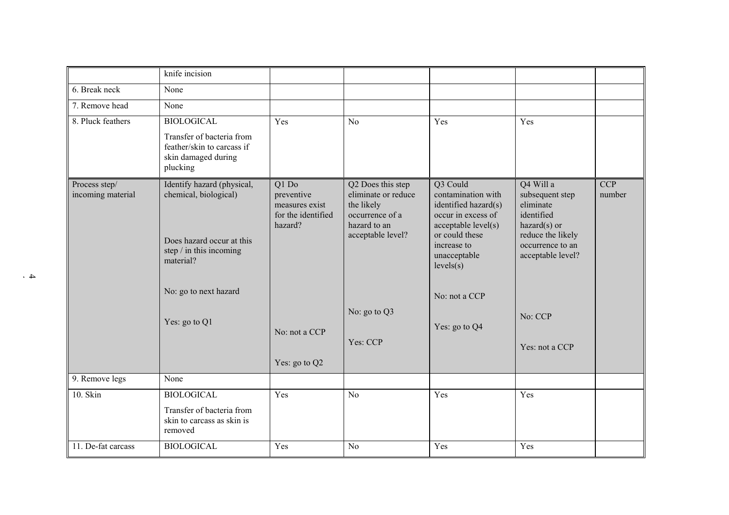|                                    | knife incision                                                                                                                                                     |                                                                                         |                                                                                                                                            |                                                                                                                                                                                                     |                                                                                                                                                                      |                      |
|------------------------------------|--------------------------------------------------------------------------------------------------------------------------------------------------------------------|-----------------------------------------------------------------------------------------|--------------------------------------------------------------------------------------------------------------------------------------------|-----------------------------------------------------------------------------------------------------------------------------------------------------------------------------------------------------|----------------------------------------------------------------------------------------------------------------------------------------------------------------------|----------------------|
| 6. Break neck                      | None                                                                                                                                                               |                                                                                         |                                                                                                                                            |                                                                                                                                                                                                     |                                                                                                                                                                      |                      |
| 7. Remove head                     | None                                                                                                                                                               |                                                                                         |                                                                                                                                            |                                                                                                                                                                                                     |                                                                                                                                                                      |                      |
| 8. Pluck feathers                  | <b>BIOLOGICAL</b>                                                                                                                                                  | Yes                                                                                     | N <sub>o</sub>                                                                                                                             | Yes                                                                                                                                                                                                 | Yes                                                                                                                                                                  |                      |
|                                    | Transfer of bacteria from<br>feather/skin to carcass if<br>skin damaged during<br>plucking                                                                         |                                                                                         |                                                                                                                                            |                                                                                                                                                                                                     |                                                                                                                                                                      |                      |
| Process step/<br>incoming material | Identify hazard (physical,<br>chemical, biological)<br>Does hazard occur at this<br>step / in this incoming<br>material?<br>No: go to next hazard<br>Yes: go to Q1 | Q1 Do<br>preventive<br>measures exist<br>for the identified<br>hazard?<br>No: not a CCP | Q2 Does this step<br>eliminate or reduce<br>the likely<br>occurrence of a<br>hazard to an<br>acceptable level?<br>No: go to Q3<br>Yes: CCP | Q3 Could<br>contamination with<br>identified hazard(s)<br>occur in excess of<br>acceptable level(s)<br>or could these<br>increase to<br>unacceptable<br>levels(s)<br>No: not a CCP<br>Yes: go to Q4 | Q4 Will a<br>subsequent step<br>eliminate<br>identified<br>$hazard(s)$ or<br>reduce the likely<br>occurrence to an<br>acceptable level?<br>No: CCP<br>Yes: not a CCP | <b>CCP</b><br>number |
|                                    | None                                                                                                                                                               | Yes: go to Q2                                                                           |                                                                                                                                            |                                                                                                                                                                                                     |                                                                                                                                                                      |                      |
| 9. Remove legs                     |                                                                                                                                                                    |                                                                                         |                                                                                                                                            |                                                                                                                                                                                                     |                                                                                                                                                                      |                      |
| 10. Skin                           | <b>BIOLOGICAL</b>                                                                                                                                                  | Yes                                                                                     | No                                                                                                                                         | Yes                                                                                                                                                                                                 | Yes                                                                                                                                                                  |                      |
|                                    | Transfer of bacteria from<br>skin to carcass as skin is<br>removed                                                                                                 |                                                                                         |                                                                                                                                            |                                                                                                                                                                                                     |                                                                                                                                                                      |                      |
| 11. De-fat carcass                 | <b>BIOLOGICAL</b>                                                                                                                                                  | Yes                                                                                     | No                                                                                                                                         | Yes                                                                                                                                                                                                 | Yes                                                                                                                                                                  |                      |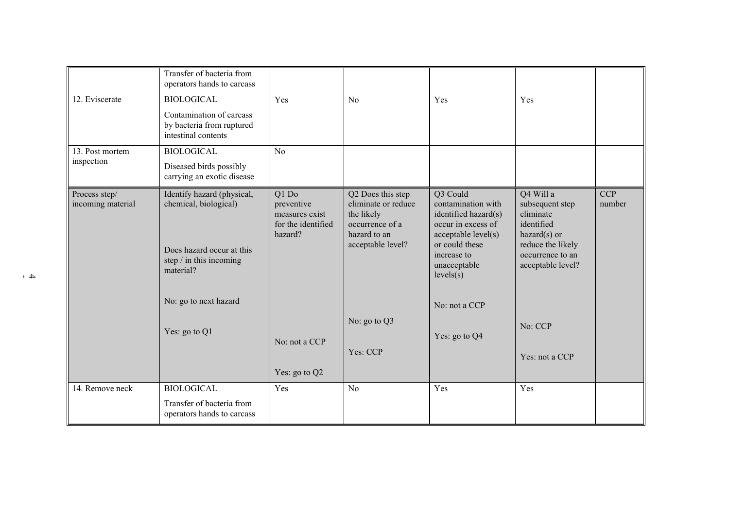|                                    | Transfer of bacteria from<br>operators hands to carcass                                                                                             |                                                                        |                                                                                                                |                                                                                                                                                                   |                                                                                                                                         |                      |
|------------------------------------|-----------------------------------------------------------------------------------------------------------------------------------------------------|------------------------------------------------------------------------|----------------------------------------------------------------------------------------------------------------|-------------------------------------------------------------------------------------------------------------------------------------------------------------------|-----------------------------------------------------------------------------------------------------------------------------------------|----------------------|
| 12. Eviscerate                     | <b>BIOLOGICAL</b>                                                                                                                                   | Yes                                                                    | N <sub>0</sub>                                                                                                 | Yes                                                                                                                                                               | Yes                                                                                                                                     |                      |
|                                    | Contamination of carcass<br>by bacteria from ruptured<br>intestinal contents                                                                        |                                                                        |                                                                                                                |                                                                                                                                                                   |                                                                                                                                         |                      |
| 13. Post mortem                    | <b>BIOLOGICAL</b>                                                                                                                                   | N <sub>0</sub>                                                         |                                                                                                                |                                                                                                                                                                   |                                                                                                                                         |                      |
| inspection                         | Diseased birds possibly<br>carrying an exotic disease                                                                                               |                                                                        |                                                                                                                |                                                                                                                                                                   |                                                                                                                                         |                      |
| Process step/<br>incoming material | Identify hazard (physical,<br>chemical, biological)<br>Does hazard occur at this<br>step $/$ in this incoming<br>material?<br>No: go to next hazard | Q1 Do<br>preventive<br>measures exist<br>for the identified<br>hazard? | Q2 Does this step<br>eliminate or reduce<br>the likely<br>occurrence of a<br>hazard to an<br>acceptable level? | Q3 Could<br>contamination with<br>identified hazard(s)<br>occur in excess of<br>acceptable level(s)<br>or could these<br>increase to<br>unacceptable<br>levels(s) | Q4 Will a<br>subsequent step<br>eliminate<br>identified<br>$hazard(s)$ or<br>reduce the likely<br>occurrence to an<br>acceptable level? | <b>CCP</b><br>number |
|                                    |                                                                                                                                                     |                                                                        |                                                                                                                | No: not a CCP                                                                                                                                                     |                                                                                                                                         |                      |
|                                    | Yes: go to Q1                                                                                                                                       | No: not a CCP                                                          | No: go to Q3                                                                                                   | Yes: go to Q4                                                                                                                                                     | No: CCP                                                                                                                                 |                      |
|                                    |                                                                                                                                                     |                                                                        | Yes: CCP                                                                                                       |                                                                                                                                                                   | Yes: not a CCP                                                                                                                          |                      |
|                                    |                                                                                                                                                     | Yes: go to Q2                                                          |                                                                                                                |                                                                                                                                                                   |                                                                                                                                         |                      |
| 14. Remove neck                    | <b>BIOLOGICAL</b>                                                                                                                                   | Yes                                                                    | N <sub>0</sub>                                                                                                 | Yes                                                                                                                                                               | Yes                                                                                                                                     |                      |
|                                    | Transfer of bacteria from<br>operators hands to carcass                                                                                             |                                                                        |                                                                                                                |                                                                                                                                                                   |                                                                                                                                         |                      |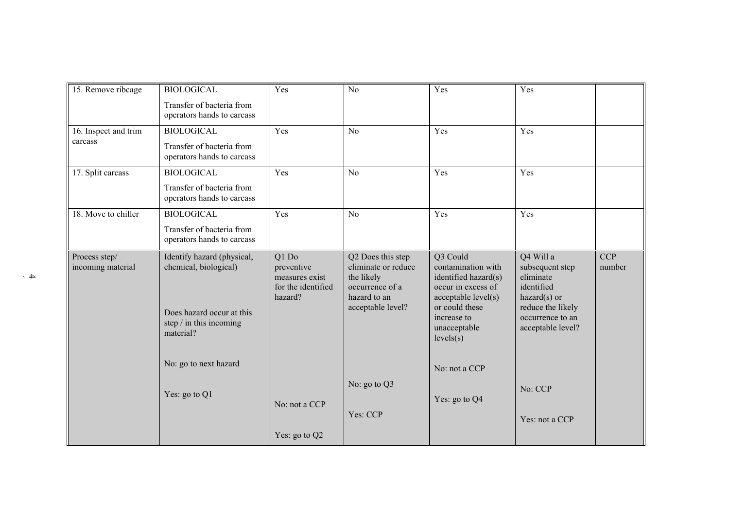| 15. Remove ribcage                 | <b>BIOLOGICAL</b>                                                                                                                                 | Yes                                                                    | No                                                                                                             | Yes                                                                                                                                                               | Yes                                                                                                                                     |                      |
|------------------------------------|---------------------------------------------------------------------------------------------------------------------------------------------------|------------------------------------------------------------------------|----------------------------------------------------------------------------------------------------------------|-------------------------------------------------------------------------------------------------------------------------------------------------------------------|-----------------------------------------------------------------------------------------------------------------------------------------|----------------------|
|                                    | Transfer of bacteria from<br>operators hands to carcass                                                                                           |                                                                        |                                                                                                                |                                                                                                                                                                   |                                                                                                                                         |                      |
| 16. Inspect and trim               | <b>BIOLOGICAL</b>                                                                                                                                 | Yes                                                                    | N <sub>o</sub>                                                                                                 | Yes                                                                                                                                                               | Yes                                                                                                                                     |                      |
| carcass                            | Transfer of bacteria from<br>operators hands to carcass                                                                                           |                                                                        |                                                                                                                |                                                                                                                                                                   |                                                                                                                                         |                      |
| 17. Split carcass                  | <b>BIOLOGICAL</b>                                                                                                                                 | Yes                                                                    | N <sub>0</sub>                                                                                                 | Yes                                                                                                                                                               | Yes                                                                                                                                     |                      |
|                                    | Transfer of bacteria from<br>operators hands to carcass                                                                                           |                                                                        |                                                                                                                |                                                                                                                                                                   |                                                                                                                                         |                      |
| 18. Move to chiller                | <b>BIOLOGICAL</b>                                                                                                                                 | Yes                                                                    | N <sub>o</sub>                                                                                                 | Yes                                                                                                                                                               | Yes                                                                                                                                     |                      |
|                                    | Transfer of bacteria from<br>operators hands to carcass                                                                                           |                                                                        |                                                                                                                |                                                                                                                                                                   |                                                                                                                                         |                      |
| Process step/<br>incoming material | Identify hazard (physical,<br>chemical, biological)<br>Does hazard occur at this<br>step / in this incoming<br>material?<br>No: go to next hazard | Q1 Do<br>preventive<br>measures exist<br>for the identified<br>hazard? | Q2 Does this step<br>eliminate or reduce<br>the likely<br>occurrence of a<br>hazard to an<br>acceptable level? | Q3 Could<br>contamination with<br>identified hazard(s)<br>occur in excess of<br>acceptable level(s)<br>or could these<br>increase to<br>unacceptable<br>levels(s) | Q4 Will a<br>subsequent step<br>eliminate<br>identified<br>$hazard(s)$ or<br>reduce the likely<br>occurrence to an<br>acceptable level? | <b>CCP</b><br>number |
|                                    |                                                                                                                                                   |                                                                        |                                                                                                                | No: not a CCP                                                                                                                                                     |                                                                                                                                         |                      |
|                                    | Yes: go to Q1                                                                                                                                     |                                                                        | No: go to Q3                                                                                                   |                                                                                                                                                                   | No: CCP                                                                                                                                 |                      |
|                                    |                                                                                                                                                   | No: not a CCP                                                          |                                                                                                                | Yes: go to Q4                                                                                                                                                     |                                                                                                                                         |                      |
|                                    |                                                                                                                                                   |                                                                        | Yes: CCP                                                                                                       |                                                                                                                                                                   | Yes: not a CCP                                                                                                                          |                      |
|                                    |                                                                                                                                                   | Yes: go to Q2                                                          |                                                                                                                |                                                                                                                                                                   |                                                                                                                                         |                      |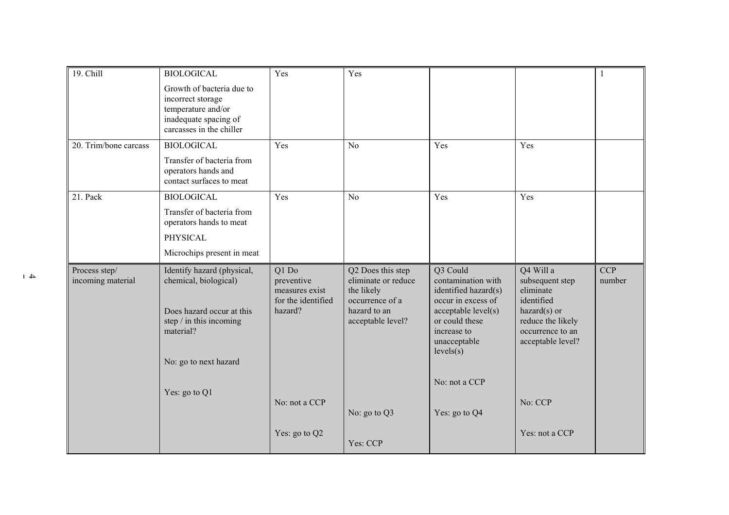| 19. Chill                          | <b>BIOLOGICAL</b>                                                                                                         | Yes                                                                    | Yes                                                                                                            |                                                                                                                                                                   |                                                                                                                                         | $\mathbf{1}$         |
|------------------------------------|---------------------------------------------------------------------------------------------------------------------------|------------------------------------------------------------------------|----------------------------------------------------------------------------------------------------------------|-------------------------------------------------------------------------------------------------------------------------------------------------------------------|-----------------------------------------------------------------------------------------------------------------------------------------|----------------------|
|                                    | Growth of bacteria due to<br>incorrect storage<br>temperature and/or<br>inadequate spacing of<br>carcasses in the chiller |                                                                        |                                                                                                                |                                                                                                                                                                   |                                                                                                                                         |                      |
| 20. Trim/bone carcass              | <b>BIOLOGICAL</b>                                                                                                         | Yes                                                                    | N <sub>0</sub>                                                                                                 | Yes                                                                                                                                                               | Yes                                                                                                                                     |                      |
|                                    | Transfer of bacteria from<br>operators hands and<br>contact surfaces to meat                                              |                                                                        |                                                                                                                |                                                                                                                                                                   |                                                                                                                                         |                      |
| 21. Pack                           | <b>BIOLOGICAL</b>                                                                                                         | Yes                                                                    | N <sub>o</sub>                                                                                                 | Yes                                                                                                                                                               | Yes                                                                                                                                     |                      |
|                                    | Transfer of bacteria from<br>operators hands to meat                                                                      |                                                                        |                                                                                                                |                                                                                                                                                                   |                                                                                                                                         |                      |
|                                    | <b>PHYSICAL</b>                                                                                                           |                                                                        |                                                                                                                |                                                                                                                                                                   |                                                                                                                                         |                      |
|                                    | Microchips present in meat                                                                                                |                                                                        |                                                                                                                |                                                                                                                                                                   |                                                                                                                                         |                      |
| Process step/<br>incoming material | Identify hazard (physical,<br>chemical, biological)<br>Does hazard occur at this<br>step / in this incoming<br>material?  | Q1 Do<br>preventive<br>measures exist<br>for the identified<br>hazard? | Q2 Does this step<br>eliminate or reduce<br>the likely<br>occurrence of a<br>hazard to an<br>acceptable level? | Q3 Could<br>contamination with<br>identified hazard(s)<br>occur in excess of<br>acceptable level(s)<br>or could these<br>increase to<br>unacceptable<br>levels(s) | Q4 Will a<br>subsequent step<br>eliminate<br>identified<br>$hazard(s)$ or<br>reduce the likely<br>occurrence to an<br>acceptable level? | <b>CCP</b><br>number |
|                                    | No: go to next hazard                                                                                                     |                                                                        |                                                                                                                |                                                                                                                                                                   |                                                                                                                                         |                      |
|                                    | Yes: go to Q1                                                                                                             |                                                                        |                                                                                                                | No: not a CCP                                                                                                                                                     |                                                                                                                                         |                      |
|                                    |                                                                                                                           | No: not a CCP                                                          | No: go to Q3                                                                                                   | Yes: go to Q4                                                                                                                                                     | No: CCP                                                                                                                                 |                      |
|                                    |                                                                                                                           | Yes: go to Q2                                                          | Yes: CCP                                                                                                       |                                                                                                                                                                   | Yes: not a CCP                                                                                                                          |                      |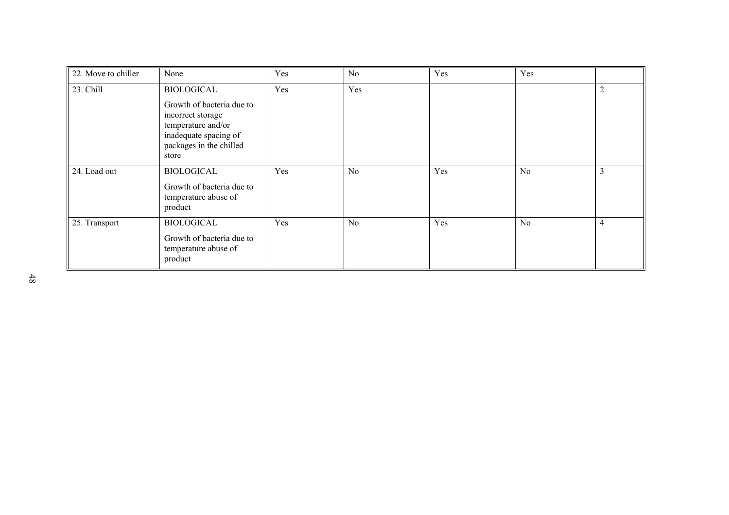| 22. Move to chiller | None                                                                                                                              | Yes | No             | Yes | Yes            |                |
|---------------------|-----------------------------------------------------------------------------------------------------------------------------------|-----|----------------|-----|----------------|----------------|
| 23. Chill           | <b>BIOLOGICAL</b>                                                                                                                 | Yes | Yes            |     |                | $\overline{c}$ |
|                     | Growth of bacteria due to<br>incorrect storage<br>temperature and/or<br>inadequate spacing of<br>packages in the chilled<br>store |     |                |     |                |                |
| 24. Load out        | <b>BIOLOGICAL</b>                                                                                                                 | Yes | N <sub>0</sub> | Yes | N <sub>o</sub> | 3              |
|                     | Growth of bacteria due to<br>temperature abuse of<br>product                                                                      |     |                |     |                |                |
| 25. Transport       | <b>BIOLOGICAL</b><br>Growth of bacteria due to<br>temperature abuse of<br>product                                                 | Yes | No             | Yes | N <sub>o</sub> | 4              |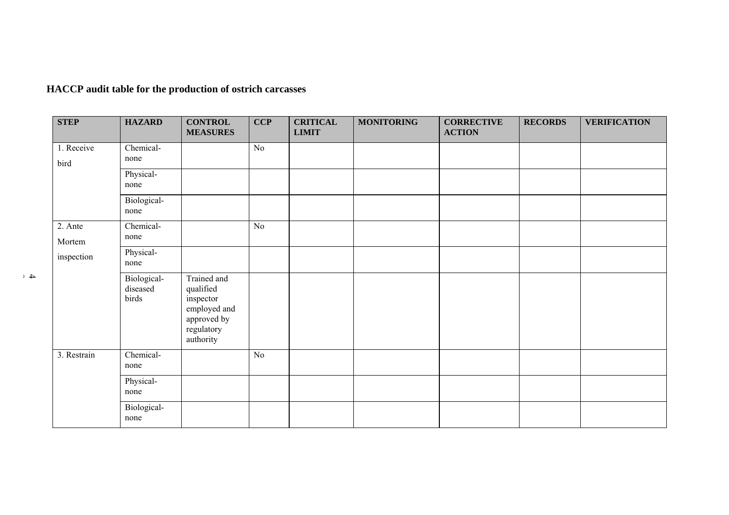**HACCP audit table for the production of ostrich carcasses**

| <b>STEP</b>        | <b>HAZARD</b>                    | <b>CONTROL</b><br><b>MEASURES</b>                                                               | <b>CCP</b> | <b>CRITICAL</b><br><b>LIMIT</b> | <b>MONITORING</b> | <b>CORRECTIVE</b><br><b>ACTION</b> | <b>RECORDS</b> | <b>VERIFICATION</b> |
|--------------------|----------------------------------|-------------------------------------------------------------------------------------------------|------------|---------------------------------|-------------------|------------------------------------|----------------|---------------------|
| 1. Receive<br>bird | Chemical-<br>none                |                                                                                                 | No         |                                 |                   |                                    |                |                     |
|                    | Physical-<br>none                |                                                                                                 |            |                                 |                   |                                    |                |                     |
|                    | Biological-<br>none              |                                                                                                 |            |                                 |                   |                                    |                |                     |
| 2. Ante<br>Mortem  | Chemical-<br>none                |                                                                                                 | No         |                                 |                   |                                    |                |                     |
| inspection         | Physical-<br>none                |                                                                                                 |            |                                 |                   |                                    |                |                     |
|                    | Biological-<br>diseased<br>birds | Trained and<br>qualified<br>inspector<br>employed and<br>approved by<br>regulatory<br>authority |            |                                 |                   |                                    |                |                     |
| 3. Restrain        | Chemical-<br>none                |                                                                                                 | No         |                                 |                   |                                    |                |                     |
|                    | Physical-<br>none                |                                                                                                 |            |                                 |                   |                                    |                |                     |
|                    | Biological-<br>none              |                                                                                                 |            |                                 |                   |                                    |                |                     |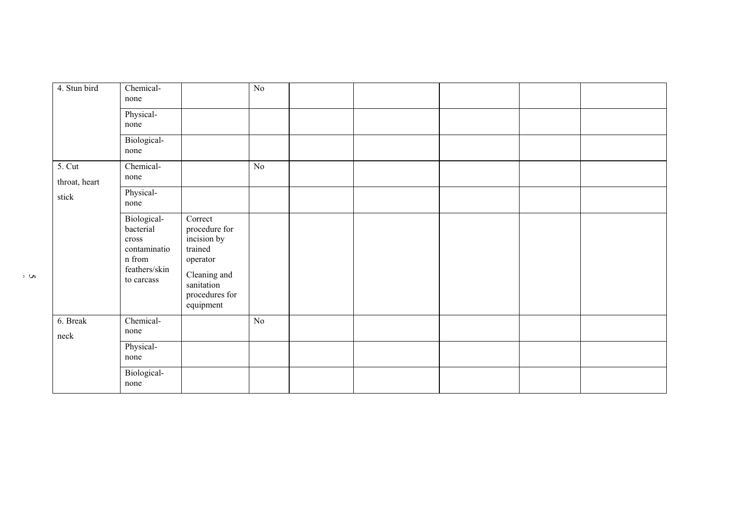| 4. Stun bird              | Chemical-<br>none                                                                                             |                                                                                                                             | No       |  |  |  |
|---------------------------|---------------------------------------------------------------------------------------------------------------|-----------------------------------------------------------------------------------------------------------------------------|----------|--|--|--|
|                           | Physical-<br>none                                                                                             |                                                                                                                             |          |  |  |  |
|                           | Biological-<br>none                                                                                           |                                                                                                                             |          |  |  |  |
| $5.$ Cut<br>throat, heart | Chemical-<br>none                                                                                             |                                                                                                                             | No       |  |  |  |
| stick                     | Physical-<br>none                                                                                             |                                                                                                                             |          |  |  |  |
|                           | Biological-<br>bacterial<br>$\mbox{cross}$<br>contaminatio<br>$\mathbf n$ from<br>feathers/skin<br>to carcass | Correct<br>procedure for<br>incision by<br>trained<br>operator<br>Cleaning and<br>sanitation<br>procedures for<br>equipment |          |  |  |  |
| 6. Break<br>neck          | Chemical-<br>none                                                                                             |                                                                                                                             | $\rm No$ |  |  |  |
|                           | Physical-<br>none                                                                                             |                                                                                                                             |          |  |  |  |
|                           | Biological-<br>none                                                                                           |                                                                                                                             |          |  |  |  |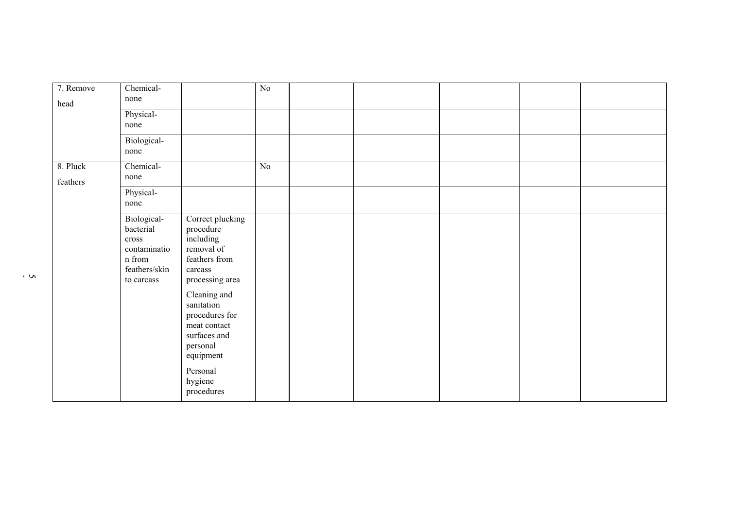| 7. Remove<br>head    | Chemical-<br>none                                                                                    |                                                                                                                   | $\rm No$ |  |  |  |
|----------------------|------------------------------------------------------------------------------------------------------|-------------------------------------------------------------------------------------------------------------------|----------|--|--|--|
|                      | Physical-<br>none                                                                                    |                                                                                                                   |          |  |  |  |
|                      | Biological-<br>none                                                                                  |                                                                                                                   |          |  |  |  |
| 8. Pluck<br>feathers | Chemical-<br>none                                                                                    |                                                                                                                   | No       |  |  |  |
|                      | Physical-<br>none                                                                                    |                                                                                                                   |          |  |  |  |
|                      | Biological-<br>bacterial<br>cross<br>contaminatio<br>$\mathbf n$ from<br>feathers/skin<br>to carcass | Correct plucking<br>procedure<br>including<br>removal of<br>feathers from<br>carcass<br>processing area           |          |  |  |  |
|                      |                                                                                                      | Cleaning and<br>sanitation<br>procedures for<br>meat contact<br>surfaces and<br>personal<br>equipment<br>Personal |          |  |  |  |
|                      |                                                                                                      | hygiene<br>procedures                                                                                             |          |  |  |  |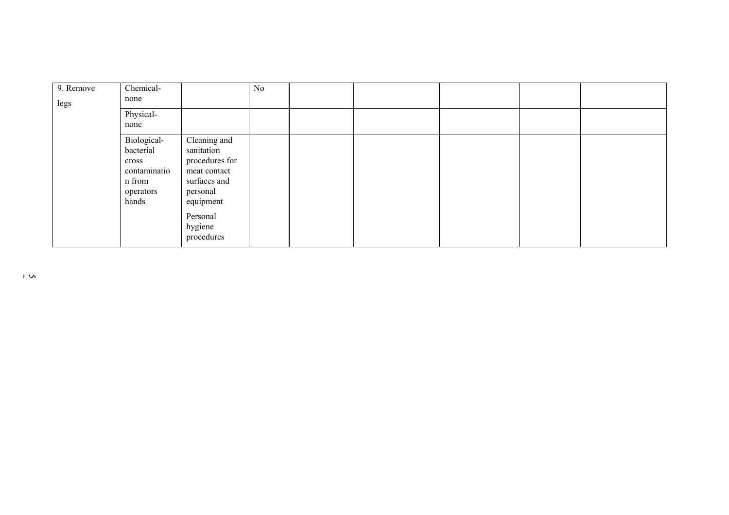| 9. Remove | Chemical-    |                | No |  |  |  |
|-----------|--------------|----------------|----|--|--|--|
| legs      | none         |                |    |  |  |  |
|           | Physical-    |                |    |  |  |  |
|           | none         |                |    |  |  |  |
|           | Biological-  | Cleaning and   |    |  |  |  |
|           | bacterial    | sanitation     |    |  |  |  |
|           | cross        | procedures for |    |  |  |  |
|           | contaminatio | meat contact   |    |  |  |  |
|           | n from       | surfaces and   |    |  |  |  |
|           | operators    | personal       |    |  |  |  |
|           | hands        | equipment      |    |  |  |  |
|           |              | Personal       |    |  |  |  |
|           |              | hygiene        |    |  |  |  |
|           |              | procedures     |    |  |  |  |
|           |              |                |    |  |  |  |

 $\overline{2}$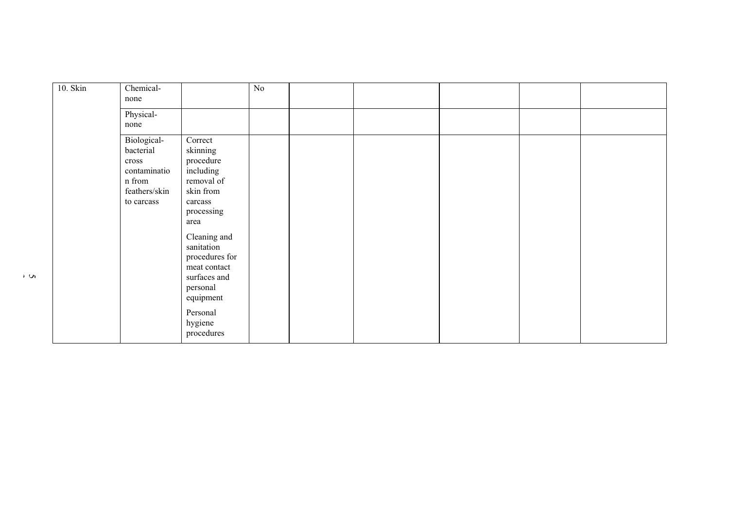| 10. Skin | Chemical-<br>none                                                                           |                                                                                                                                                                                                                                                         | $\rm No$ |  |  |  |
|----------|---------------------------------------------------------------------------------------------|---------------------------------------------------------------------------------------------------------------------------------------------------------------------------------------------------------------------------------------------------------|----------|--|--|--|
|          | Physical-<br>none                                                                           |                                                                                                                                                                                                                                                         |          |  |  |  |
|          | Biological-<br>bacterial<br>$\csc$<br>contaminatio<br>n from<br>feathers/skin<br>to carcass | Correct<br>skinning<br>procedure<br>including<br>removal of<br>skin from<br>carcass<br>processing<br>area<br>Cleaning and<br>sanitation<br>procedures for<br>meat contact<br>surfaces and<br>personal<br>equipment<br>Personal<br>hygiene<br>procedures |          |  |  |  |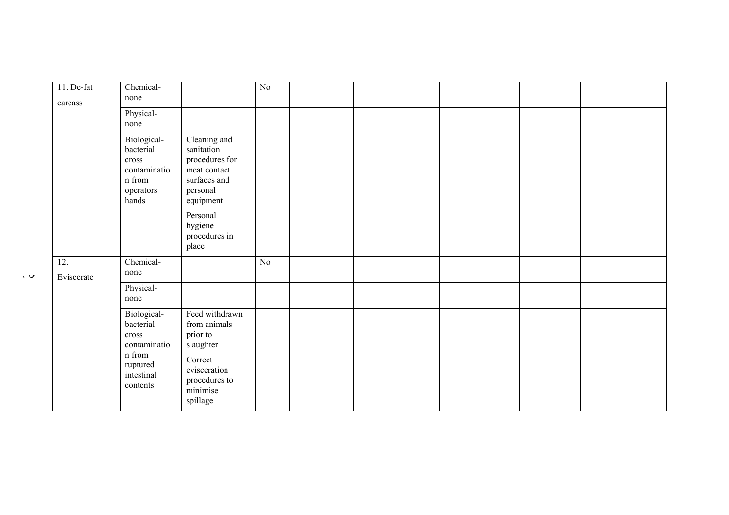| 11. De-fat<br>carcass | Chemical-<br>none                                                                                 |                                                                                                                                                        | $\rm No$ |  |  |  |
|-----------------------|---------------------------------------------------------------------------------------------------|--------------------------------------------------------------------------------------------------------------------------------------------------------|----------|--|--|--|
|                       | Physical-<br>none                                                                                 |                                                                                                                                                        |          |  |  |  |
|                       | Biological-<br>bacterial<br>cross<br>contaminatio<br>n from<br>operators<br>hands                 | Cleaning and<br>sanitation<br>procedures for<br>meat contact<br>surfaces and<br>personal<br>equipment<br>Personal<br>hygiene<br>procedures in<br>place |          |  |  |  |
| 12.<br>Eviscerate     | Chemical-<br>none                                                                                 |                                                                                                                                                        | No       |  |  |  |
|                       | Physical-<br>none                                                                                 |                                                                                                                                                        |          |  |  |  |
|                       | Biological-<br>bacterial<br>cross<br>contaminatio<br>n from<br>ruptured<br>intestinal<br>contents | Feed withdrawn<br>from animals<br>prior to<br>slaughter<br>Correct<br>evisceration<br>procedures to<br>minimise<br>spillage                            |          |  |  |  |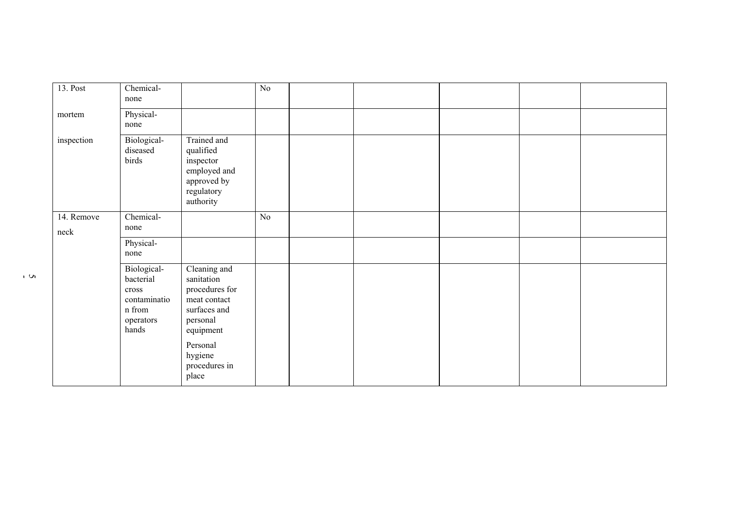| 13. Post           | Chemical-<br>none                                                                           |                                                                                                                                                        | No |  |  |  |
|--------------------|---------------------------------------------------------------------------------------------|--------------------------------------------------------------------------------------------------------------------------------------------------------|----|--|--|--|
| mortem             | Physical-<br>none                                                                           |                                                                                                                                                        |    |  |  |  |
| inspection         | Biological-<br>diseased<br>birds                                                            | Trained and<br>qualified<br>inspector<br>employed and<br>approved by<br>regulatory<br>authority                                                        |    |  |  |  |
| 14. Remove<br>neck | Chemical-<br>none                                                                           |                                                                                                                                                        | No |  |  |  |
|                    | Physical-<br>none                                                                           |                                                                                                                                                        |    |  |  |  |
|                    | Biological-<br>bacterial<br>cross<br>contaminatio<br>$\mathbf n$ from<br>operators<br>hands | Cleaning and<br>sanitation<br>procedures for<br>meat contact<br>surfaces and<br>personal<br>equipment<br>Personal<br>hygiene<br>procedures in<br>place |    |  |  |  |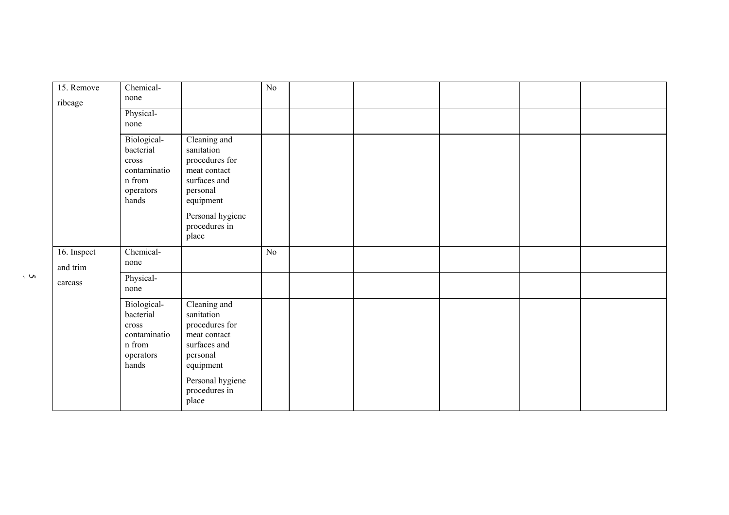| 15. Remove<br>ribcage   | Chemical-<br>none                                                                          |                                                                                                       | $\rm No$ |  |  |  |
|-------------------------|--------------------------------------------------------------------------------------------|-------------------------------------------------------------------------------------------------------|----------|--|--|--|
|                         | Physical-<br>none                                                                          |                                                                                                       |          |  |  |  |
|                         | Biological-<br>bacterial<br>$\mbox{cross}$<br>contaminatio<br>n from<br>operators<br>hands | Cleaning and<br>sanitation<br>procedures for<br>meat contact<br>surfaces and<br>personal<br>equipment |          |  |  |  |
|                         |                                                                                            | Personal hygiene<br>procedures in<br>place                                                            |          |  |  |  |
| 16. Inspect<br>and trim | Chemical-<br>none                                                                          |                                                                                                       | No       |  |  |  |
| carcass                 | Physical-<br>none                                                                          |                                                                                                       |          |  |  |  |
|                         | Biological-<br>bacterial<br>cross<br>contaminatio<br>n from<br>operators<br>hands          | Cleaning and<br>sanitation<br>procedures for<br>meat contact<br>surfaces and<br>personal<br>equipment |          |  |  |  |
|                         |                                                                                            | Personal hygiene<br>procedures in<br>place                                                            |          |  |  |  |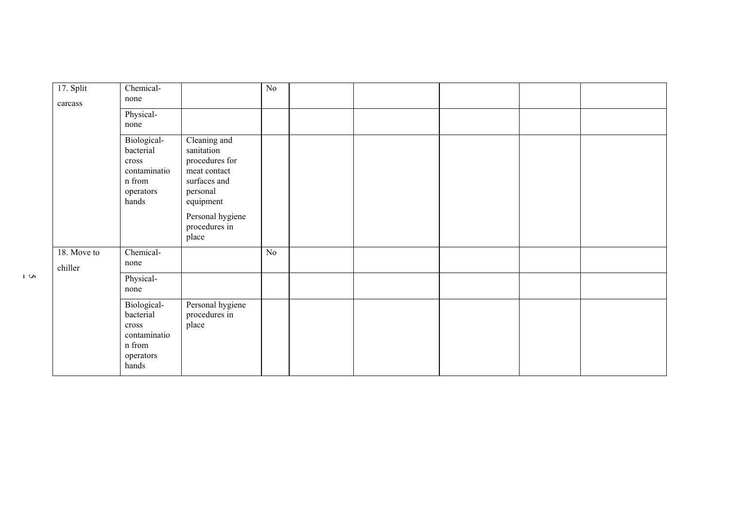| 17. Split<br>carcass   | Chemical-<br>none                                                                 |                                                                                                                                                     | $\rm No$ |  |  |  |
|------------------------|-----------------------------------------------------------------------------------|-----------------------------------------------------------------------------------------------------------------------------------------------------|----------|--|--|--|
|                        | Physical-<br>none                                                                 |                                                                                                                                                     |          |  |  |  |
|                        | Biological-<br>bacterial<br>cross<br>contaminatio<br>n from<br>operators<br>hands | Cleaning and<br>sanitation<br>procedures for<br>meat contact<br>surfaces and<br>personal<br>equipment<br>Personal hygiene<br>procedures in<br>place |          |  |  |  |
| 18. Move to<br>chiller | Chemical-<br>none                                                                 |                                                                                                                                                     | $\rm No$ |  |  |  |
|                        | Physical-<br>none                                                                 |                                                                                                                                                     |          |  |  |  |
|                        | Biological-<br>bacterial<br>cross<br>contaminatio<br>n from<br>operators<br>hands | Personal hygiene<br>procedures in<br>place                                                                                                          |          |  |  |  |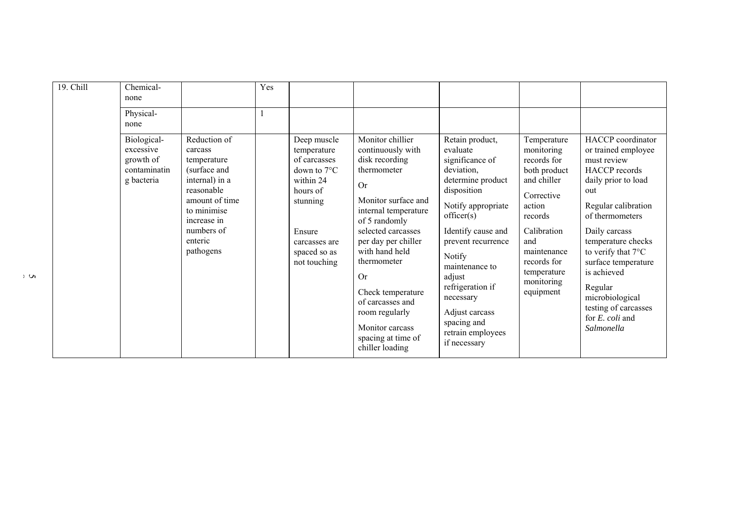| 19. Chill | Chemical-<br>none                                                   |                                                                                                                                                                              | Yes |                                                                                                                                                                     |                                                                                                                                                                                                                                                                                                                                                                       |                                                                                                                                                                                                                                                                                                                               |                                                                                                                                                                                                          |                                                                                                                                                                                                                                                                                                                                                             |
|-----------|---------------------------------------------------------------------|------------------------------------------------------------------------------------------------------------------------------------------------------------------------------|-----|---------------------------------------------------------------------------------------------------------------------------------------------------------------------|-----------------------------------------------------------------------------------------------------------------------------------------------------------------------------------------------------------------------------------------------------------------------------------------------------------------------------------------------------------------------|-------------------------------------------------------------------------------------------------------------------------------------------------------------------------------------------------------------------------------------------------------------------------------------------------------------------------------|----------------------------------------------------------------------------------------------------------------------------------------------------------------------------------------------------------|-------------------------------------------------------------------------------------------------------------------------------------------------------------------------------------------------------------------------------------------------------------------------------------------------------------------------------------------------------------|
|           | Physical-<br>none                                                   |                                                                                                                                                                              |     |                                                                                                                                                                     |                                                                                                                                                                                                                                                                                                                                                                       |                                                                                                                                                                                                                                                                                                                               |                                                                                                                                                                                                          |                                                                                                                                                                                                                                                                                                                                                             |
|           | Biological-<br>excessive<br>growth of<br>contaminatin<br>g bacteria | Reduction of<br>carcass<br>temperature<br>(surface and<br>internal) in a<br>reasonable<br>amount of time<br>to minimise<br>increase in<br>numbers of<br>enteric<br>pathogens |     | Deep muscle<br>temperature<br>of carcasses<br>down to $7^{\circ}$ C<br>within 24<br>hours of<br>stunning<br>Ensure<br>carcasses are<br>spaced so as<br>not touching | Monitor chillier<br>continuously with<br>disk recording<br>thermometer<br><b>Or</b><br>Monitor surface and<br>internal temperature<br>of 5 randomly<br>selected carcasses<br>per day per chiller<br>with hand held<br>thermometer<br><b>Or</b><br>Check temperature<br>of carcasses and<br>room regularly<br>Monitor carcass<br>spacing at time of<br>chiller loading | Retain product,<br>evaluate<br>significance of<br>deviation,<br>determine product<br>disposition<br>Notify appropriate<br>officer(s)<br>Identify cause and<br>prevent recurrence<br>Notify<br>maintenance to<br>adjust<br>refrigeration if<br>necessary<br>Adjust carcass<br>spacing and<br>retrain employees<br>if necessary | Temperature<br>monitoring<br>records for<br>both product<br>and chiller<br>Corrective<br>action<br>records<br>Calibration<br>and<br>maintenance<br>records for<br>temperature<br>monitoring<br>equipment | HACCP coordinator<br>or trained employee<br>must review<br><b>HACCP</b> records<br>daily prior to load<br>out<br>Regular calibration<br>of thermometers<br>Daily carcass<br>temperature checks<br>to verify that $7^{\circ}$ C<br>surface temperature<br>is achieved<br>Regular<br>microbiological<br>testing of carcasses<br>for E. coli and<br>Salmonella |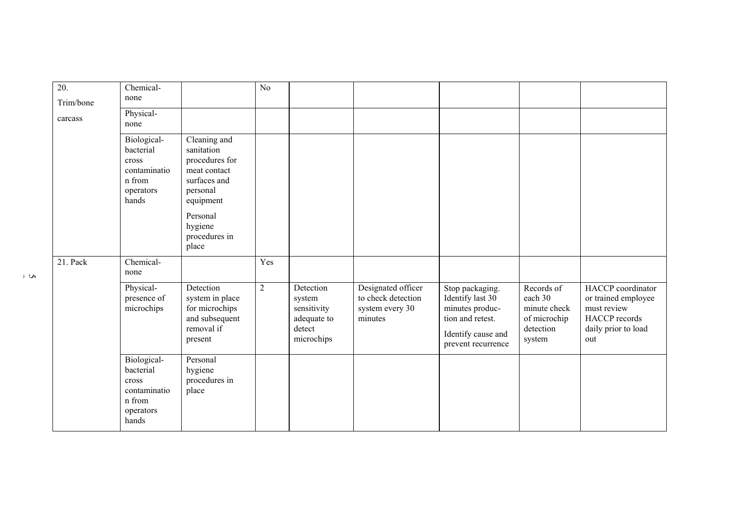| 20.<br>Trim/bone | Chemical-<br>none                                                                 |                                                                                                       | N <sub>0</sub> |                                                                           |                                                                        |                                                                                                                        |                                                                              |                                                                                                               |
|------------------|-----------------------------------------------------------------------------------|-------------------------------------------------------------------------------------------------------|----------------|---------------------------------------------------------------------------|------------------------------------------------------------------------|------------------------------------------------------------------------------------------------------------------------|------------------------------------------------------------------------------|---------------------------------------------------------------------------------------------------------------|
| carcass          | Physical-<br>none                                                                 |                                                                                                       |                |                                                                           |                                                                        |                                                                                                                        |                                                                              |                                                                                                               |
|                  | Biological-<br>bacterial<br>cross<br>contaminatio<br>n from<br>operators<br>hands | Cleaning and<br>sanitation<br>procedures for<br>meat contact<br>surfaces and<br>personal<br>equipment |                |                                                                           |                                                                        |                                                                                                                        |                                                                              |                                                                                                               |
|                  |                                                                                   | Personal<br>hygiene<br>procedures in<br>place                                                         |                |                                                                           |                                                                        |                                                                                                                        |                                                                              |                                                                                                               |
| 21. Pack         | Chemical-<br>none                                                                 |                                                                                                       | Yes            |                                                                           |                                                                        |                                                                                                                        |                                                                              |                                                                                                               |
|                  | Physical-<br>presence of<br>microchips                                            | Detection<br>system in place<br>for microchips<br>and subsequent<br>removal if<br>present             | $\overline{2}$ | Detection<br>system<br>sensitivity<br>adequate to<br>detect<br>microchips | Designated officer<br>to check detection<br>system every 30<br>minutes | Stop packaging.<br>Identify last 30<br>minutes produc-<br>tion and retest.<br>Identify cause and<br>prevent recurrence | Records of<br>each 30<br>minute check<br>of microchip<br>detection<br>system | HACCP coordinator<br>or trained employee<br>must review<br><b>HACCP</b> records<br>daily prior to load<br>out |
|                  | Biological-<br>bacterial<br>cross<br>contaminatio<br>n from<br>operators<br>hands | Personal<br>hygiene<br>procedures in<br>place                                                         |                |                                                                           |                                                                        |                                                                                                                        |                                                                              |                                                                                                               |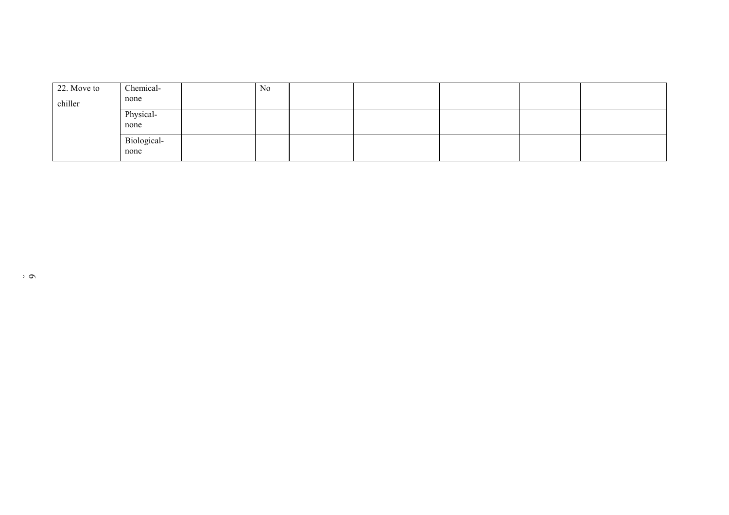| 22. Move to | Chemical-         | No |  |  |  |
|-------------|-------------------|----|--|--|--|
| chiller     | none              |    |  |  |  |
|             | Physical-<br>none |    |  |  |  |
|             |                   |    |  |  |  |
|             | Biological-       |    |  |  |  |
|             | none              |    |  |  |  |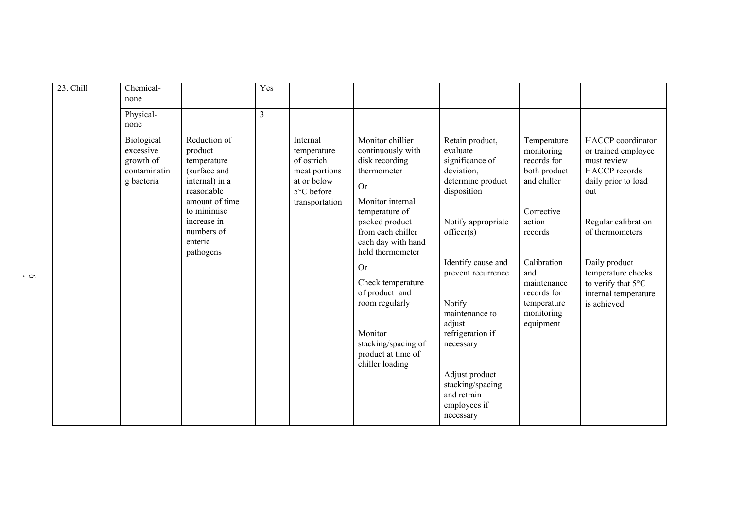| 23. Chill | Chemical-<br>none                                                  |                                                                                                                                                                              | Yes |                                                                                                       |                                                                                                                                                                                                                                                                                                                                                             |                                                                                                                                                                                                                                                                                                                                           |                                                                                                                                                                                                          |                                                                                                                                                                                                                                                             |
|-----------|--------------------------------------------------------------------|------------------------------------------------------------------------------------------------------------------------------------------------------------------------------|-----|-------------------------------------------------------------------------------------------------------|-------------------------------------------------------------------------------------------------------------------------------------------------------------------------------------------------------------------------------------------------------------------------------------------------------------------------------------------------------------|-------------------------------------------------------------------------------------------------------------------------------------------------------------------------------------------------------------------------------------------------------------------------------------------------------------------------------------------|----------------------------------------------------------------------------------------------------------------------------------------------------------------------------------------------------------|-------------------------------------------------------------------------------------------------------------------------------------------------------------------------------------------------------------------------------------------------------------|
|           | Physical-<br>none                                                  |                                                                                                                                                                              | 3   |                                                                                                       |                                                                                                                                                                                                                                                                                                                                                             |                                                                                                                                                                                                                                                                                                                                           |                                                                                                                                                                                                          |                                                                                                                                                                                                                                                             |
|           | Biological<br>excessive<br>growth of<br>contaminatin<br>g bacteria | Reduction of<br>product<br>temperature<br>(surface and<br>internal) in a<br>reasonable<br>amount of time<br>to minimise<br>increase in<br>numbers of<br>enteric<br>pathogens |     | Internal<br>temperature<br>of ostrich<br>meat portions<br>at or below<br>5°C before<br>transportation | Monitor chillier<br>continuously with<br>disk recording<br>thermometer<br><b>Or</b><br>Monitor internal<br>temperature of<br>packed product<br>from each chiller<br>each day with hand<br>held thermometer<br><b>Or</b><br>Check temperature<br>of product and<br>room regularly<br>Monitor<br>stacking/spacing of<br>product at time of<br>chiller loading | Retain product,<br>evaluate<br>significance of<br>deviation,<br>determine product<br>disposition<br>Notify appropriate<br>officer(s)<br>Identify cause and<br>prevent recurrence<br>Notify<br>maintenance to<br>adjust<br>refrigeration if<br>necessary<br>Adjust product<br>stacking/spacing<br>and retrain<br>employees if<br>necessary | Temperature<br>monitoring<br>records for<br>both product<br>and chiller<br>Corrective<br>action<br>records<br>Calibration<br>and<br>maintenance<br>records for<br>temperature<br>monitoring<br>equipment | HACCP coordinator<br>or trained employee<br>must review<br><b>HACCP</b> records<br>daily prior to load<br>out<br>Regular calibration<br>of thermometers<br>Daily product<br>temperature checks<br>to verify that 5°C<br>internal temperature<br>is achieved |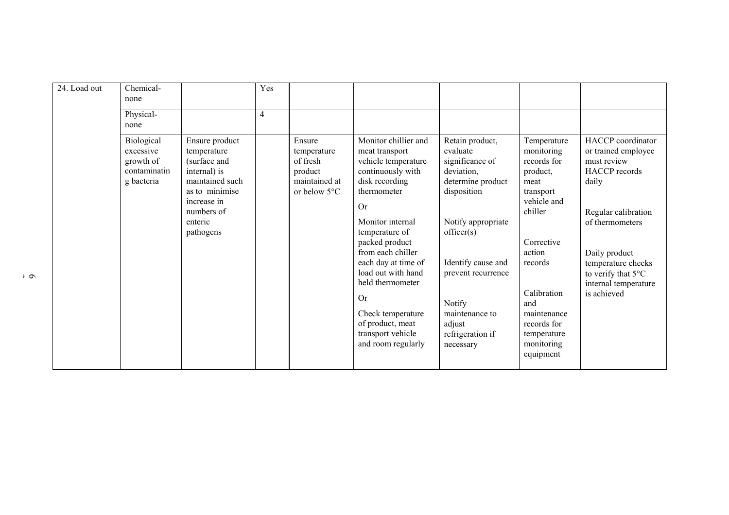| 24. Load out | Chemical-<br>none                                                  |                                                                                                                                                         | Yes |                                                                                         |                                                                                                                                                                                                                                                                                                                                                                                 |                                                                                                                                                                                                                                                         |                                                                                                                                                                                                                                      |                                                                                                                                                                                                                                                  |
|--------------|--------------------------------------------------------------------|---------------------------------------------------------------------------------------------------------------------------------------------------------|-----|-----------------------------------------------------------------------------------------|---------------------------------------------------------------------------------------------------------------------------------------------------------------------------------------------------------------------------------------------------------------------------------------------------------------------------------------------------------------------------------|---------------------------------------------------------------------------------------------------------------------------------------------------------------------------------------------------------------------------------------------------------|--------------------------------------------------------------------------------------------------------------------------------------------------------------------------------------------------------------------------------------|--------------------------------------------------------------------------------------------------------------------------------------------------------------------------------------------------------------------------------------------------|
|              | Physical-<br>none                                                  |                                                                                                                                                         | 4   |                                                                                         |                                                                                                                                                                                                                                                                                                                                                                                 |                                                                                                                                                                                                                                                         |                                                                                                                                                                                                                                      |                                                                                                                                                                                                                                                  |
|              | Biological<br>excessive<br>growth of<br>contaminatin<br>g bacteria | Ensure product<br>temperature<br>(surface and<br>internal) is<br>maintained such<br>as to minimise<br>increase in<br>numbers of<br>enteric<br>pathogens |     | Ensure<br>temperature<br>of fresh<br>product<br>maintained at<br>or below $5^{\circ}$ C | Monitor chillier and<br>meat transport<br>vehicle temperature<br>continuously with<br>disk recording<br>thermometer<br><b>Or</b><br>Monitor internal<br>temperature of<br>packed product<br>from each chiller<br>each day at time of<br>load out with hand<br>held thermometer<br><b>Or</b><br>Check temperature<br>of product, meat<br>transport vehicle<br>and room regularly | Retain product,<br>evaluate<br>significance of<br>deviation,<br>determine product<br>disposition<br>Notify appropriate<br>officer(s)<br>Identify cause and<br>prevent recurrence<br>Notify<br>maintenance to<br>adjust<br>refrigeration if<br>necessary | Temperature<br>monitoring<br>records for<br>product,<br>meat<br>transport<br>vehicle and<br>chiller<br>Corrective<br>action<br>records<br>Calibration<br>and<br>maintenance<br>records for<br>temperature<br>monitoring<br>equipment | HACCP coordinator<br>or trained employee<br>must review<br><b>HACCP</b> records<br>daily<br>Regular calibration<br>of thermometers<br>Daily product<br>temperature checks<br>to verify that $5^{\circ}$ C<br>internal temperature<br>is achieved |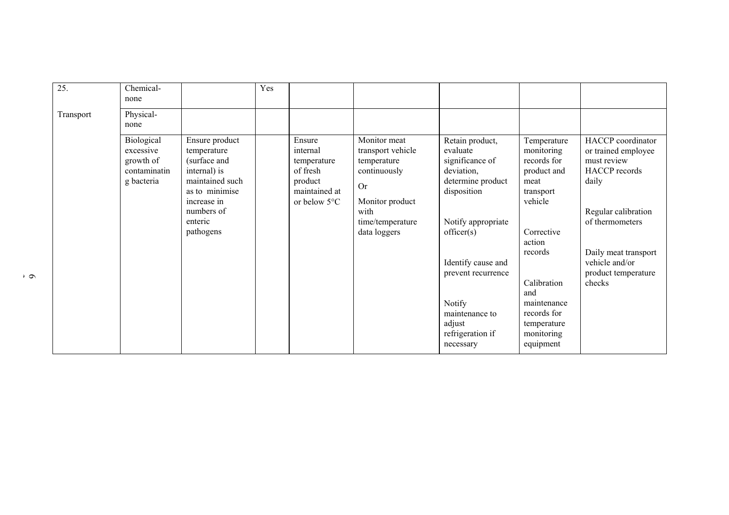| 25.       | Chemical-<br>none                                                  |                                                                                                                                                         | Yes |                                                                                                     |                                                                                                                                              |                                                                                                                                                                                                                                                         |                                                                                                                                                                                                                          |                                                                                                                                                                                                               |
|-----------|--------------------------------------------------------------------|---------------------------------------------------------------------------------------------------------------------------------------------------------|-----|-----------------------------------------------------------------------------------------------------|----------------------------------------------------------------------------------------------------------------------------------------------|---------------------------------------------------------------------------------------------------------------------------------------------------------------------------------------------------------------------------------------------------------|--------------------------------------------------------------------------------------------------------------------------------------------------------------------------------------------------------------------------|---------------------------------------------------------------------------------------------------------------------------------------------------------------------------------------------------------------|
| Transport | Physical-<br>none                                                  |                                                                                                                                                         |     |                                                                                                     |                                                                                                                                              |                                                                                                                                                                                                                                                         |                                                                                                                                                                                                                          |                                                                                                                                                                                                               |
|           | Biological<br>excessive<br>growth of<br>contaminatin<br>g bacteria | Ensure product<br>temperature<br>(surface and<br>internal) is<br>maintained such<br>as to minimise<br>increase in<br>numbers of<br>enteric<br>pathogens |     | Ensure<br>internal<br>temperature<br>of fresh<br>product<br>maintained at<br>or below $5^{\circ}$ C | Monitor meat<br>transport vehicle<br>temperature<br>continuously<br><b>Or</b><br>Monitor product<br>with<br>time/temperature<br>data loggers | Retain product,<br>evaluate<br>significance of<br>deviation,<br>determine product<br>disposition<br>Notify appropriate<br>officer(s)<br>Identify cause and<br>prevent recurrence<br>Notify<br>maintenance to<br>adjust<br>refrigeration if<br>necessary | Temperature<br>monitoring<br>records for<br>product and<br>meat<br>transport<br>vehicle<br>Corrective<br>action<br>records<br>Calibration<br>and<br>maintenance<br>records for<br>temperature<br>monitoring<br>equipment | HACCP coordinator<br>or trained employee<br>must review<br><b>HACCP</b> records<br>daily<br>Regular calibration<br>of thermometers<br>Daily meat transport<br>vehicle and/or<br>product temperature<br>checks |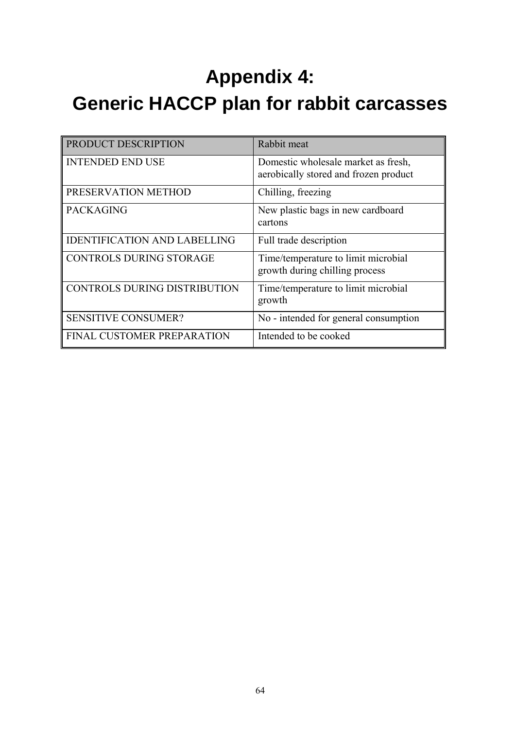## **Appendix 4: Generic HACCP plan for rabbit carcasses**

| <b>PRODUCT DESCRIPTION</b>          | Rabbit meat                                                                  |
|-------------------------------------|------------------------------------------------------------------------------|
| <b>INTENDED END USE</b>             | Domestic wholesale market as fresh,<br>aerobically stored and frozen product |
| PRESERVATION METHOD                 | Chilling, freezing                                                           |
| <b>PACKAGING</b>                    | New plastic bags in new cardboard<br>cartons                                 |
| <b>IDENTIFICATION AND LABELLING</b> | Full trade description                                                       |
| <b>CONTROLS DURING STORAGE</b>      | Time/temperature to limit microbial<br>growth during chilling process        |
| <b>CONTROLS DURING DISTRIBUTION</b> | Time/temperature to limit microbial<br>growth                                |
| <b>SENSITIVE CONSUMER?</b>          | No - intended for general consumption                                        |
| FINAL CUSTOMER PREPARATION          | Intended to be cooked                                                        |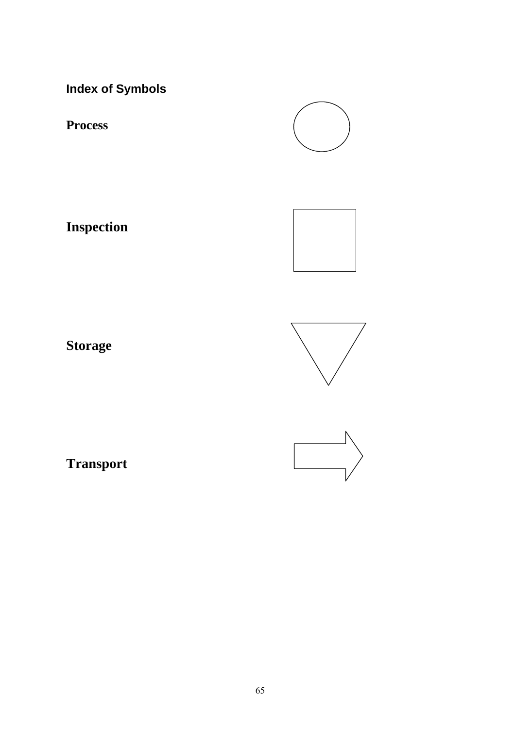**Index of Symbols**

**Process**

**Inspection**



**Storage**



**Transport**

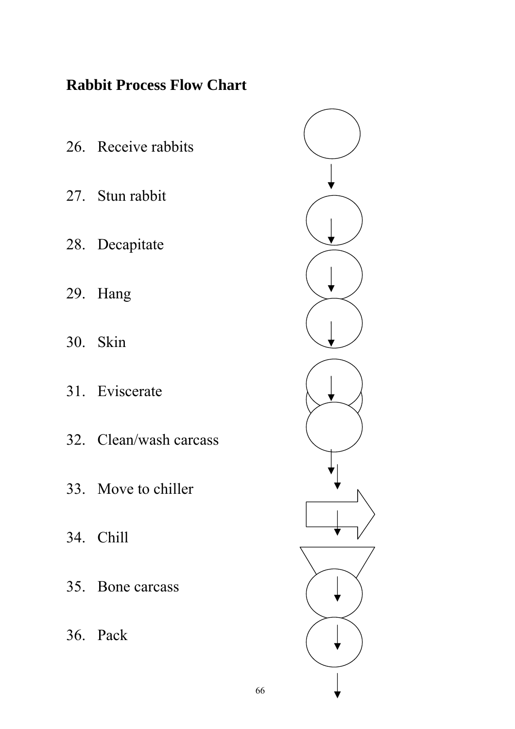## **Rabbit Process Flow Chart**

26. Receive rabbits 27. Stun rabbit 28. Decapitate 29. Hang 30. Skin 31. Eviscerate 32. Clean/wash carcass 33. Move to chiller 34. Chill 35. Bone carcass 36. Pack



66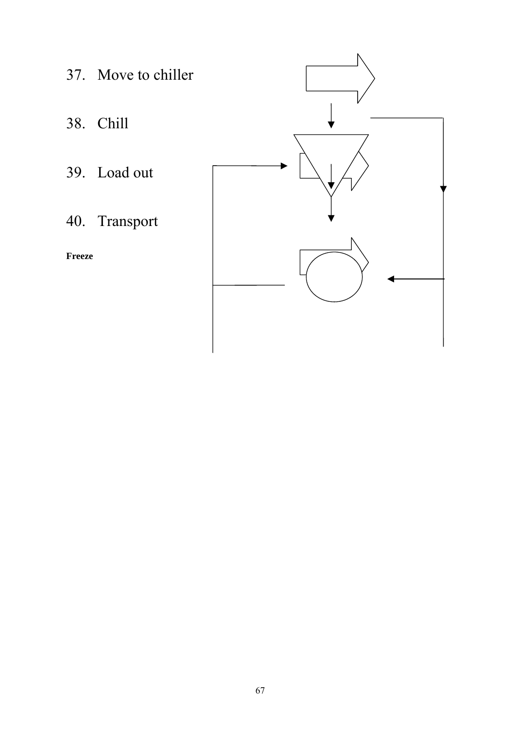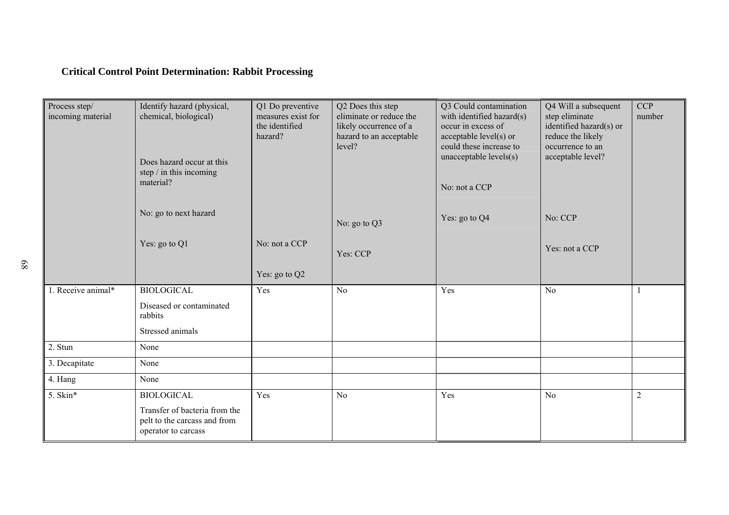## **Critical Control Point Determination: Rabbit Processing**

| Process step/<br>incoming material | Identify hazard (physical,<br>chemical, biological)<br>Does hazard occur at this<br>step / in this incoming<br>material? |               | Q2 Does this step<br>eliminate or reduce the<br>likely occurrence of a<br>hazard to an acceptable<br>level? | Q3 Could contamination<br>with identified hazard(s)<br>occur in excess of<br>acceptable level(s) or<br>could these increase to<br>unacceptable levels(s)<br>No: not a CCP | Q4 Will a subsequent<br>step eliminate<br>identified hazard(s) or<br>reduce the likely<br>occurrence to an<br>acceptable level? | <b>CCP</b><br>number |
|------------------------------------|--------------------------------------------------------------------------------------------------------------------------|---------------|-------------------------------------------------------------------------------------------------------------|---------------------------------------------------------------------------------------------------------------------------------------------------------------------------|---------------------------------------------------------------------------------------------------------------------------------|----------------------|
|                                    | No: go to next hazard                                                                                                    |               | No: go to Q3                                                                                                | Yes: go to Q4                                                                                                                                                             | No: CCP                                                                                                                         |                      |
|                                    | Yes: go to Q1                                                                                                            | No: not a CCP | Yes: CCP                                                                                                    |                                                                                                                                                                           | Yes: not a CCP                                                                                                                  |                      |
|                                    |                                                                                                                          | Yes: go to Q2 |                                                                                                             |                                                                                                                                                                           |                                                                                                                                 |                      |
| 1. Receive animal*                 | <b>BIOLOGICAL</b><br>Diseased or contaminated                                                                            | Yes           | N <sub>o</sub>                                                                                              | Yes                                                                                                                                                                       | No                                                                                                                              |                      |
|                                    | rabbits                                                                                                                  |               |                                                                                                             |                                                                                                                                                                           |                                                                                                                                 |                      |
|                                    | Stressed animals                                                                                                         |               |                                                                                                             |                                                                                                                                                                           |                                                                                                                                 |                      |
| 2. Stun                            | None                                                                                                                     |               |                                                                                                             |                                                                                                                                                                           |                                                                                                                                 |                      |
| 3. Decapitate                      | None                                                                                                                     |               |                                                                                                             |                                                                                                                                                                           |                                                                                                                                 |                      |
| 4. Hang                            | None                                                                                                                     |               |                                                                                                             |                                                                                                                                                                           |                                                                                                                                 |                      |
| 5. Skin*                           | <b>BIOLOGICAL</b>                                                                                                        | Yes           | No                                                                                                          | Yes                                                                                                                                                                       | N <sub>0</sub>                                                                                                                  | $\overline{2}$       |
|                                    | Transfer of bacteria from the<br>pelt to the carcass and from<br>operator to carcass                                     |               |                                                                                                             |                                                                                                                                                                           |                                                                                                                                 |                      |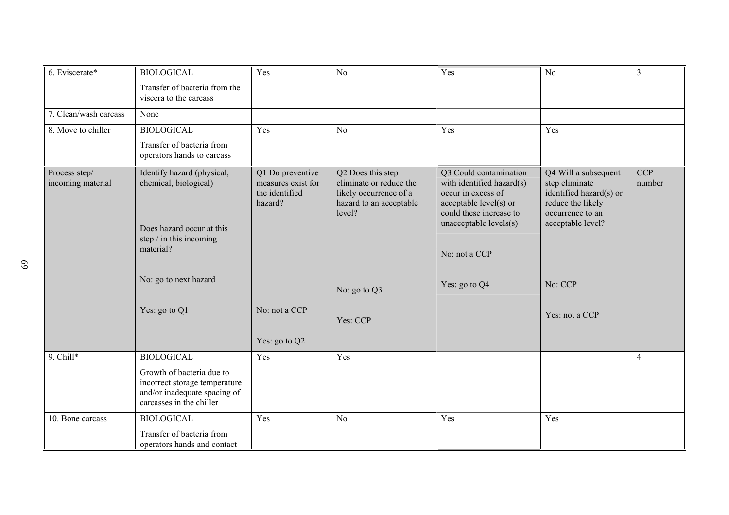| 6. Eviscerate*                     | <b>BIOLOGICAL</b>                                                                                                                                                  | Yes                                                                                  | No                                                                                                                                      | Yes                                                                                                                                                                                        | N <sub>o</sub>                                                                                                                                               | $\overline{3}$       |
|------------------------------------|--------------------------------------------------------------------------------------------------------------------------------------------------------------------|--------------------------------------------------------------------------------------|-----------------------------------------------------------------------------------------------------------------------------------------|--------------------------------------------------------------------------------------------------------------------------------------------------------------------------------------------|--------------------------------------------------------------------------------------------------------------------------------------------------------------|----------------------|
|                                    | Transfer of bacteria from the<br>viscera to the carcass                                                                                                            |                                                                                      |                                                                                                                                         |                                                                                                                                                                                            |                                                                                                                                                              |                      |
| 7. Clean/wash carcass              | None                                                                                                                                                               |                                                                                      |                                                                                                                                         |                                                                                                                                                                                            |                                                                                                                                                              |                      |
| 8. Move to chiller                 | <b>BIOLOGICAL</b>                                                                                                                                                  | Yes                                                                                  | N <sub>0</sub>                                                                                                                          | Yes                                                                                                                                                                                        | Yes                                                                                                                                                          |                      |
|                                    | Transfer of bacteria from<br>operators hands to carcass                                                                                                            |                                                                                      |                                                                                                                                         |                                                                                                                                                                                            |                                                                                                                                                              |                      |
| Process step/<br>incoming material | Identify hazard (physical,<br>chemical, biological)<br>Does hazard occur at this<br>step / in this incoming<br>material?<br>No: go to next hazard<br>Yes: go to Q1 | Q1 Do preventive<br>measures exist for<br>the identified<br>hazard?<br>No: not a CCP | Q2 Does this step<br>eliminate or reduce the<br>likely occurrence of a<br>hazard to an acceptable<br>level?<br>No: go to Q3<br>Yes: CCP | Q3 Could contamination<br>with identified hazard(s)<br>occur in excess of<br>acceptable level(s) or<br>could these increase to<br>unacceptable levels(s)<br>No: not a CCP<br>Yes: go to Q4 | Q4 Will a subsequent<br>step eliminate<br>identified hazard(s) or<br>reduce the likely<br>occurrence to an<br>acceptable level?<br>No: CCP<br>Yes: not a CCP | <b>CCP</b><br>number |
|                                    |                                                                                                                                                                    | Yes: go to Q2                                                                        |                                                                                                                                         |                                                                                                                                                                                            |                                                                                                                                                              |                      |
| 9. Chill*                          | <b>BIOLOGICAL</b>                                                                                                                                                  | Yes                                                                                  | Yes                                                                                                                                     |                                                                                                                                                                                            |                                                                                                                                                              | $\overline{4}$       |
|                                    | Growth of bacteria due to<br>incorrect storage temperature<br>and/or inadequate spacing of<br>carcasses in the chiller                                             |                                                                                      |                                                                                                                                         |                                                                                                                                                                                            |                                                                                                                                                              |                      |
| 10. Bone carcass                   | <b>BIOLOGICAL</b>                                                                                                                                                  | Yes                                                                                  | N <sub>o</sub>                                                                                                                          | Yes                                                                                                                                                                                        | Yes                                                                                                                                                          |                      |
|                                    | Transfer of bacteria from<br>operators hands and contact                                                                                                           |                                                                                      |                                                                                                                                         |                                                                                                                                                                                            |                                                                                                                                                              |                      |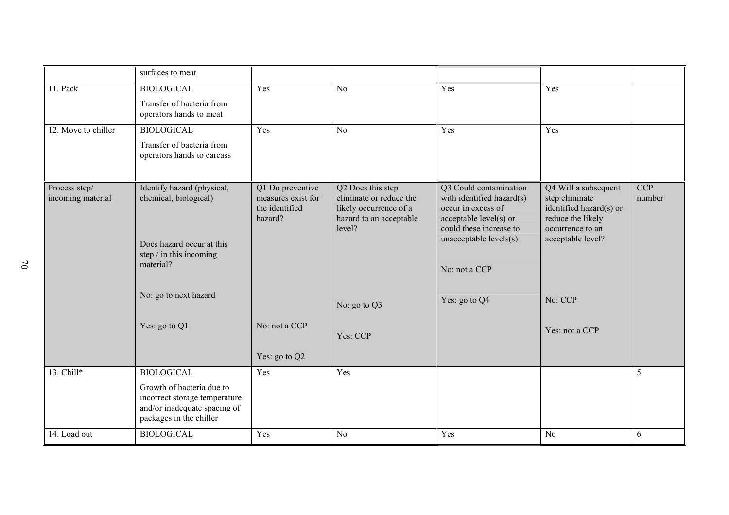|                                    | surfaces to meat                                                                                                      |                                                                     |                                                                                                             |                                                                                                                                |                                                                                                            |                      |
|------------------------------------|-----------------------------------------------------------------------------------------------------------------------|---------------------------------------------------------------------|-------------------------------------------------------------------------------------------------------------|--------------------------------------------------------------------------------------------------------------------------------|------------------------------------------------------------------------------------------------------------|----------------------|
| 11. Pack                           | <b>BIOLOGICAL</b>                                                                                                     | Yes                                                                 | N <sub>0</sub>                                                                                              | Yes                                                                                                                            | Yes                                                                                                        |                      |
|                                    | Transfer of bacteria from<br>operators hands to meat                                                                  |                                                                     |                                                                                                             |                                                                                                                                |                                                                                                            |                      |
| 12. Move to chiller                | <b>BIOLOGICAL</b>                                                                                                     | Yes                                                                 | N <sub>0</sub>                                                                                              | Yes                                                                                                                            | Yes                                                                                                        |                      |
|                                    | Transfer of bacteria from<br>operators hands to carcass                                                               |                                                                     |                                                                                                             |                                                                                                                                |                                                                                                            |                      |
| Process step/<br>incoming material | Identify hazard (physical,<br>chemical, biological)                                                                   | Q1 Do preventive<br>measures exist for<br>the identified<br>hazard? | Q2 Does this step<br>eliminate or reduce the<br>likely occurrence of a<br>hazard to an acceptable<br>level? | Q3 Could contamination<br>with identified hazard(s)<br>occur in excess of<br>acceptable level(s) or<br>could these increase to | Q4 Will a subsequent<br>step eliminate<br>identified hazard(s) or<br>reduce the likely<br>occurrence to an | <b>CCP</b><br>number |
|                                    | Does hazard occur at this<br>step $/$ in this incoming<br>material?                                                   |                                                                     |                                                                                                             | unacceptable levels(s)                                                                                                         | acceptable level?                                                                                          |                      |
|                                    |                                                                                                                       |                                                                     |                                                                                                             | No: not a CCP                                                                                                                  |                                                                                                            |                      |
|                                    | No: go to next hazard                                                                                                 |                                                                     | No: go to Q3                                                                                                | Yes: go to Q4                                                                                                                  | No: CCP                                                                                                    |                      |
|                                    | Yes: go to Q1                                                                                                         | No: not a CCP                                                       | Yes: CCP                                                                                                    |                                                                                                                                | Yes: not a CCP                                                                                             |                      |
|                                    |                                                                                                                       | Yes: go to Q2                                                       |                                                                                                             |                                                                                                                                |                                                                                                            |                      |
| 13. Chill*                         | <b>BIOLOGICAL</b>                                                                                                     | Yes                                                                 | Yes                                                                                                         |                                                                                                                                |                                                                                                            | 5                    |
|                                    | Growth of bacteria due to<br>incorrect storage temperature<br>and/or inadequate spacing of<br>packages in the chiller |                                                                     |                                                                                                             |                                                                                                                                |                                                                                                            |                      |
| 14. Load out                       | <b>BIOLOGICAL</b>                                                                                                     | Yes                                                                 | N <sub>o</sub>                                                                                              | Yes                                                                                                                            | N <sub>o</sub>                                                                                             | 6                    |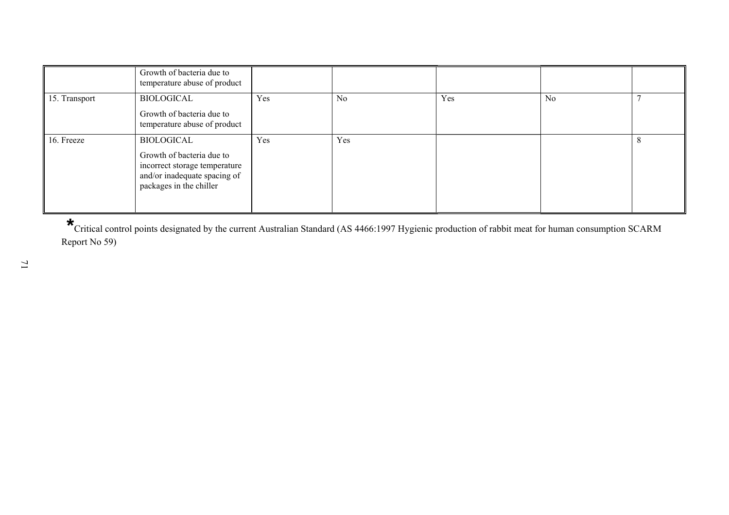|               | Growth of bacteria due to<br>temperature abuse of product                                                                                  |     |                |     |                |  |
|---------------|--------------------------------------------------------------------------------------------------------------------------------------------|-----|----------------|-----|----------------|--|
| 15. Transport | BIOLOGICAL<br>Growth of bacteria due to<br>temperature abuse of product                                                                    | Yes | N <sub>0</sub> | Yes | N <sub>0</sub> |  |
| 16. Freeze    | <b>BIOLOGICAL</b><br>Growth of bacteria due to<br>incorrect storage temperature<br>and/or inadequate spacing of<br>packages in the chiller | Yes | Yes            |     |                |  |

 **\***Critical control points designated by the current Australian Standard (AS 4466:1997 Hygienic production of rabbit meat for human consumption SCARM Report No 59)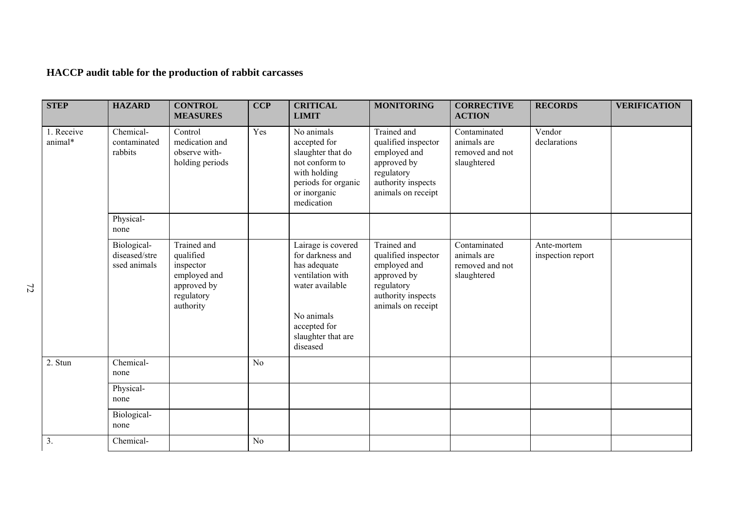## **HACCP audit table for the production of rabbit carcasses**

| <b>STEP</b>           | <b>HAZARD</b>                                | <b>CONTROL</b><br><b>MEASURES</b>                                                               | <b>CCP</b>     | <b>CRITICAL</b><br><b>LIMIT</b>                                                                                                                               | <b>MONITORING</b>                                                                                                           | <b>CORRECTIVE</b><br><b>ACTION</b>                            | <b>RECORDS</b>                   | <b>VERIFICATION</b> |
|-----------------------|----------------------------------------------|-------------------------------------------------------------------------------------------------|----------------|---------------------------------------------------------------------------------------------------------------------------------------------------------------|-----------------------------------------------------------------------------------------------------------------------------|---------------------------------------------------------------|----------------------------------|---------------------|
| 1. Receive<br>animal* | Chemical-<br>contaminated<br>rabbits         | Control<br>medication and<br>observe with-<br>holding periods                                   | Yes            | No animals<br>accepted for<br>slaughter that do<br>not conform to<br>with holding<br>periods for organic<br>or inorganic<br>medication                        | Trained and<br>qualified inspector<br>employed and<br>approved by<br>regulatory<br>authority inspects<br>animals on receipt | Contaminated<br>animals are<br>removed and not<br>slaughtered | Vendor<br>declarations           |                     |
|                       | Physical-<br>none                            |                                                                                                 |                |                                                                                                                                                               |                                                                                                                             |                                                               |                                  |                     |
|                       | Biological-<br>diseased/stre<br>ssed animals | Trained and<br>qualified<br>inspector<br>employed and<br>approved by<br>regulatory<br>authority |                | Lairage is covered<br>for darkness and<br>has adequate<br>ventilation with<br>water available<br>No animals<br>accepted for<br>slaughter that are<br>diseased | Trained and<br>qualified inspector<br>employed and<br>approved by<br>regulatory<br>authority inspects<br>animals on receipt | Contaminated<br>animals are<br>removed and not<br>slaughtered | Ante-mortem<br>inspection report |                     |
| 2. Stun               | Chemical-<br>none                            |                                                                                                 | N <sub>o</sub> |                                                                                                                                                               |                                                                                                                             |                                                               |                                  |                     |
|                       | Physical-<br>none                            |                                                                                                 |                |                                                                                                                                                               |                                                                                                                             |                                                               |                                  |                     |
|                       | Biological-<br>none                          |                                                                                                 |                |                                                                                                                                                               |                                                                                                                             |                                                               |                                  |                     |
| 3.                    | Chemical-                                    |                                                                                                 | N <sub>o</sub> |                                                                                                                                                               |                                                                                                                             |                                                               |                                  |                     |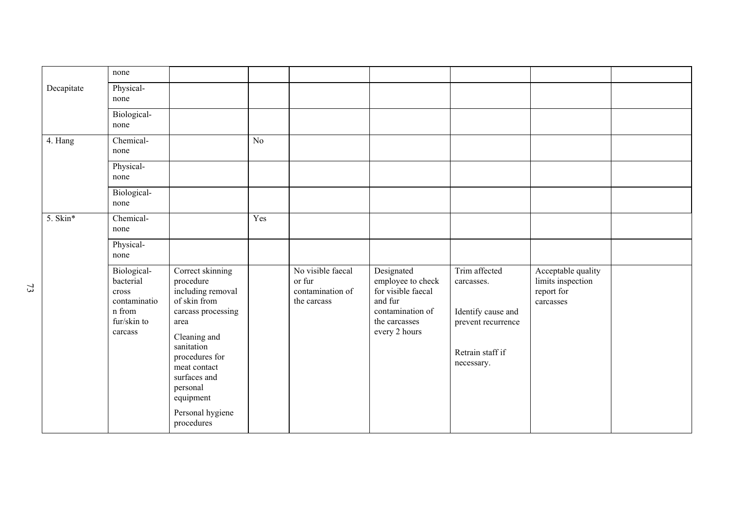|            | none                                                                                  |                                                                                                                                                                                                           |     |                                                                |                                                                                                                        |                                                                                                           |                                                                    |  |
|------------|---------------------------------------------------------------------------------------|-----------------------------------------------------------------------------------------------------------------------------------------------------------------------------------------------------------|-----|----------------------------------------------------------------|------------------------------------------------------------------------------------------------------------------------|-----------------------------------------------------------------------------------------------------------|--------------------------------------------------------------------|--|
| Decapitate | Physical-<br>none                                                                     |                                                                                                                                                                                                           |     |                                                                |                                                                                                                        |                                                                                                           |                                                                    |  |
|            | Biological-<br>none                                                                   |                                                                                                                                                                                                           |     |                                                                |                                                                                                                        |                                                                                                           |                                                                    |  |
| 4. Hang    | Chemical-<br>none                                                                     |                                                                                                                                                                                                           | No  |                                                                |                                                                                                                        |                                                                                                           |                                                                    |  |
|            | Physical-<br>none                                                                     |                                                                                                                                                                                                           |     |                                                                |                                                                                                                        |                                                                                                           |                                                                    |  |
|            | Biological-<br>none                                                                   |                                                                                                                                                                                                           |     |                                                                |                                                                                                                        |                                                                                                           |                                                                    |  |
| 5. Skin*   | Chemical-<br>none                                                                     |                                                                                                                                                                                                           | Yes |                                                                |                                                                                                                        |                                                                                                           |                                                                    |  |
|            | Physical-<br>none                                                                     |                                                                                                                                                                                                           |     |                                                                |                                                                                                                        |                                                                                                           |                                                                    |  |
|            | Biological-<br>bacterial<br>cross<br>contaminatio<br>n from<br>fur/skin to<br>carcass | Correct skinning<br>procedure<br>including removal<br>of skin from<br>carcass processing<br>area<br>Cleaning and<br>sanitation<br>procedures for<br>meat contact<br>surfaces and<br>personal<br>equipment |     | No visible faecal<br>or fur<br>contamination of<br>the carcass | Designated<br>employee to check<br>for visible faecal<br>and fur<br>contamination of<br>the carcasses<br>every 2 hours | Trim affected<br>carcasses.<br>Identify cause and<br>prevent recurrence<br>Retrain staff if<br>necessary. | Acceptable quality<br>limits inspection<br>report for<br>carcasses |  |
|            |                                                                                       | Personal hygiene<br>procedures                                                                                                                                                                            |     |                                                                |                                                                                                                        |                                                                                                           |                                                                    |  |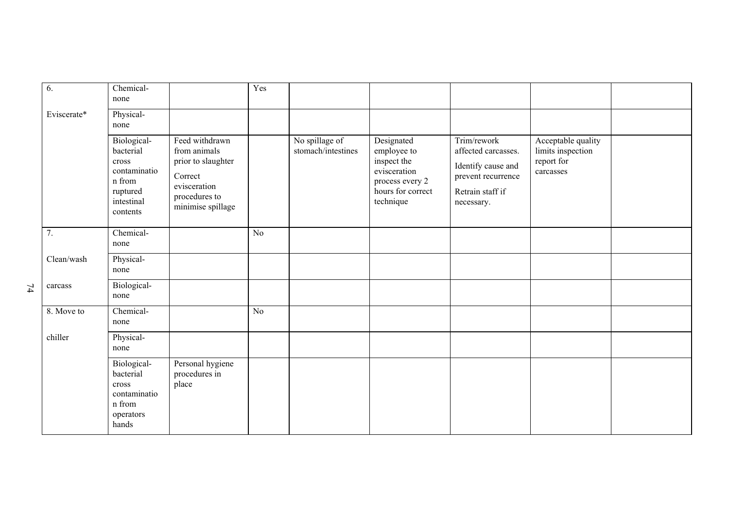| 6.          | Chemical-<br>none                                                                                 |                                                                                                                       | Yes |                                      |                                                                                                               |                                                                                                                  |                                                                    |  |
|-------------|---------------------------------------------------------------------------------------------------|-----------------------------------------------------------------------------------------------------------------------|-----|--------------------------------------|---------------------------------------------------------------------------------------------------------------|------------------------------------------------------------------------------------------------------------------|--------------------------------------------------------------------|--|
| Eviscerate* | Physical-<br>none                                                                                 |                                                                                                                       |     |                                      |                                                                                                               |                                                                                                                  |                                                                    |  |
|             | Biological-<br>bacterial<br>cross<br>contaminatio<br>n from<br>ruptured<br>intestinal<br>contents | Feed withdrawn<br>from animals<br>prior to slaughter<br>Correct<br>evisceration<br>procedures to<br>minimise spillage |     | No spillage of<br>stomach/intestines | Designated<br>employee to<br>inspect the<br>evisceration<br>process every 2<br>hours for correct<br>technique | Trim/rework<br>affected carcasses.<br>Identify cause and<br>prevent recurrence<br>Retrain staff if<br>necessary. | Acceptable quality<br>limits inspection<br>report for<br>carcasses |  |
| 7.          | Chemical-<br>none                                                                                 |                                                                                                                       | No  |                                      |                                                                                                               |                                                                                                                  |                                                                    |  |
| Clean/wash  | Physical-<br>none                                                                                 |                                                                                                                       |     |                                      |                                                                                                               |                                                                                                                  |                                                                    |  |
| carcass     | Biological-<br>none                                                                               |                                                                                                                       |     |                                      |                                                                                                               |                                                                                                                  |                                                                    |  |
| 8. Move to  | Chemical-<br>none                                                                                 |                                                                                                                       | No  |                                      |                                                                                                               |                                                                                                                  |                                                                    |  |
| chiller     | Physical-<br>none                                                                                 |                                                                                                                       |     |                                      |                                                                                                               |                                                                                                                  |                                                                    |  |
|             | Biological-<br>bacterial<br>cross<br>contaminatio<br>n from<br>operators<br>hands                 | Personal hygiene<br>procedures in<br>place                                                                            |     |                                      |                                                                                                               |                                                                                                                  |                                                                    |  |

74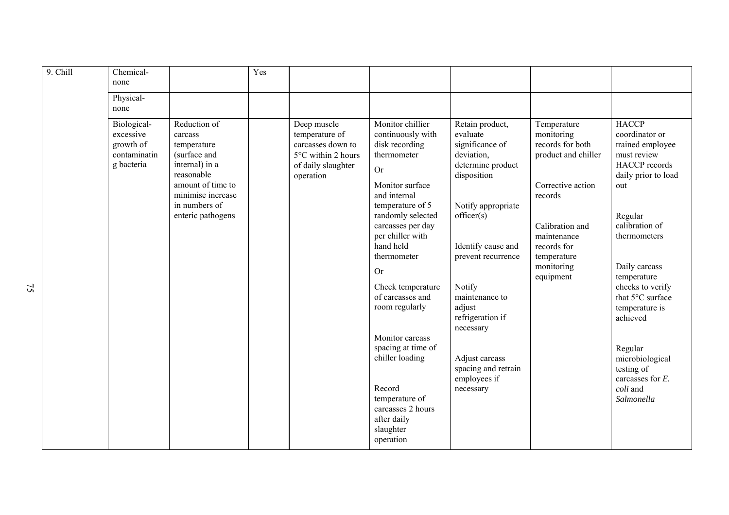| 9. Chill | Chemical-<br>none                                                   |                                                                                                                                                                        | Yes |                                                                                                             |                                                                                                                                                                                                                                                                                                                                                                                                                                                                    |                                                                                                                                                                                                                                                                                                                               |                                                                                                                                                                                                 |                                                                                                                                                                                                                                                                                                                                                                         |
|----------|---------------------------------------------------------------------|------------------------------------------------------------------------------------------------------------------------------------------------------------------------|-----|-------------------------------------------------------------------------------------------------------------|--------------------------------------------------------------------------------------------------------------------------------------------------------------------------------------------------------------------------------------------------------------------------------------------------------------------------------------------------------------------------------------------------------------------------------------------------------------------|-------------------------------------------------------------------------------------------------------------------------------------------------------------------------------------------------------------------------------------------------------------------------------------------------------------------------------|-------------------------------------------------------------------------------------------------------------------------------------------------------------------------------------------------|-------------------------------------------------------------------------------------------------------------------------------------------------------------------------------------------------------------------------------------------------------------------------------------------------------------------------------------------------------------------------|
|          | Physical-<br>none                                                   |                                                                                                                                                                        |     |                                                                                                             |                                                                                                                                                                                                                                                                                                                                                                                                                                                                    |                                                                                                                                                                                                                                                                                                                               |                                                                                                                                                                                                 |                                                                                                                                                                                                                                                                                                                                                                         |
|          | Biological-<br>excessive<br>growth of<br>contaminatin<br>g bacteria | Reduction of<br>carcass<br>temperature<br>(surface and<br>internal) in a<br>reasonable<br>amount of time to<br>minimise increase<br>in numbers of<br>enteric pathogens |     | Deep muscle<br>temperature of<br>carcasses down to<br>5°C within 2 hours<br>of daily slaughter<br>operation | Monitor chillier<br>continuously with<br>disk recording<br>thermometer<br><b>Or</b><br>Monitor surface<br>and internal<br>temperature of 5<br>randomly selected<br>carcasses per day<br>per chiller with<br>hand held<br>thermometer<br><b>Or</b><br>Check temperature<br>of carcasses and<br>room regularly<br>Monitor carcass<br>spacing at time of<br>chiller loading<br>Record<br>temperature of<br>carcasses 2 hours<br>after daily<br>slaughter<br>operation | Retain product,<br>evaluate<br>significance of<br>deviation.<br>determine product<br>disposition<br>Notify appropriate<br>officer(s)<br>Identify cause and<br>prevent recurrence<br>Notify<br>maintenance to<br>adjust<br>refrigeration if<br>necessary<br>Adjust carcass<br>spacing and retrain<br>employees if<br>necessary | Temperature<br>monitoring<br>records for both<br>product and chiller<br>Corrective action<br>records<br>Calibration and<br>maintenance<br>records for<br>temperature<br>monitoring<br>equipment | <b>HACCP</b><br>coordinator or<br>trained employee<br>must review<br><b>HACCP</b> records<br>daily prior to load<br>out<br>Regular<br>calibration of<br>thermometers<br>Daily carcass<br>temperature<br>checks to verify<br>that 5°C surface<br>temperature is<br>achieved<br>Regular<br>microbiological<br>testing of<br>carcasses for $E$ .<br>coli and<br>Salmonella |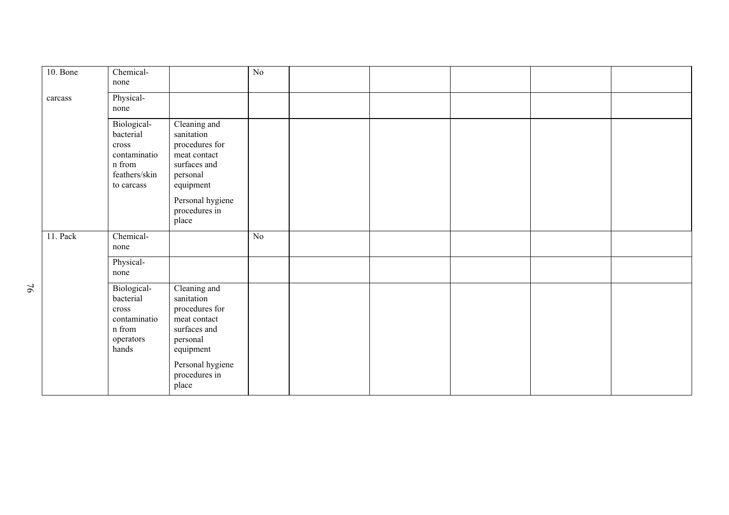| 10. Bone | Chemical-<br>none                                                                                   |                                                                                                                                                     | No |  |  |  |
|----------|-----------------------------------------------------------------------------------------------------|-----------------------------------------------------------------------------------------------------------------------------------------------------|----|--|--|--|
| carcass  | Physical-<br>none                                                                                   |                                                                                                                                                     |    |  |  |  |
|          | Biological-<br>bacterial<br>$\mbox{cross}$<br>contaminatio<br>n from<br>feathers/skin<br>to carcass | Cleaning and<br>sanitation<br>procedures for<br>meat contact<br>surfaces and<br>personal<br>equipment                                               |    |  |  |  |
|          |                                                                                                     | Personal hygiene<br>procedures in<br>place                                                                                                          |    |  |  |  |
| 11. Pack | Chemical-<br>none                                                                                   |                                                                                                                                                     | No |  |  |  |
|          | Physical-<br>none                                                                                   |                                                                                                                                                     |    |  |  |  |
|          | Biological-<br>bacterial<br>cross<br>contaminatio<br>n from<br>operators<br>hands                   | Cleaning and<br>sanitation<br>procedures for<br>meat contact<br>surfaces and<br>personal<br>equipment<br>Personal hygiene<br>procedures in<br>place |    |  |  |  |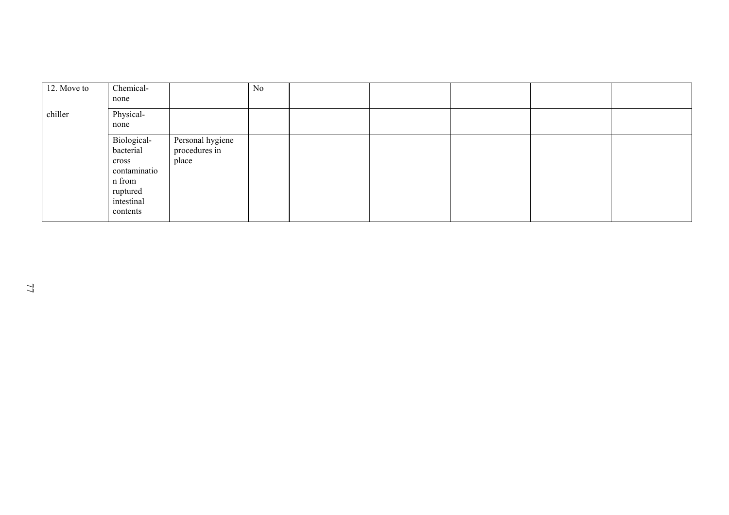| 12. Move to | Chemical-<br>none                                                                                 |                                            | N <sub>0</sub> |  |  |  |
|-------------|---------------------------------------------------------------------------------------------------|--------------------------------------------|----------------|--|--|--|
| chiller     | Physical-<br>none                                                                                 |                                            |                |  |  |  |
|             | Biological-<br>bacterial<br>cross<br>contaminatio<br>n from<br>ruptured<br>intestinal<br>contents | Personal hygiene<br>procedures in<br>place |                |  |  |  |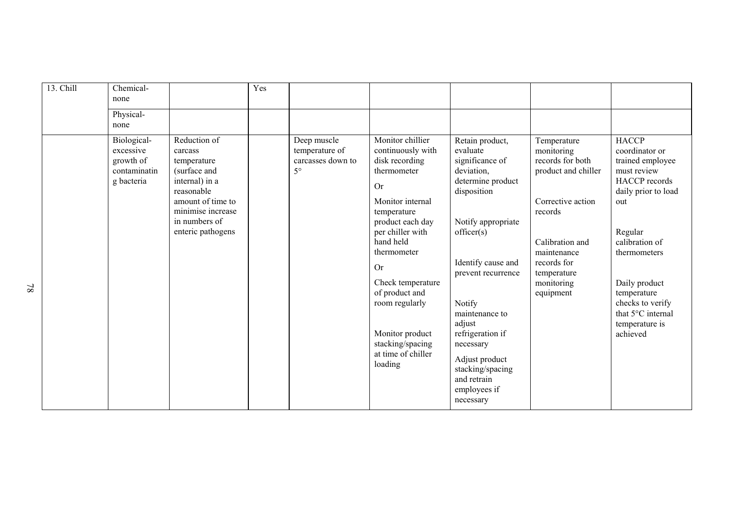| 13. Chill | Chemical-<br>none                                                   |                                                                                                                                                                        | Yes |                                                                 |                                                                                                                                                                                                                                                                                                                                          |                                                                                                                                                                                                                                                                                                                                           |                                                                                                                                                                                                 |                                                                                                                                                                                                                                                                             |
|-----------|---------------------------------------------------------------------|------------------------------------------------------------------------------------------------------------------------------------------------------------------------|-----|-----------------------------------------------------------------|------------------------------------------------------------------------------------------------------------------------------------------------------------------------------------------------------------------------------------------------------------------------------------------------------------------------------------------|-------------------------------------------------------------------------------------------------------------------------------------------------------------------------------------------------------------------------------------------------------------------------------------------------------------------------------------------|-------------------------------------------------------------------------------------------------------------------------------------------------------------------------------------------------|-----------------------------------------------------------------------------------------------------------------------------------------------------------------------------------------------------------------------------------------------------------------------------|
|           | Physical-<br>none                                                   |                                                                                                                                                                        |     |                                                                 |                                                                                                                                                                                                                                                                                                                                          |                                                                                                                                                                                                                                                                                                                                           |                                                                                                                                                                                                 |                                                                                                                                                                                                                                                                             |
|           | Biological-<br>excessive<br>growth of<br>contaminatin<br>g bacteria | Reduction of<br>carcass<br>temperature<br>(surface and<br>internal) in a<br>reasonable<br>amount of time to<br>minimise increase<br>in numbers of<br>enteric pathogens |     | Deep muscle<br>temperature of<br>carcasses down to<br>$5^\circ$ | Monitor chillier<br>continuously with<br>disk recording<br>thermometer<br><b>Or</b><br>Monitor internal<br>temperature<br>product each day<br>per chiller with<br>hand held<br>thermometer<br><b>Or</b><br>Check temperature<br>of product and<br>room regularly<br>Monitor product<br>stacking/spacing<br>at time of chiller<br>loading | Retain product,<br>evaluate<br>significance of<br>deviation,<br>determine product<br>disposition<br>Notify appropriate<br>officer(s)<br>Identify cause and<br>prevent recurrence<br>Notify<br>maintenance to<br>adjust<br>refrigeration if<br>necessary<br>Adjust product<br>stacking/spacing<br>and retrain<br>employees if<br>necessary | Temperature<br>monitoring<br>records for both<br>product and chiller<br>Corrective action<br>records<br>Calibration and<br>maintenance<br>records for<br>temperature<br>monitoring<br>equipment | <b>HACCP</b><br>coordinator or<br>trained employee<br>must review<br><b>HACCP</b> records<br>daily prior to load<br>out<br>Regular<br>calibration of<br>thermometers<br>Daily product<br>temperature<br>checks to verify<br>that 5°C internal<br>temperature is<br>achieved |

78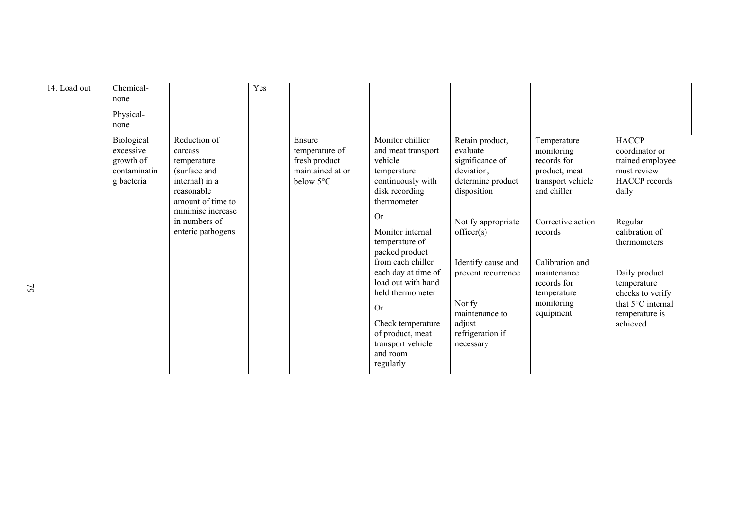| 14. Load out | Chemical-<br>none                                                  |                                                                                                                                                                        | Yes |                                                                                      |                                                                                                                                                                                                                                                                                                                                                                                       |                                                                                                                                                                                                                                                         |                                                                                                                                                                                                                          |                                                                                                                                                                                                                                                        |
|--------------|--------------------------------------------------------------------|------------------------------------------------------------------------------------------------------------------------------------------------------------------------|-----|--------------------------------------------------------------------------------------|---------------------------------------------------------------------------------------------------------------------------------------------------------------------------------------------------------------------------------------------------------------------------------------------------------------------------------------------------------------------------------------|---------------------------------------------------------------------------------------------------------------------------------------------------------------------------------------------------------------------------------------------------------|--------------------------------------------------------------------------------------------------------------------------------------------------------------------------------------------------------------------------|--------------------------------------------------------------------------------------------------------------------------------------------------------------------------------------------------------------------------------------------------------|
|              | Physical-<br>none                                                  |                                                                                                                                                                        |     |                                                                                      |                                                                                                                                                                                                                                                                                                                                                                                       |                                                                                                                                                                                                                                                         |                                                                                                                                                                                                                          |                                                                                                                                                                                                                                                        |
|              | Biological<br>excessive<br>growth of<br>contaminatin<br>g bacteria | Reduction of<br>carcass<br>temperature<br>(surface and<br>internal) in a<br>reasonable<br>amount of time to<br>minimise increase<br>in numbers of<br>enteric pathogens |     | Ensure<br>temperature of<br>fresh product<br>maintained at or<br>below $5^{\circ}$ C | Monitor chillier<br>and meat transport<br>vehicle<br>temperature<br>continuously with<br>disk recording<br>thermometer<br><b>Or</b><br>Monitor internal<br>temperature of<br>packed product<br>from each chiller<br>each day at time of<br>load out with hand<br>held thermometer<br><b>Or</b><br>Check temperature<br>of product, meat<br>transport vehicle<br>and room<br>regularly | Retain product,<br>evaluate<br>significance of<br>deviation,<br>determine product<br>disposition<br>Notify appropriate<br>officer(s)<br>Identify cause and<br>prevent recurrence<br>Notify<br>maintenance to<br>adjust<br>refrigeration if<br>necessary | Temperature<br>monitoring<br>records for<br>product, meat<br>transport vehicle<br>and chiller<br>Corrective action<br>records<br>Calibration and<br>maintenance<br>records for<br>temperature<br>monitoring<br>equipment | <b>HACCP</b><br>coordinator or<br>trained employee<br>must review<br><b>HACCP</b> records<br>daily<br>Regular<br>calibration of<br>thermometers<br>Daily product<br>temperature<br>checks to verify<br>that 5°C internal<br>temperature is<br>achieved |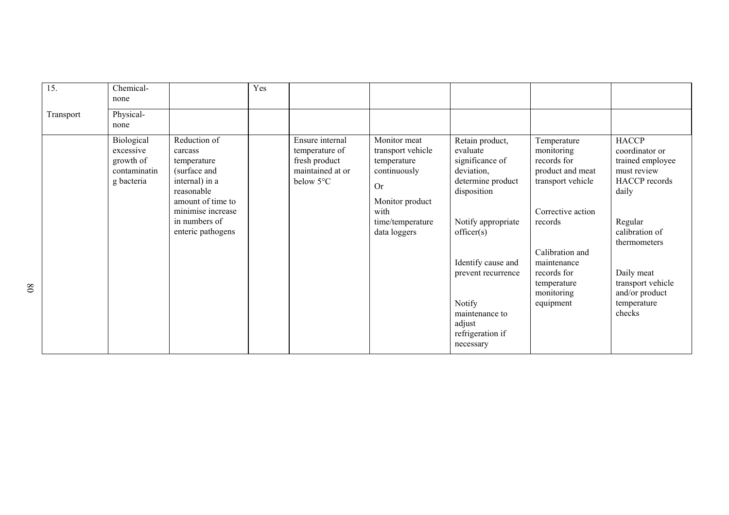| 15.       | Chemical-<br>none                                                  |                                                                                                                                                                        | Yes |                                                                                     |                                                                                                                                              |                                                                                                                                                                                                                                                         |                                                                                                                                                                                                              |                                                                                                                                                                                                                        |
|-----------|--------------------------------------------------------------------|------------------------------------------------------------------------------------------------------------------------------------------------------------------------|-----|-------------------------------------------------------------------------------------|----------------------------------------------------------------------------------------------------------------------------------------------|---------------------------------------------------------------------------------------------------------------------------------------------------------------------------------------------------------------------------------------------------------|--------------------------------------------------------------------------------------------------------------------------------------------------------------------------------------------------------------|------------------------------------------------------------------------------------------------------------------------------------------------------------------------------------------------------------------------|
| Transport | Physical-<br>none                                                  |                                                                                                                                                                        |     |                                                                                     |                                                                                                                                              |                                                                                                                                                                                                                                                         |                                                                                                                                                                                                              |                                                                                                                                                                                                                        |
|           | Biological<br>excessive<br>growth of<br>contaminatin<br>g bacteria | Reduction of<br>carcass<br>temperature<br>(surface and<br>internal) in a<br>reasonable<br>amount of time to<br>minimise increase<br>in numbers of<br>enteric pathogens |     | Ensure internal<br>temperature of<br>fresh product<br>maintained at or<br>below 5°C | Monitor meat<br>transport vehicle<br>temperature<br>continuously<br><b>Or</b><br>Monitor product<br>with<br>time/temperature<br>data loggers | Retain product,<br>evaluate<br>significance of<br>deviation,<br>determine product<br>disposition<br>Notify appropriate<br>officer(s)<br>Identify cause and<br>prevent recurrence<br>Notify<br>maintenance to<br>adjust<br>refrigeration if<br>necessary | Temperature<br>monitoring<br>records for<br>product and meat<br>transport vehicle<br>Corrective action<br>records<br>Calibration and<br>maintenance<br>records for<br>temperature<br>monitoring<br>equipment | <b>HACCP</b><br>coordinator or<br>trained employee<br>must review<br>HACCP records<br>daily<br>Regular<br>calibration of<br>thermometers<br>Daily meat<br>transport vehicle<br>and/or product<br>temperature<br>checks |
|           |                                                                    |                                                                                                                                                                        |     |                                                                                     |                                                                                                                                              |                                                                                                                                                                                                                                                         |                                                                                                                                                                                                              |                                                                                                                                                                                                                        |